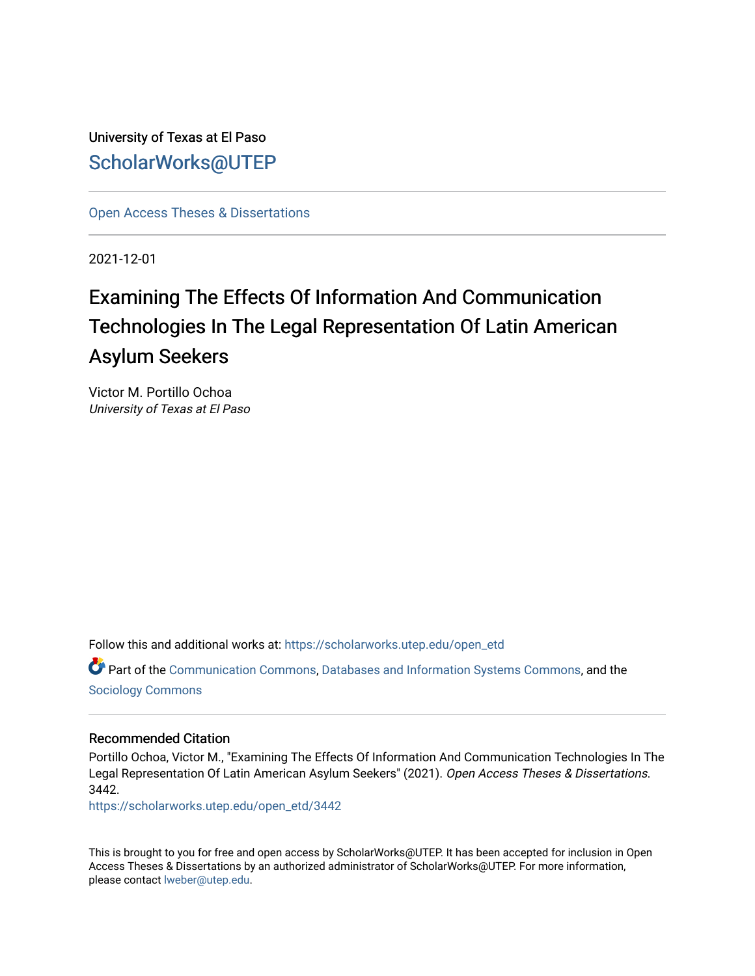University of Texas at El Paso [ScholarWorks@UTEP](https://scholarworks.utep.edu/)

[Open Access Theses & Dissertations](https://scholarworks.utep.edu/open_etd) 

2021-12-01

# Examining The Effects Of Information And Communication Technologies In The Legal Representation Of Latin American Asylum Seekers

Victor M. Portillo Ochoa University of Texas at El Paso

Follow this and additional works at: [https://scholarworks.utep.edu/open\\_etd](https://scholarworks.utep.edu/open_etd?utm_source=scholarworks.utep.edu%2Fopen_etd%2F3442&utm_medium=PDF&utm_campaign=PDFCoverPages)

Part of the [Communication Commons,](http://network.bepress.com/hgg/discipline/325?utm_source=scholarworks.utep.edu%2Fopen_etd%2F3442&utm_medium=PDF&utm_campaign=PDFCoverPages) [Databases and Information Systems Commons](http://network.bepress.com/hgg/discipline/145?utm_source=scholarworks.utep.edu%2Fopen_etd%2F3442&utm_medium=PDF&utm_campaign=PDFCoverPages), and the [Sociology Commons](http://network.bepress.com/hgg/discipline/416?utm_source=scholarworks.utep.edu%2Fopen_etd%2F3442&utm_medium=PDF&utm_campaign=PDFCoverPages) 

#### Recommended Citation

Portillo Ochoa, Victor M., "Examining The Effects Of Information And Communication Technologies In The Legal Representation Of Latin American Asylum Seekers" (2021). Open Access Theses & Dissertations. 3442.

[https://scholarworks.utep.edu/open\\_etd/3442](https://scholarworks.utep.edu/open_etd/3442?utm_source=scholarworks.utep.edu%2Fopen_etd%2F3442&utm_medium=PDF&utm_campaign=PDFCoverPages) 

This is brought to you for free and open access by ScholarWorks@UTEP. It has been accepted for inclusion in Open Access Theses & Dissertations by an authorized administrator of ScholarWorks@UTEP. For more information, please contact [lweber@utep.edu.](mailto:lweber@utep.edu)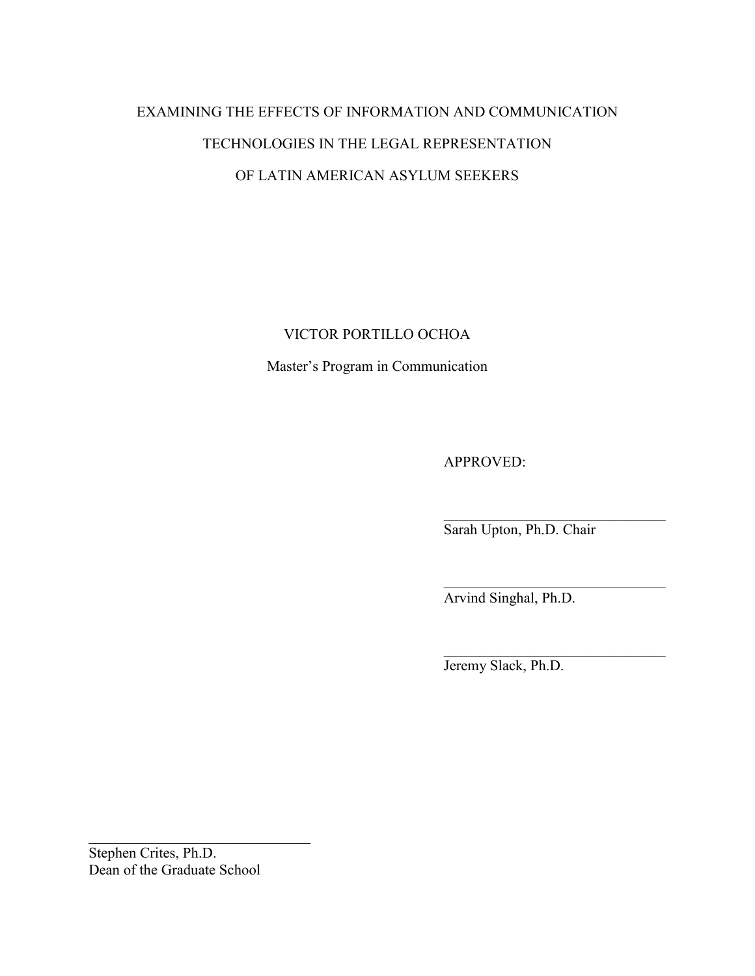# EXAMINING THE EFFECTS OF INFORMATION AND COMMUNICATION TECHNOLOGIES IN THE LEGAL REPRESENTATION OF LATIN AMERICAN ASYLUM SEEKERS

## VICTOR PORTILLO OCHOA

Master's Program in Communication

APPROVED:

\_\_\_\_\_\_\_\_\_\_\_\_\_\_\_\_\_\_\_\_\_\_\_\_\_\_\_\_\_\_ Sarah Upton, Ph.D. Chair

\_\_\_\_\_\_\_\_\_\_\_\_\_\_\_\_\_\_\_\_\_\_\_\_\_\_\_\_\_\_

Arvind Singhal, Ph.D.

\_\_\_\_\_\_\_\_\_\_\_\_\_\_\_\_\_\_\_\_\_\_\_\_\_\_\_\_\_\_ Jeremy Slack, Ph.D.

Stephen Crites, Ph.D. Dean of the Graduate School

\_\_\_\_\_\_\_\_\_\_\_\_\_\_\_\_\_\_\_\_\_\_\_\_\_\_\_\_\_\_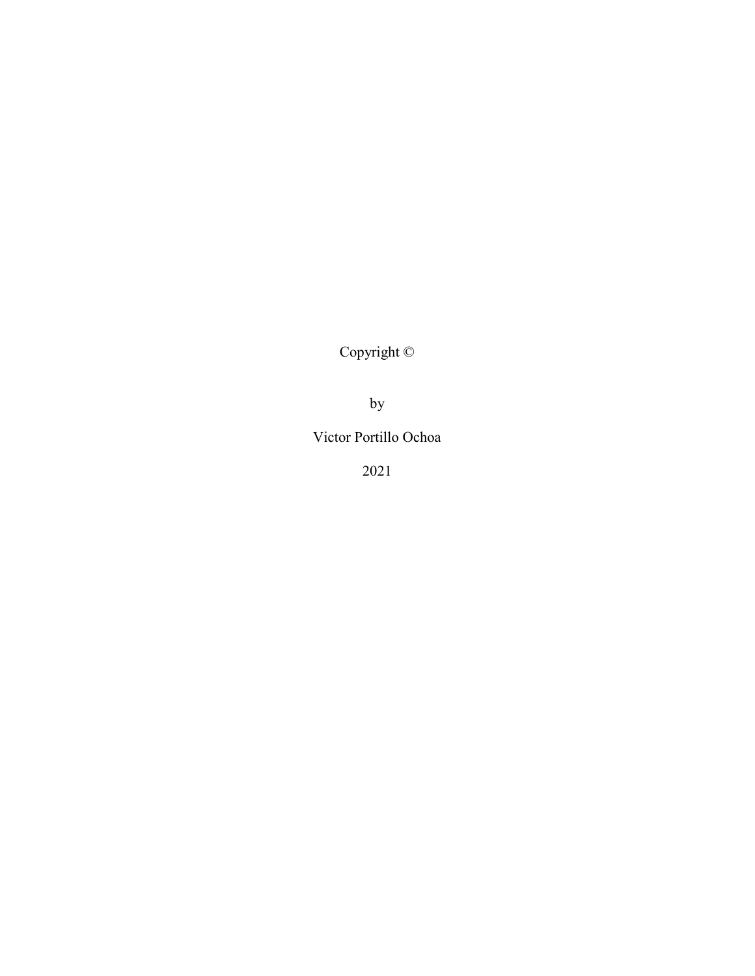Copyright ©

by

Victor Portillo Ochoa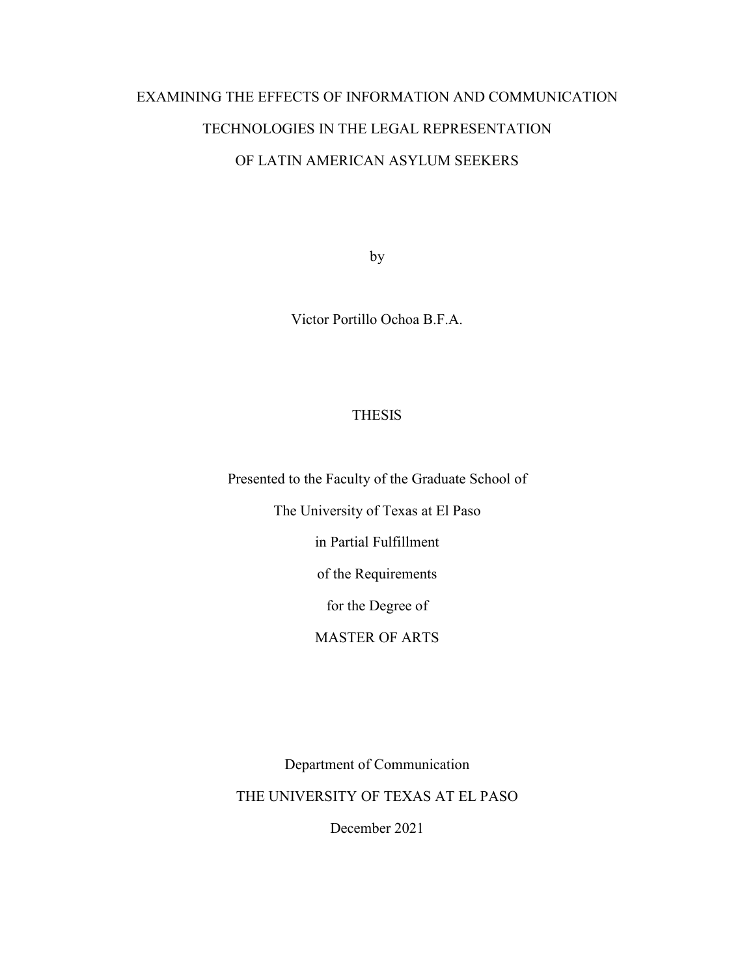# EXAMINING THE EFFECTS OF INFORMATION AND COMMUNICATION TECHNOLOGIES IN THE LEGAL REPRESENTATION OF LATIN AMERICAN ASYLUM SEEKERS

by

Victor Portillo Ochoa B.F.A.

### **THESIS**

Presented to the Faculty of the Graduate School of

The University of Texas at El Paso

in Partial Fulfillment

of the Requirements

for the Degree of

MASTER OF ARTS

Department of Communication

THE UNIVERSITY OF TEXAS AT EL PASO

December 2021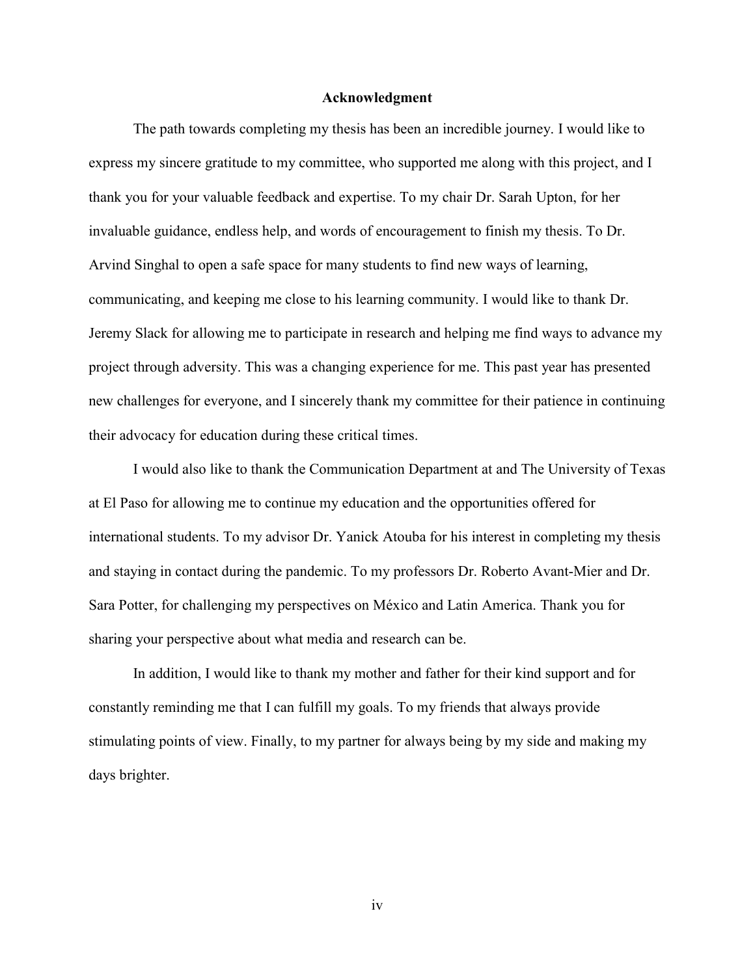#### **Acknowledgment**

The path towards completing my thesis has been an incredible journey. I would like to express my sincere gratitude to my committee, who supported me along with this project, and I thank you for your valuable feedback and expertise. To my chair Dr. Sarah Upton, for her invaluable guidance, endless help, and words of encouragement to finish my thesis. To Dr. Arvind Singhal to open a safe space for many students to find new ways of learning, communicating, and keeping me close to his learning community. I would like to thank Dr. Jeremy Slack for allowing me to participate in research and helping me find ways to advance my project through adversity. This was a changing experience for me. This past year has presented new challenges for everyone, and I sincerely thank my committee for their patience in continuing their advocacy for education during these critical times.

I would also like to thank the Communication Department at and The University of Texas at El Paso for allowing me to continue my education and the opportunities offered for international students. To my advisor Dr. Yanick Atouba for his interest in completing my thesis and staying in contact during the pandemic. To my professors Dr. Roberto Avant-Mier and Dr. Sara Potter, for challenging my perspectives on México and Latin America. Thank you for sharing your perspective about what media and research can be.

In addition, I would like to thank my mother and father for their kind support and for constantly reminding me that I can fulfill my goals. To my friends that always provide stimulating points of view. Finally, to my partner for always being by my side and making my days brighter.

iv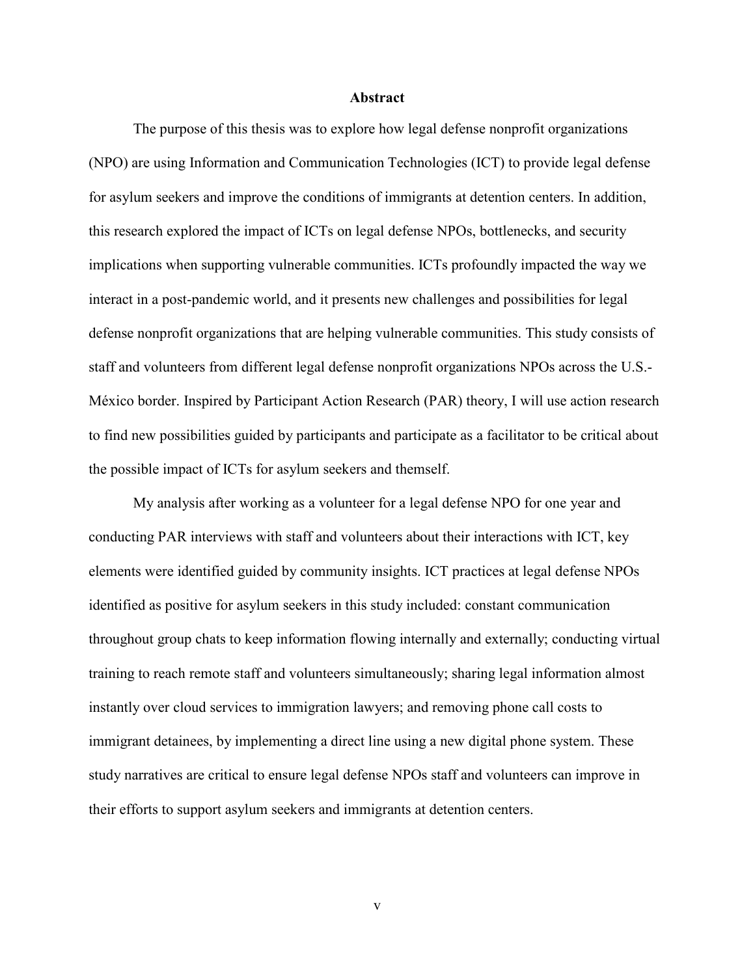#### **Abstract**

The purpose of this thesis was to explore how legal defense nonprofit organizations (NPO) are using Information and Communication Technologies (ICT) to provide legal defense for asylum seekers and improve the conditions of immigrants at detention centers. In addition, this research explored the impact of ICTs on legal defense NPOs, bottlenecks, and security implications when supporting vulnerable communities. ICTs profoundly impacted the way we interact in a post-pandemic world, and it presents new challenges and possibilities for legal defense nonprofit organizations that are helping vulnerable communities. This study consists of staff and volunteers from different legal defense nonprofit organizations NPOs across the U.S.- México border. Inspired by Participant Action Research (PAR) theory, I will use action research to find new possibilities guided by participants and participate as a facilitator to be critical about the possible impact of ICTs for asylum seekers and themself.

My analysis after working as a volunteer for a legal defense NPO for one year and conducting PAR interviews with staff and volunteers about their interactions with ICT, key elements were identified guided by community insights. ICT practices at legal defense NPOs identified as positive for asylum seekers in this study included: constant communication throughout group chats to keep information flowing internally and externally; conducting virtual training to reach remote staff and volunteers simultaneously; sharing legal information almost instantly over cloud services to immigration lawyers; and removing phone call costs to immigrant detainees, by implementing a direct line using a new digital phone system. These study narratives are critical to ensure legal defense NPOs staff and volunteers can improve in their efforts to support asylum seekers and immigrants at detention centers.

v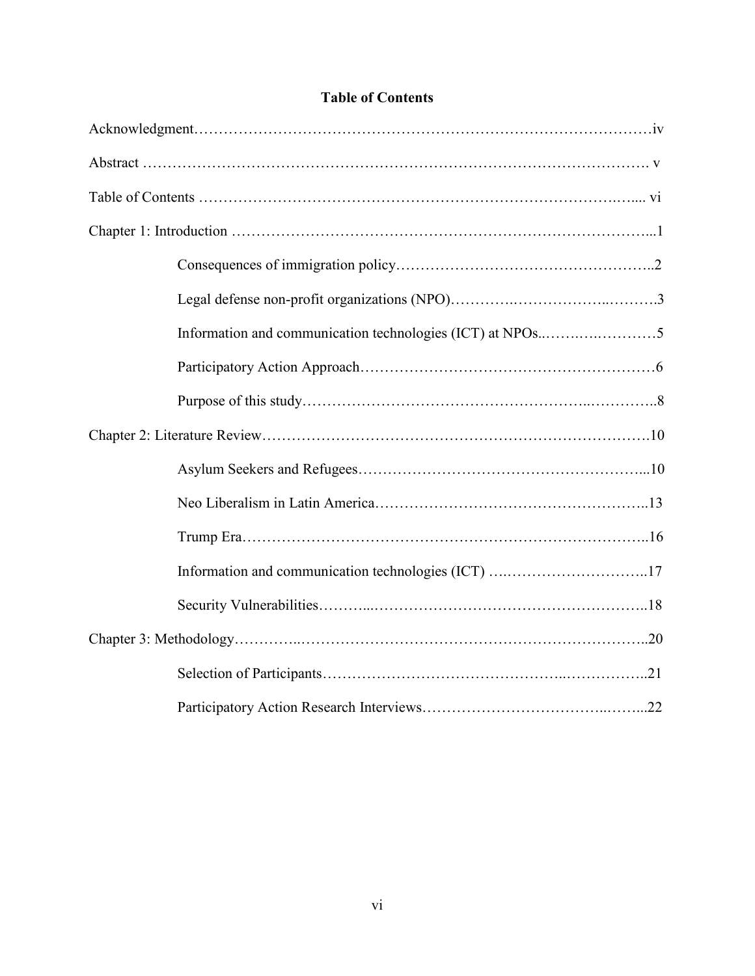## **Table of Contents**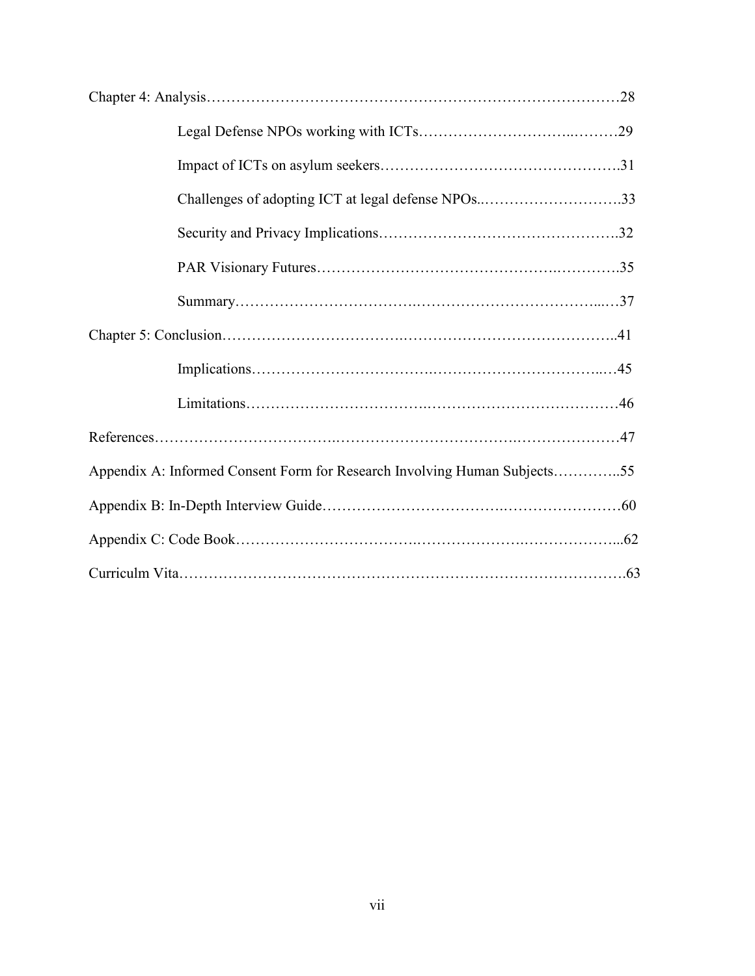| Challenges of adopting ICT at legal defense NPOs33                        |  |  |  |  |
|---------------------------------------------------------------------------|--|--|--|--|
|                                                                           |  |  |  |  |
|                                                                           |  |  |  |  |
|                                                                           |  |  |  |  |
|                                                                           |  |  |  |  |
|                                                                           |  |  |  |  |
|                                                                           |  |  |  |  |
|                                                                           |  |  |  |  |
| Appendix A: Informed Consent Form for Research Involving Human Subjects55 |  |  |  |  |
|                                                                           |  |  |  |  |
|                                                                           |  |  |  |  |
|                                                                           |  |  |  |  |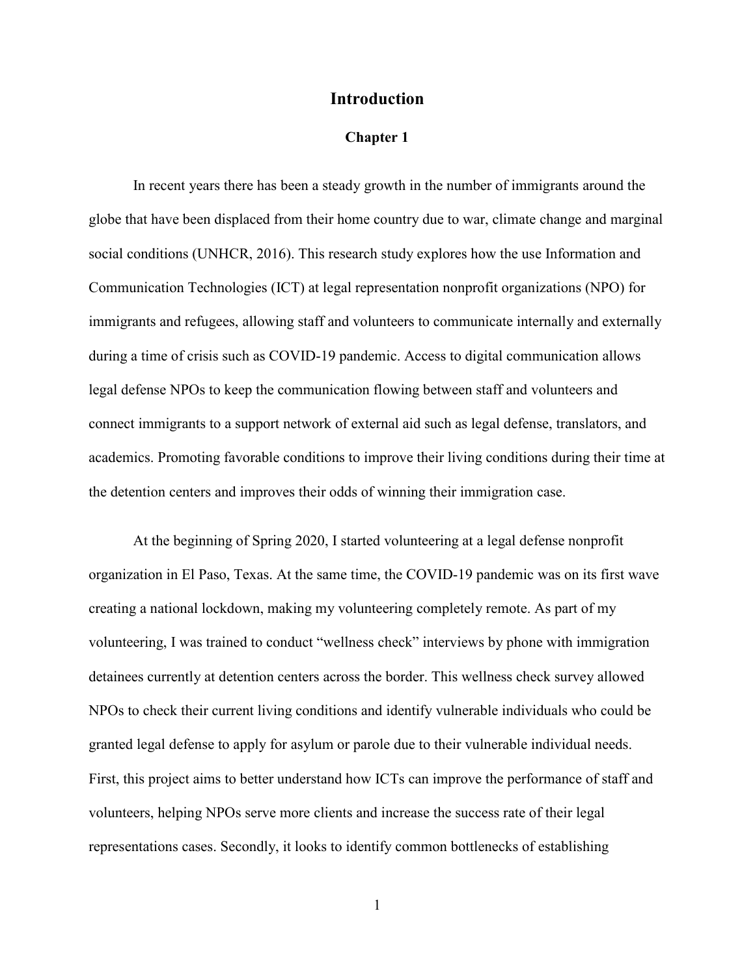#### **Introduction**

#### **Chapter 1**

In recent years there has been a steady growth in the number of immigrants around the globe that have been displaced from their home country due to war, climate change and marginal social conditions (UNHCR, 2016). This research study explores how the use Information and Communication Technologies (ICT) at legal representation nonprofit organizations (NPO) for immigrants and refugees, allowing staff and volunteers to communicate internally and externally during a time of crisis such as COVID-19 pandemic. Access to digital communication allows legal defense NPOs to keep the communication flowing between staff and volunteers and connect immigrants to a support network of external aid such as legal defense, translators, and academics. Promoting favorable conditions to improve their living conditions during their time at the detention centers and improves their odds of winning their immigration case.

At the beginning of Spring 2020, I started volunteering at a legal defense nonprofit organization in El Paso, Texas. At the same time, the COVID-19 pandemic was on its first wave creating a national lockdown, making my volunteering completely remote. As part of my volunteering, I was trained to conduct "wellness check" interviews by phone with immigration detainees currently at detention centers across the border. This wellness check survey allowed NPOs to check their current living conditions and identify vulnerable individuals who could be granted legal defense to apply for asylum or parole due to their vulnerable individual needs. First, this project aims to better understand how ICTs can improve the performance of staff and volunteers, helping NPOs serve more clients and increase the success rate of their legal representations cases. Secondly, it looks to identify common bottlenecks of establishing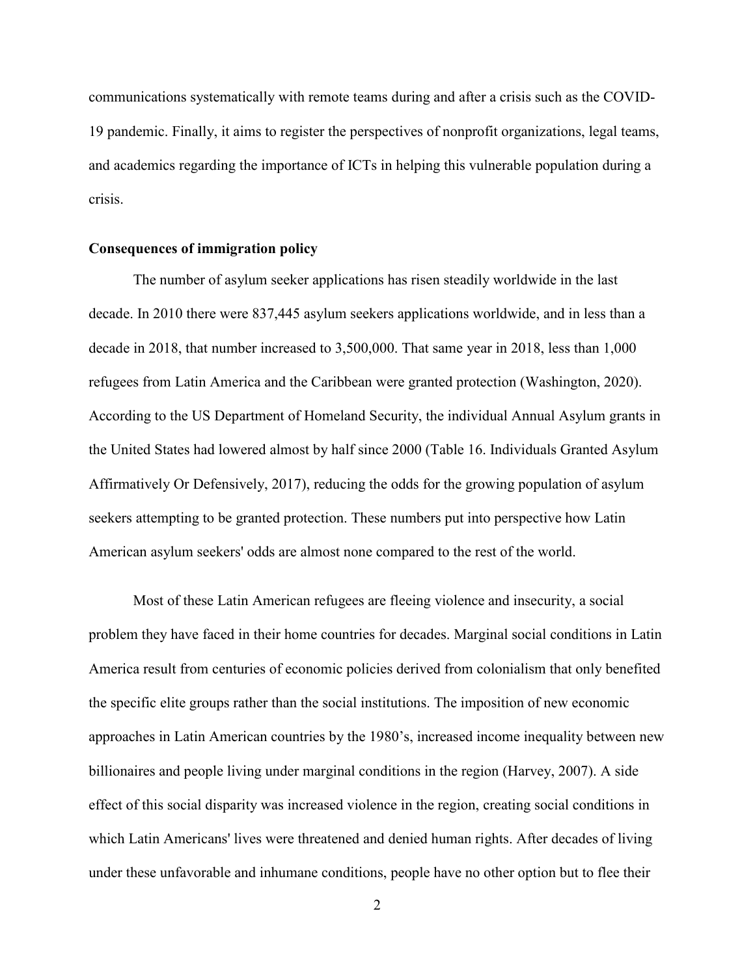communications systematically with remote teams during and after a crisis such as the COVID-19 pandemic. Finally, it aims to register the perspectives of nonprofit organizations, legal teams, and academics regarding the importance of ICTs in helping this vulnerable population during a crisis.

#### **Consequences of immigration policy**

The number of asylum seeker applications has risen steadily worldwide in the last decade. In 2010 there were 837,445 asylum seekers applications worldwide, and in less than a decade in 2018, that number increased to 3,500,000. That same year in 2018, less than 1,000 refugees from Latin America and the Caribbean were granted protection (Washington, 2020). According to the US Department of Homeland Security, the individual Annual Asylum grants in the United States had lowered almost by half since 2000 (Table 16. Individuals Granted Asylum Affirmatively Or Defensively, 2017), reducing the odds for the growing population of asylum seekers attempting to be granted protection. These numbers put into perspective how Latin American asylum seekers' odds are almost none compared to the rest of the world.

Most of these Latin American refugees are fleeing violence and insecurity, a social problem they have faced in their home countries for decades. Marginal social conditions in Latin America result from centuries of economic policies derived from colonialism that only benefited the specific elite groups rather than the social institutions. The imposition of new economic approaches in Latin American countries by the 1980's, increased income inequality between new billionaires and people living under marginal conditions in the region (Harvey, 2007). A side effect of this social disparity was increased violence in the region, creating social conditions in which Latin Americans' lives were threatened and denied human rights. After decades of living under these unfavorable and inhumane conditions, people have no other option but to flee their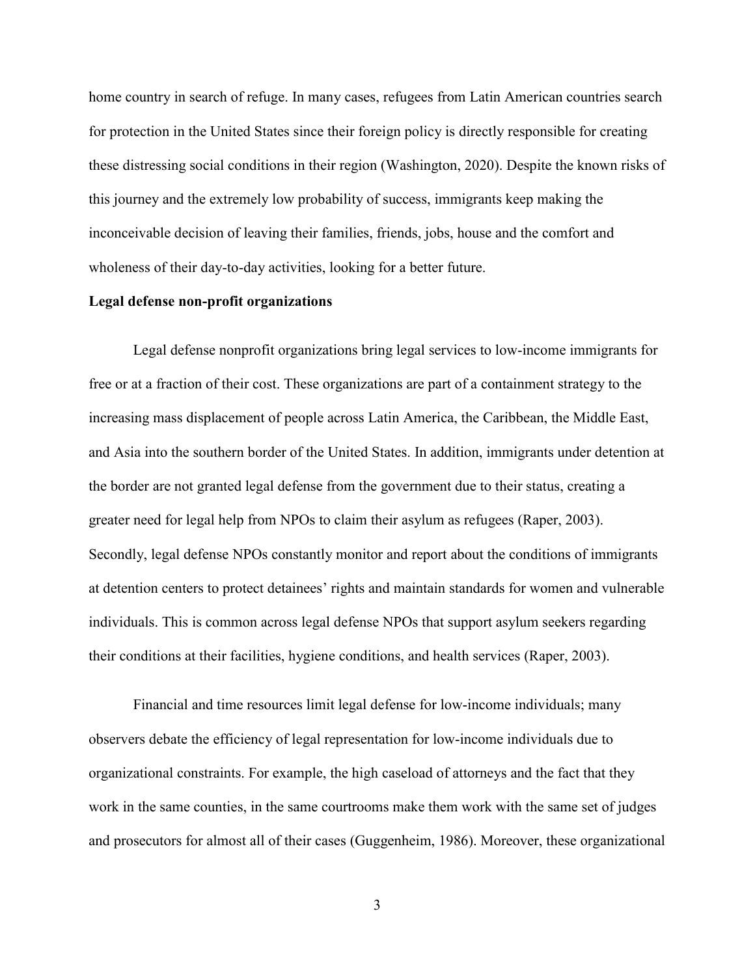home country in search of refuge. In many cases, refugees from Latin American countries search for protection in the United States since their foreign policy is directly responsible for creating these distressing social conditions in their region (Washington, 2020). Despite the known risks of this journey and the extremely low probability of success, immigrants keep making the inconceivable decision of leaving their families, friends, jobs, house and the comfort and wholeness of their day-to-day activities, looking for a better future.

#### **Legal defense non-profit organizations**

Legal defense nonprofit organizations bring legal services to low-income immigrants for free or at a fraction of their cost. These organizations are part of a containment strategy to the increasing mass displacement of people across Latin America, the Caribbean, the Middle East, and Asia into the southern border of the United States. In addition, immigrants under detention at the border are not granted legal defense from the government due to their status, creating a greater need for legal help from NPOs to claim their asylum as refugees (Raper, 2003). Secondly, legal defense NPOs constantly monitor and report about the conditions of immigrants at detention centers to protect detainees' rights and maintain standards for women and vulnerable individuals. This is common across legal defense NPOs that support asylum seekers regarding their conditions at their facilities, hygiene conditions, and health services (Raper, 2003).

Financial and time resources limit legal defense for low-income individuals; many observers debate the efficiency of legal representation for low-income individuals due to organizational constraints. For example, the high caseload of attorneys and the fact that they work in the same counties, in the same courtrooms make them work with the same set of judges and prosecutors for almost all of their cases (Guggenheim, 1986). Moreover, these organizational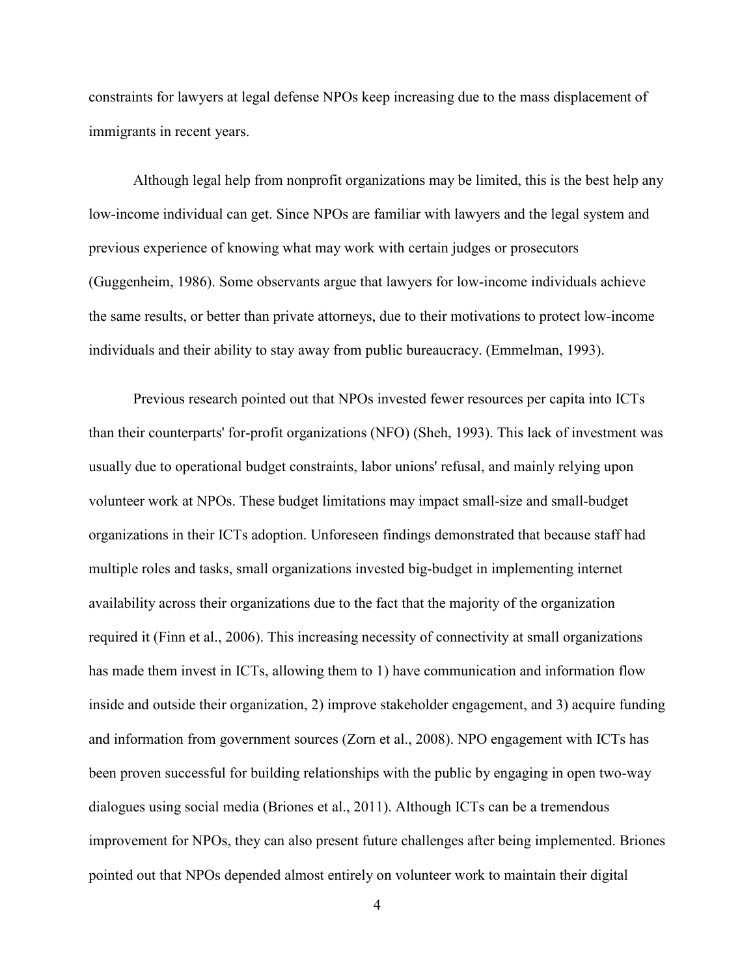constraints for lawyers at legal defense NPOs keep increasing due to the mass displacement of immigrants in recent years.

Although legal help from nonprofit organizations may be limited, this is the best help any low-income individual can get. Since NPOs are familiar with lawyers and the legal system and previous experience of knowing what may work with certain judges or prosecutors (Guggenheim, 1986). Some observants argue that lawyers for low-income individuals achieve the same results, or better than private attorneys, due to their motivations to protect low-income individuals and their ability to stay away from public bureaucracy. (Emmelman, 1993).

Previous research pointed out that NPOs invested fewer resources per capita into ICTs than their counterparts' for-profit organizations (NFO) (Sheh, 1993). This lack of investment was usually due to operational budget constraints, labor unions' refusal, and mainly relying upon volunteer work at NPOs. These budget limitations may impact small-size and small-budget organizations in their ICTs adoption. Unforeseen findings demonstrated that because staff had multiple roles and tasks, small organizations invested big-budget in implementing internet availability across their organizations due to the fact that the majority of the organization required it (Finn et al., 2006). This increasing necessity of connectivity at small organizations has made them invest in ICTs, allowing them to 1) have communication and information flow inside and outside their organization, 2) improve stakeholder engagement, and 3) acquire funding and information from government sources (Zorn et al., 2008). NPO engagement with ICTs has been proven successful for building relationships with the public by engaging in open two-way dialogues using social media (Briones et al., 2011). Although ICTs can be a tremendous improvement for NPOs, they can also present future challenges after being implemented. Briones pointed out that NPOs depended almost entirely on volunteer work to maintain their digital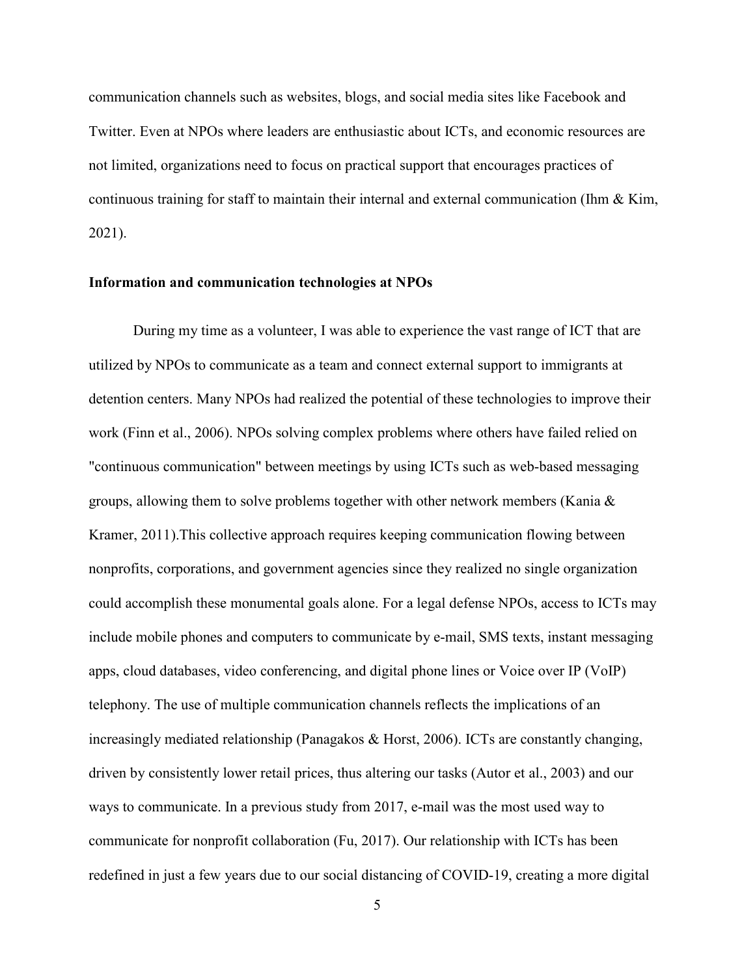communication channels such as websites, blogs, and social media sites like Facebook and Twitter. Even at NPOs where leaders are enthusiastic about ICTs, and economic resources are not limited, organizations need to focus on practical support that encourages practices of continuous training for staff to maintain their internal and external communication (Ihm  $\&$  Kim, 2021).

#### **Information and communication technologies at NPOs**

During my time as a volunteer, I was able to experience the vast range of ICT that are utilized by NPOs to communicate as a team and connect external support to immigrants at detention centers. Many NPOs had realized the potential of these technologies to improve their work (Finn et al., 2006). NPOs solving complex problems where others have failed relied on "continuous communication" between meetings by using ICTs such as web-based messaging groups, allowing them to solve problems together with other network members (Kania & Kramer, 2011).This collective approach requires keeping communication flowing between nonprofits, corporations, and government agencies since they realized no single organization could accomplish these monumental goals alone. For a legal defense NPOs, access to ICTs may include mobile phones and computers to communicate by e-mail, SMS texts, instant messaging apps, cloud databases, video conferencing, and digital phone lines or Voice over IP (VoIP) telephony. The use of multiple communication channels reflects the implications of an increasingly mediated relationship (Panagakos & Horst, 2006). ICTs are constantly changing, driven by consistently lower retail prices, thus altering our tasks (Autor et al., 2003) and our ways to communicate. In a previous study from 2017, e-mail was the most used way to communicate for nonprofit collaboration (Fu, 2017). Our relationship with ICTs has been redefined in just a few years due to our social distancing of COVID-19, creating a more digital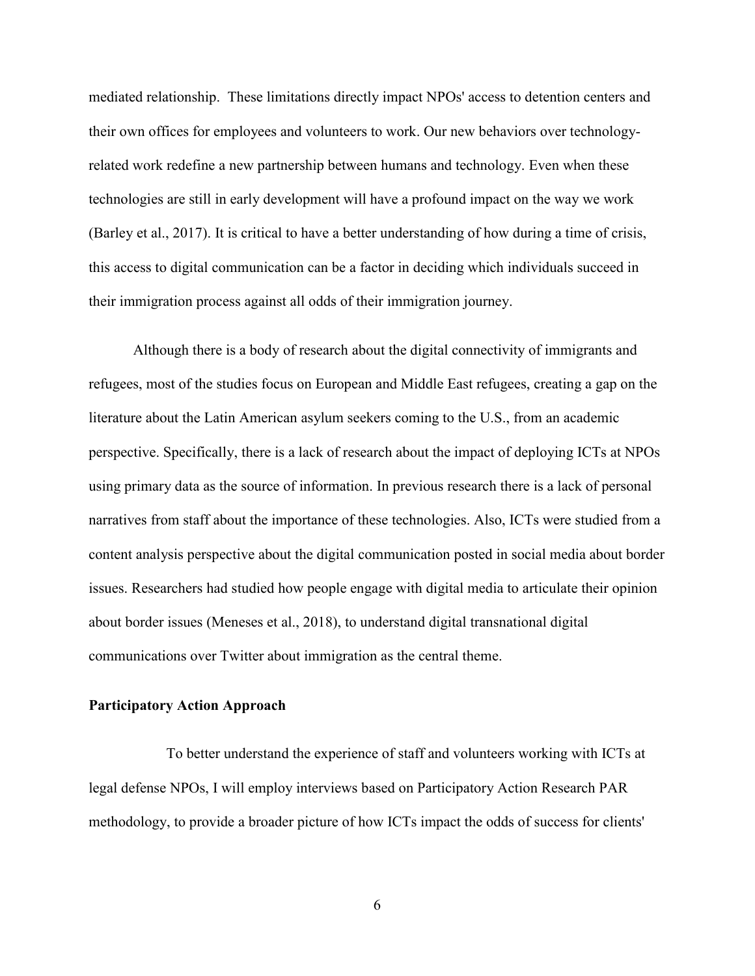mediated relationship. These limitations directly impact NPOs' access to detention centers and their own offices for employees and volunteers to work. Our new behaviors over technologyrelated work redefine a new partnership between humans and technology. Even when these technologies are still in early development will have a profound impact on the way we work (Barley et al., 2017). It is critical to have a better understanding of how during a time of crisis, this access to digital communication can be a factor in deciding which individuals succeed in their immigration process against all odds of their immigration journey.

Although there is a body of research about the digital connectivity of immigrants and refugees, most of the studies focus on European and Middle East refugees, creating a gap on the literature about the Latin American asylum seekers coming to the U.S., from an academic perspective. Specifically, there is a lack of research about the impact of deploying ICTs at NPOs using primary data as the source of information. In previous research there is a lack of personal narratives from staff about the importance of these technologies. Also, ICTs were studied from a content analysis perspective about the digital communication posted in social media about border issues. Researchers had studied how people engage with digital media to articulate their opinion about border issues (Meneses et al., 2018), to understand digital transnational digital communications over Twitter about immigration as the central theme.

#### **Participatory Action Approach**

 To better understand the experience of staff and volunteers working with ICTs at legal defense NPOs, I will employ interviews based on Participatory Action Research PAR methodology, to provide a broader picture of how ICTs impact the odds of success for clients'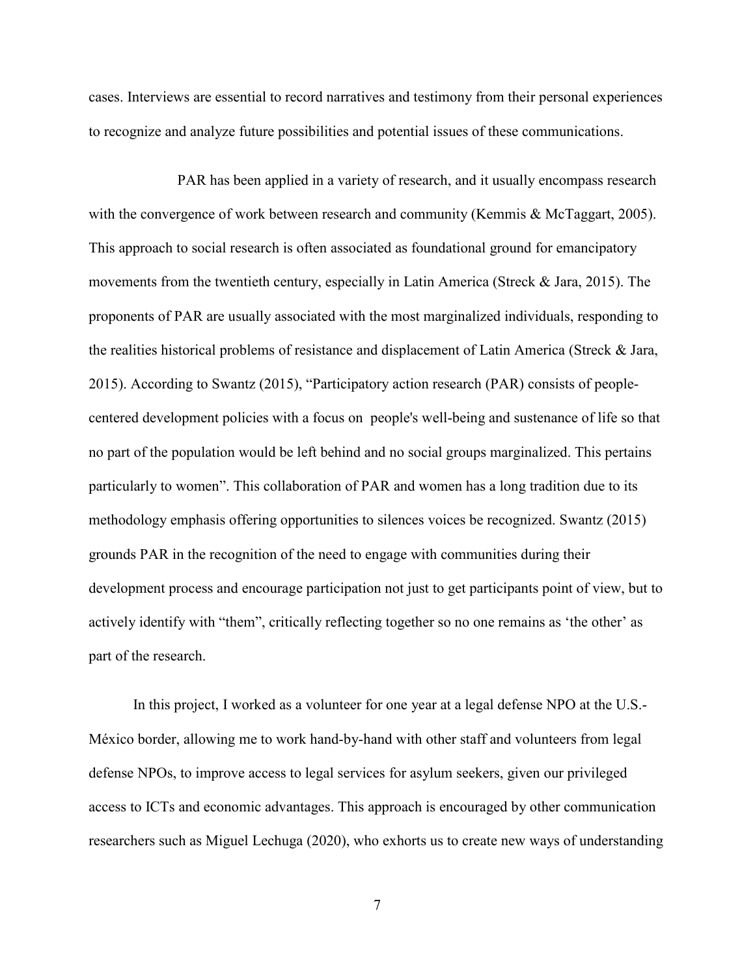cases. Interviews are essential to record narratives and testimony from their personal experiences to recognize and analyze future possibilities and potential issues of these communications.

 PAR has been applied in a variety of research, and it usually encompass research with the convergence of work between research and community (Kemmis & McTaggart, 2005). This approach to social research is often associated as foundational ground for emancipatory movements from the twentieth century, especially in Latin America (Streck & Jara, 2015). The proponents of PAR are usually associated with the most marginalized individuals, responding to the realities historical problems of resistance and displacement of Latin America (Streck & Jara, 2015). According to Swantz (2015), "Participatory action research (PAR) consists of peoplecentered development policies with a focus on people's well-being and sustenance of life so that no part of the population would be left behind and no social groups marginalized. This pertains particularly to women". This collaboration of PAR and women has a long tradition due to its methodology emphasis offering opportunities to silences voices be recognized. Swantz (2015) grounds PAR in the recognition of the need to engage with communities during their development process and encourage participation not just to get participants point of view, but to actively identify with "them", critically reflecting together so no one remains as 'the other' as part of the research.

In this project, I worked as a volunteer for one year at a legal defense NPO at the U.S.- México border, allowing me to work hand-by-hand with other staff and volunteers from legal defense NPOs, to improve access to legal services for asylum seekers, given our privileged access to ICTs and economic advantages. This approach is encouraged by other communication researchers such as Miguel Lechuga (2020), who exhorts us to create new ways of understanding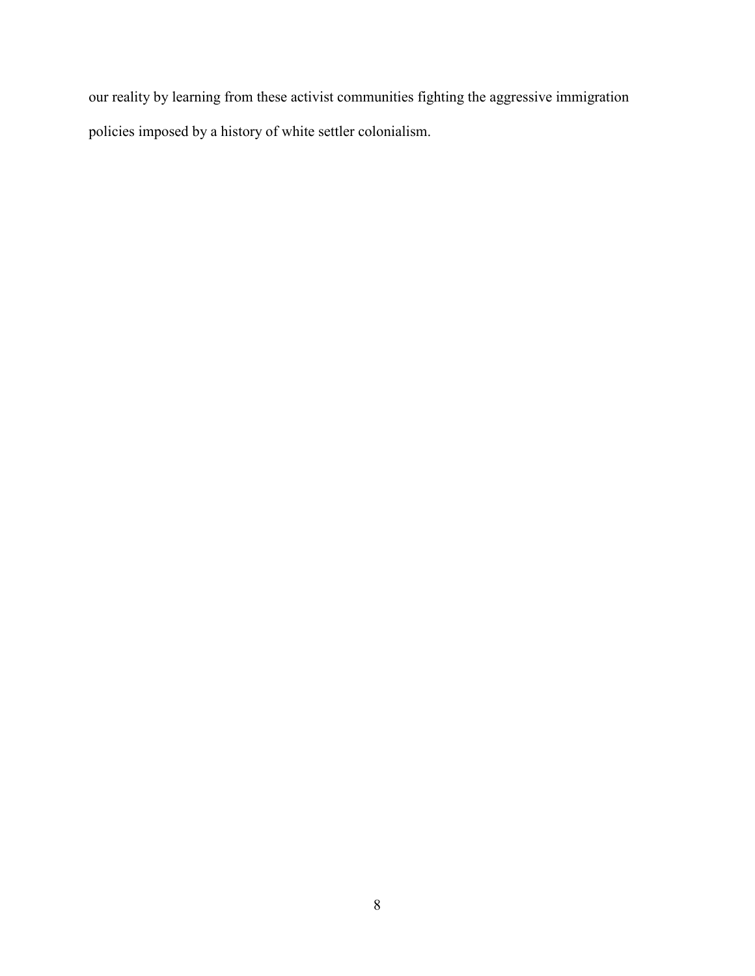our reality by learning from these activist communities fighting the aggressive immigration policies imposed by a history of white settler colonialism.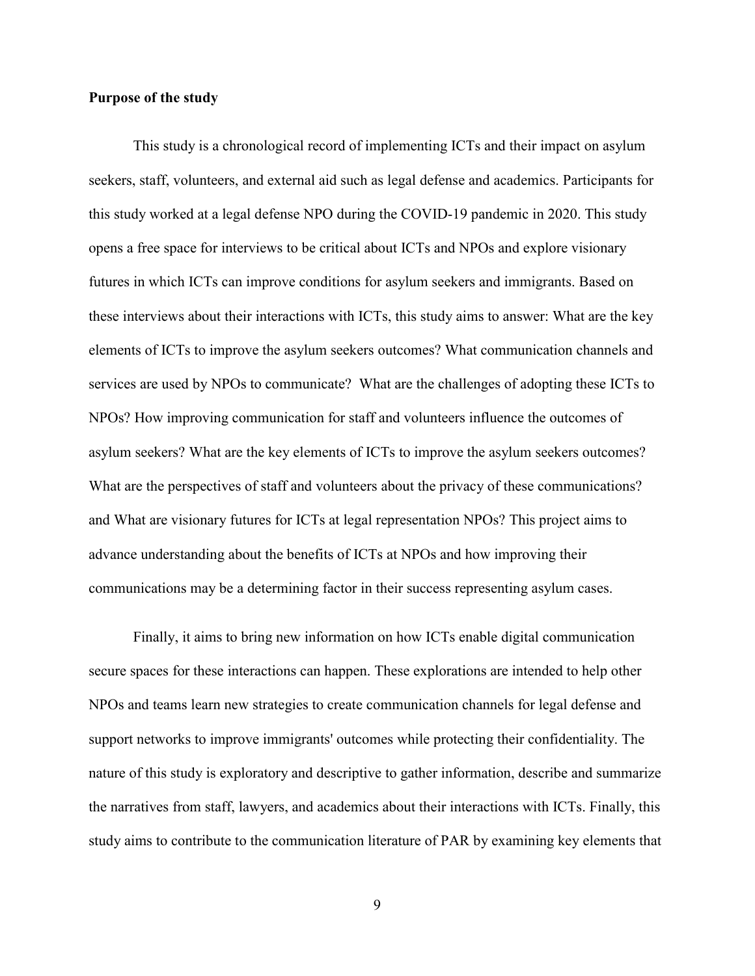#### **Purpose of the study**

 This study is a chronological record of implementing ICTs and their impact on asylum seekers, staff, volunteers, and external aid such as legal defense and academics. Participants for this study worked at a legal defense NPO during the COVID-19 pandemic in 2020. This study opens a free space for interviews to be critical about ICTs and NPOs and explore visionary futures in which ICTs can improve conditions for asylum seekers and immigrants. Based on these interviews about their interactions with ICTs, this study aims to answer: What are the key elements of ICTs to improve the asylum seekers outcomes? What communication channels and services are used by NPOs to communicate? What are the challenges of adopting these ICTs to NPOs? How improving communication for staff and volunteers influence the outcomes of asylum seekers? What are the key elements of ICTs to improve the asylum seekers outcomes? What are the perspectives of staff and volunteers about the privacy of these communications? and What are visionary futures for ICTs at legal representation NPOs? This project aims to advance understanding about the benefits of ICTs at NPOs and how improving their communications may be a determining factor in their success representing asylum cases.

 Finally, it aims to bring new information on how ICTs enable digital communication secure spaces for these interactions can happen. These explorations are intended to help other NPOs and teams learn new strategies to create communication channels for legal defense and support networks to improve immigrants' outcomes while protecting their confidentiality. The nature of this study is exploratory and descriptive to gather information, describe and summarize the narratives from staff, lawyers, and academics about their interactions with ICTs. Finally, this study aims to contribute to the communication literature of PAR by examining key elements that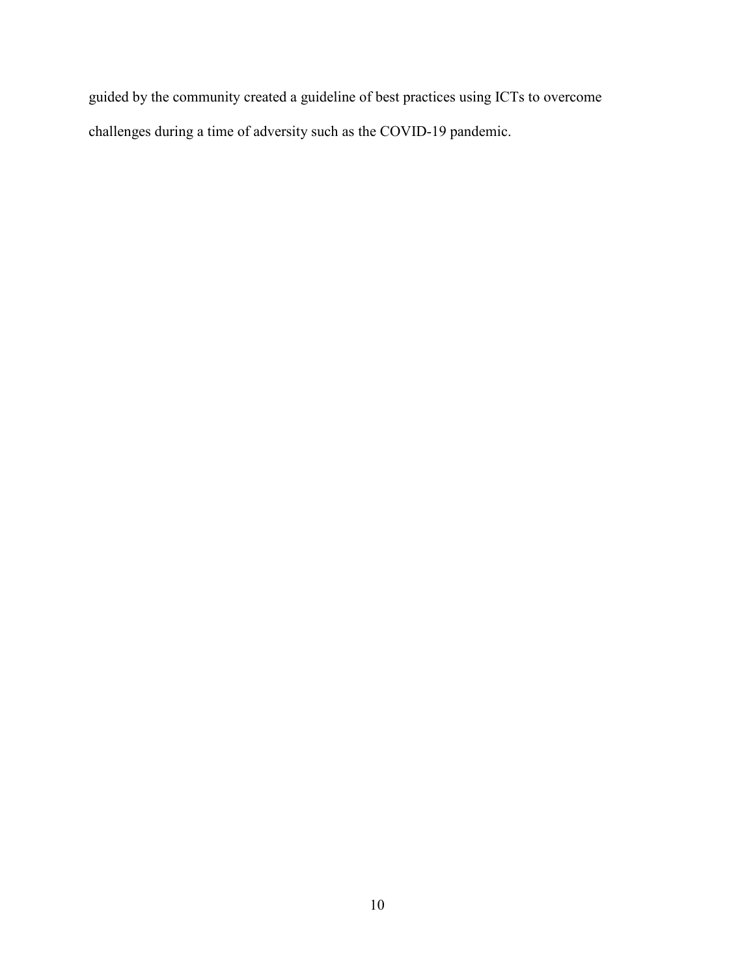guided by the community created a guideline of best practices using ICTs to overcome challenges during a time of adversity such as the COVID-19 pandemic.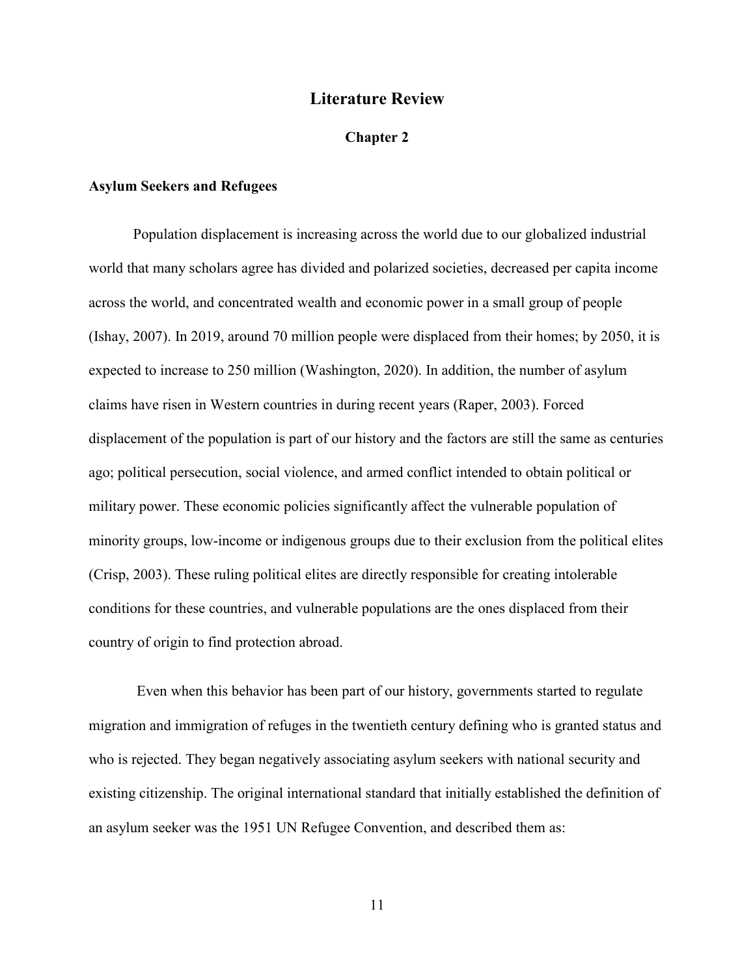### **Literature Review**

#### **Chapter 2**

#### **Asylum Seekers and Refugees**

Population displacement is increasing across the world due to our globalized industrial world that many scholars agree has divided and polarized societies, decreased per capita income across the world, and concentrated wealth and economic power in a small group of people (Ishay, 2007). In 2019, around 70 million people were displaced from their homes; by 2050, it is expected to increase to 250 million (Washington, 2020). In addition, the number of asylum claims have risen in Western countries in during recent years (Raper, 2003). Forced displacement of the population is part of our history and the factors are still the same as centuries ago; political persecution, social violence, and armed conflict intended to obtain political or military power. These economic policies significantly affect the vulnerable population of minority groups, low-income or indigenous groups due to their exclusion from the political elites (Crisp, 2003). These ruling political elites are directly responsible for creating intolerable conditions for these countries, and vulnerable populations are the ones displaced from their country of origin to find protection abroad.

 Even when this behavior has been part of our history, governments started to regulate migration and immigration of refuges in the twentieth century defining who is granted status and who is rejected. They began negatively associating asylum seekers with national security and existing citizenship. The original international standard that initially established the definition of an asylum seeker was the 1951 UN Refugee Convention, and described them as: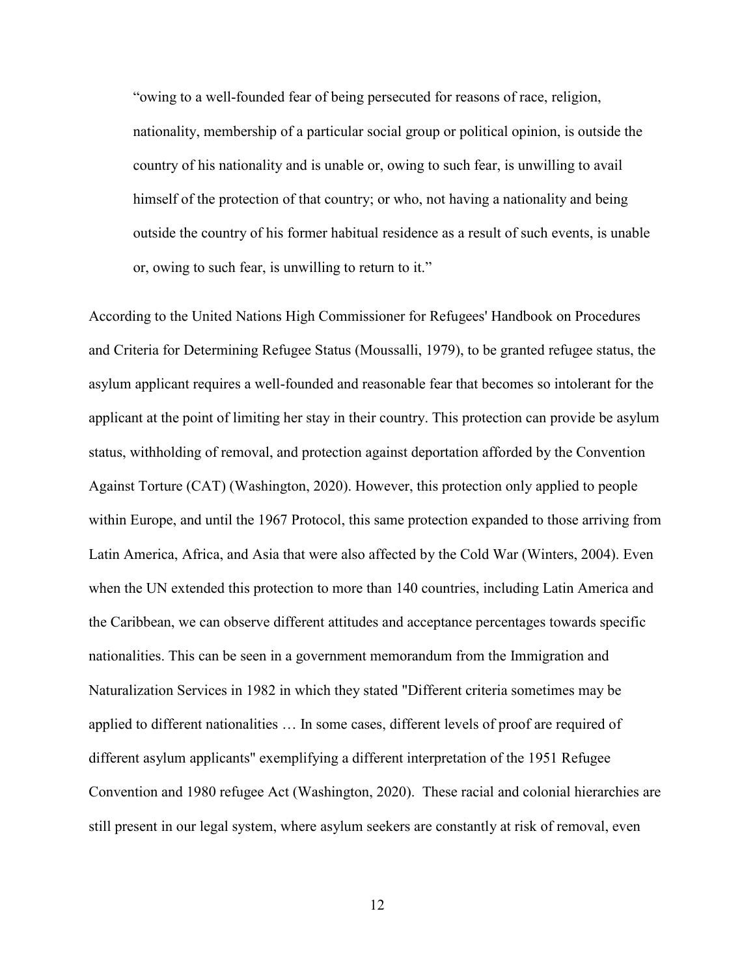"owing to a well-founded fear of being persecuted for reasons of race, religion, nationality, membership of a particular social group or political opinion, is outside the country of his nationality and is unable or, owing to such fear, is unwilling to avail himself of the protection of that country; or who, not having a nationality and being outside the country of his former habitual residence as a result of such events, is unable or, owing to such fear, is unwilling to return to it."

According to the United Nations High Commissioner for Refugees' Handbook on Procedures and Criteria for Determining Refugee Status (Moussalli, 1979), to be granted refugee status, the asylum applicant requires a well-founded and reasonable fear that becomes so intolerant for the applicant at the point of limiting her stay in their country. This protection can provide be asylum status, withholding of removal, and protection against deportation afforded by the Convention Against Torture (CAT) (Washington, 2020). However, this protection only applied to people within Europe, and until the 1967 Protocol, this same protection expanded to those arriving from Latin America, Africa, and Asia that were also affected by the Cold War (Winters, 2004). Even when the UN extended this protection to more than 140 countries, including Latin America and the Caribbean, we can observe different attitudes and acceptance percentages towards specific nationalities. This can be seen in a government memorandum from the Immigration and Naturalization Services in 1982 in which they stated "Different criteria sometimes may be applied to different nationalities … In some cases, different levels of proof are required of different asylum applicants" exemplifying a different interpretation of the 1951 Refugee Convention and 1980 refugee Act (Washington, 2020). These racial and colonial hierarchies are still present in our legal system, where asylum seekers are constantly at risk of removal, even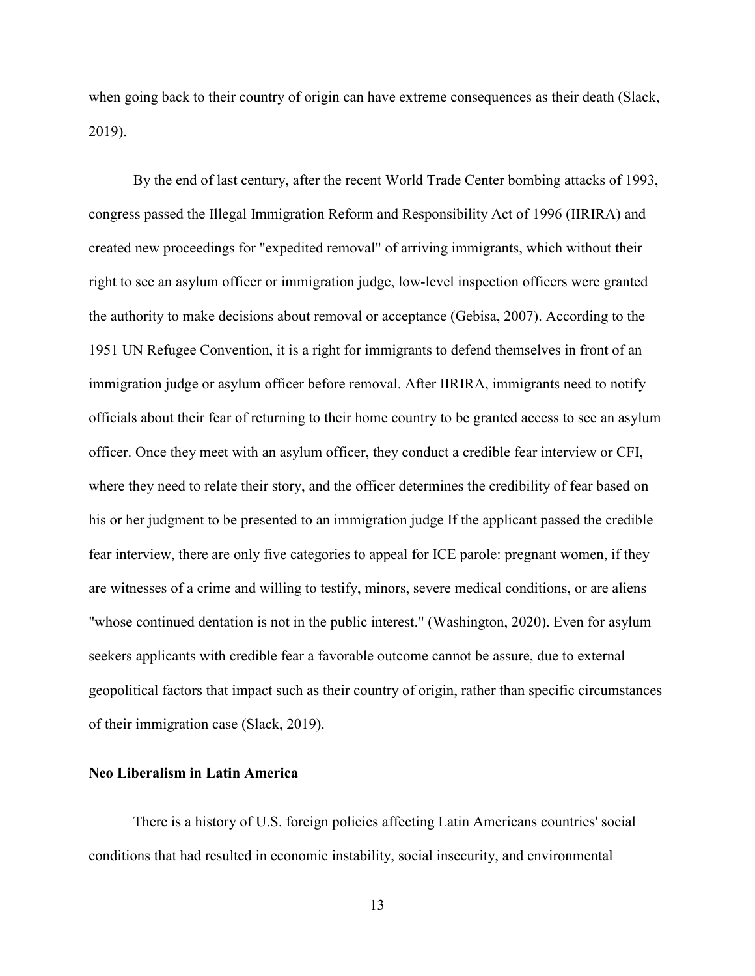when going back to their country of origin can have extreme consequences as their death (Slack, 2019).

By the end of last century, after the recent World Trade Center bombing attacks of 1993, congress passed the Illegal Immigration Reform and Responsibility Act of 1996 (IIRIRA) and created new proceedings for "expedited removal" of arriving immigrants, which without their right to see an asylum officer or immigration judge, low-level inspection officers were granted the authority to make decisions about removal or acceptance (Gebisa, 2007). According to the 1951 UN Refugee Convention, it is a right for immigrants to defend themselves in front of an immigration judge or asylum officer before removal. After IIRIRA, immigrants need to notify officials about their fear of returning to their home country to be granted access to see an asylum officer. Once they meet with an asylum officer, they conduct a credible fear interview or CFI, where they need to relate their story, and the officer determines the credibility of fear based on his or her judgment to be presented to an immigration judge If the applicant passed the credible fear interview, there are only five categories to appeal for ICE parole: pregnant women, if they are witnesses of a crime and willing to testify, minors, severe medical conditions, or are aliens "whose continued dentation is not in the public interest." (Washington, 2020). Even for asylum seekers applicants with credible fear a favorable outcome cannot be assure, due to external geopolitical factors that impact such as their country of origin, rather than specific circumstances of their immigration case (Slack, 2019).

#### **Neo Liberalism in Latin America**

There is a history of U.S. foreign policies affecting Latin Americans countries' social conditions that had resulted in economic instability, social insecurity, and environmental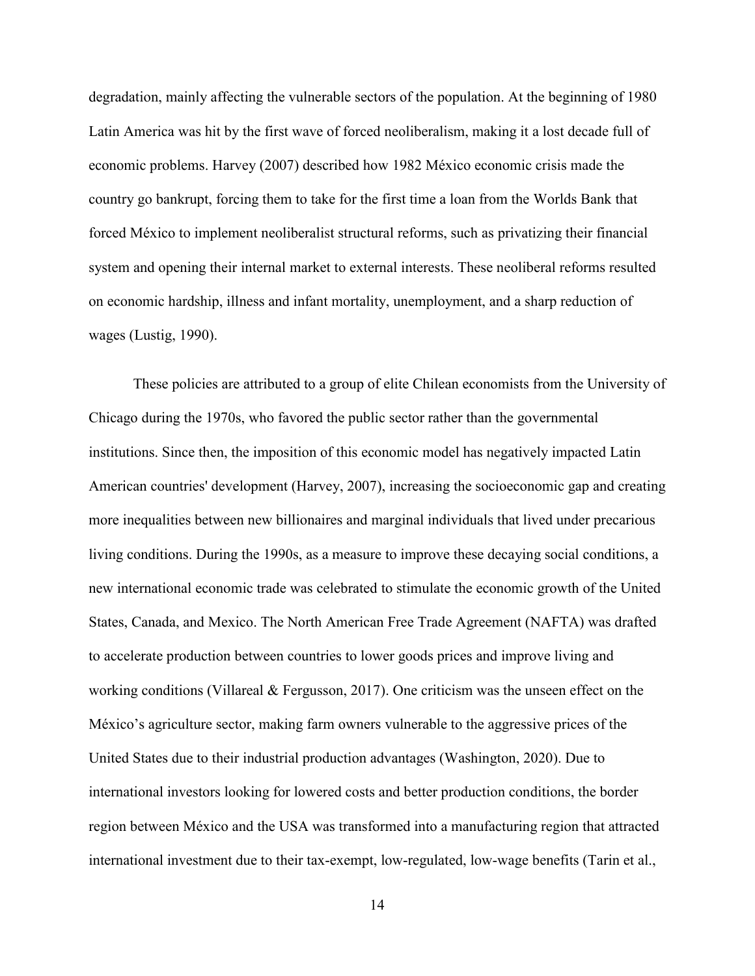degradation, mainly affecting the vulnerable sectors of the population. At the beginning of 1980 Latin America was hit by the first wave of forced neoliberalism, making it a lost decade full of economic problems. Harvey (2007) described how 1982 México economic crisis made the country go bankrupt, forcing them to take for the first time a loan from the Worlds Bank that forced México to implement neoliberalist structural reforms, such as privatizing their financial system and opening their internal market to external interests. These neoliberal reforms resulted on economic hardship, illness and infant mortality, unemployment, and a sharp reduction of wages (Lustig, 1990).

These policies are attributed to a group of elite Chilean economists from the University of Chicago during the 1970s, who favored the public sector rather than the governmental institutions. Since then, the imposition of this economic model has negatively impacted Latin American countries' development (Harvey, 2007), increasing the socioeconomic gap and creating more inequalities between new billionaires and marginal individuals that lived under precarious living conditions. During the 1990s, as a measure to improve these decaying social conditions, a new international economic trade was celebrated to stimulate the economic growth of the United States, Canada, and Mexico. The North American Free Trade Agreement (NAFTA) was drafted to accelerate production between countries to lower goods prices and improve living and working conditions (Villareal & Fergusson, 2017). One criticism was the unseen effect on the México's agriculture sector, making farm owners vulnerable to the aggressive prices of the United States due to their industrial production advantages (Washington, 2020). Due to international investors looking for lowered costs and better production conditions, the border region between México and the USA was transformed into a manufacturing region that attracted international investment due to their tax-exempt, low-regulated, low-wage benefits (Tarin et al.,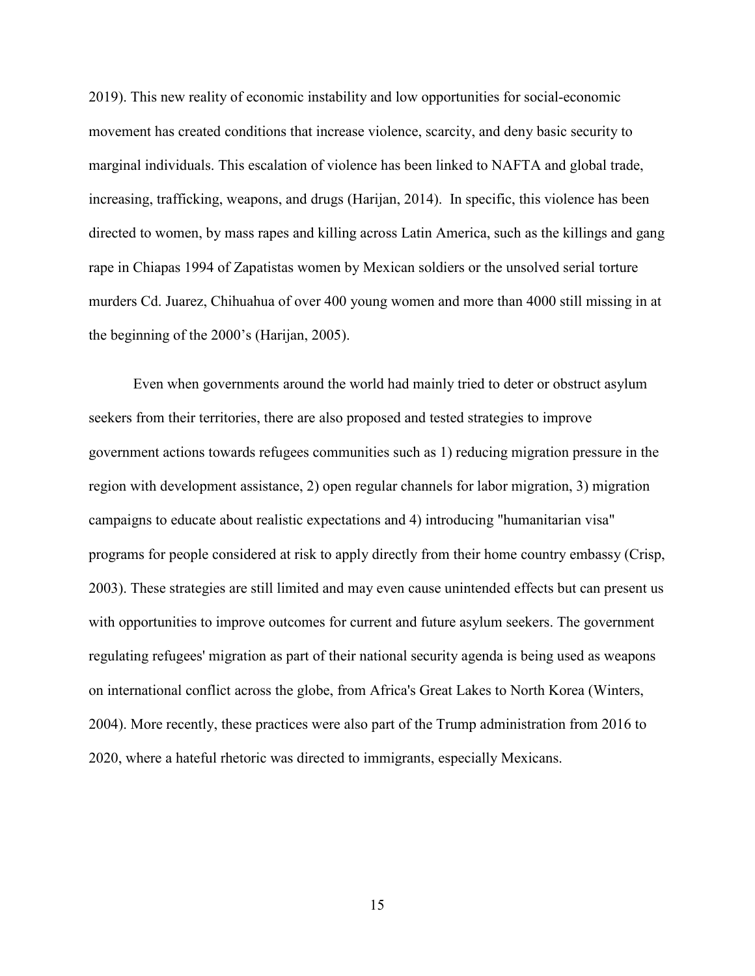2019). This new reality of economic instability and low opportunities for social-economic movement has created conditions that increase violence, scarcity, and deny basic security to marginal individuals. This escalation of violence has been linked to NAFTA and global trade, increasing, trafficking, weapons, and drugs (Harijan, 2014). In specific, this violence has been directed to women, by mass rapes and killing across Latin America, such as the killings and gang rape in Chiapas 1994 of Zapatistas women by Mexican soldiers or the unsolved serial torture murders Cd. Juarez, Chihuahua of over 400 young women and more than 4000 still missing in at the beginning of the 2000's (Harijan, 2005).

Even when governments around the world had mainly tried to deter or obstruct asylum seekers from their territories, there are also proposed and tested strategies to improve government actions towards refugees communities such as 1) reducing migration pressure in the region with development assistance, 2) open regular channels for labor migration, 3) migration campaigns to educate about realistic expectations and 4) introducing "humanitarian visa" programs for people considered at risk to apply directly from their home country embassy (Crisp, 2003). These strategies are still limited and may even cause unintended effects but can present us with opportunities to improve outcomes for current and future asylum seekers. The government regulating refugees' migration as part of their national security agenda is being used as weapons on international conflict across the globe, from Africa's Great Lakes to North Korea (Winters, 2004). More recently, these practices were also part of the Trump administration from 2016 to 2020, where a hateful rhetoric was directed to immigrants, especially Mexicans.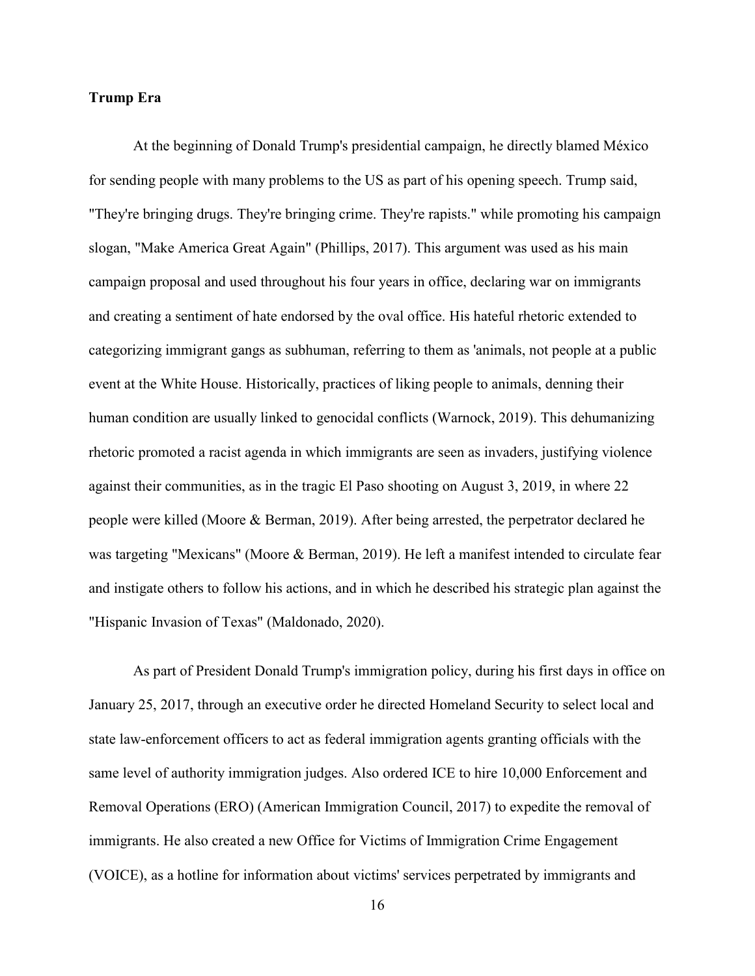#### **Trump Era**

At the beginning of Donald Trump's presidential campaign, he directly blamed México for sending people with many problems to the US as part of his opening speech. Trump said, "They're bringing drugs. They're bringing crime. They're rapists." while promoting his campaign slogan, "Make America Great Again" (Phillips, 2017). This argument was used as his main campaign proposal and used throughout his four years in office, declaring war on immigrants and creating a sentiment of hate endorsed by the oval office. His hateful rhetoric extended to categorizing immigrant gangs as subhuman, referring to them as 'animals, not people at a public event at the White House. Historically, practices of liking people to animals, denning their human condition are usually linked to genocidal conflicts (Warnock, 2019). This dehumanizing rhetoric promoted a racist agenda in which immigrants are seen as invaders, justifying violence against their communities, as in the tragic El Paso shooting on August 3, 2019, in where 22 people were killed (Moore & Berman, 2019). After being arrested, the perpetrator declared he was targeting "Mexicans" (Moore & Berman, 2019). He left a manifest intended to circulate fear and instigate others to follow his actions, and in which he described his strategic plan against the "Hispanic Invasion of Texas" (Maldonado, 2020).

As part of President Donald Trump's immigration policy, during his first days in office on January 25, 2017, through an executive order he directed Homeland Security to select local and state law-enforcement officers to act as federal immigration agents granting officials with the same level of authority immigration judges. Also ordered ICE to hire 10,000 Enforcement and Removal Operations (ERO) (American Immigration Council, 2017) to expedite the removal of immigrants. He also created a new Office for Victims of Immigration Crime Engagement (VOICE), as a hotline for information about victims' services perpetrated by immigrants and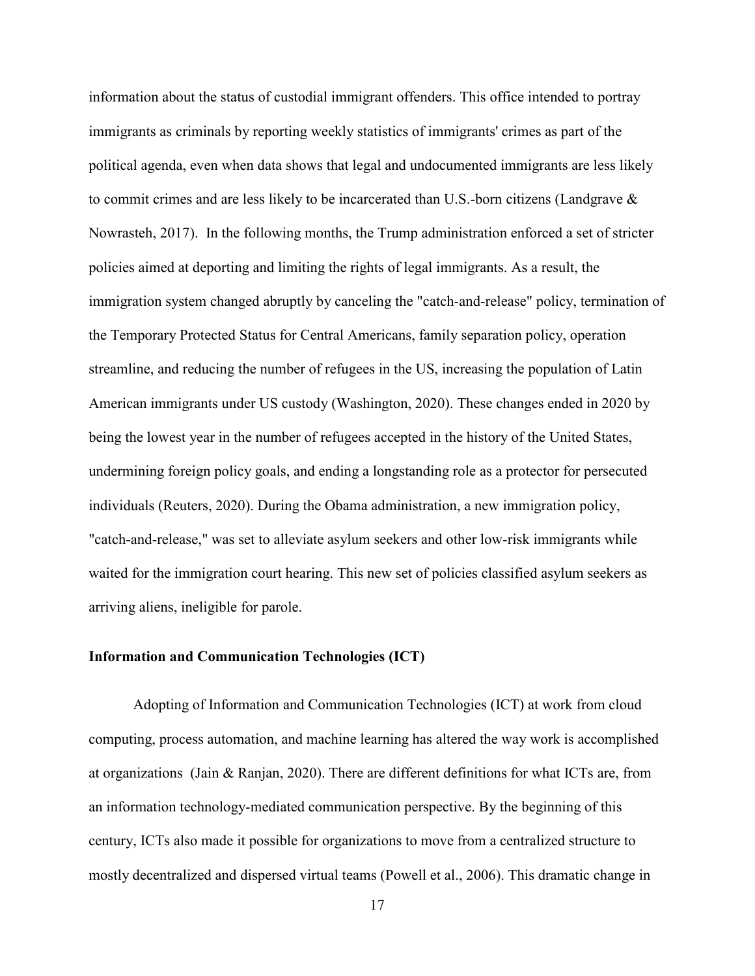information about the status of custodial immigrant offenders. This office intended to portray immigrants as criminals by reporting weekly statistics of immigrants' crimes as part of the political agenda, even when data shows that legal and undocumented immigrants are less likely to commit crimes and are less likely to be incarcerated than U.S.-born citizens (Landgrave & Nowrasteh, 2017). In the following months, the Trump administration enforced a set of stricter policies aimed at deporting and limiting the rights of legal immigrants. As a result, the immigration system changed abruptly by canceling the "catch-and-release" policy, termination of the Temporary Protected Status for Central Americans, family separation policy, operation streamline, and reducing the number of refugees in the US, increasing the population of Latin American immigrants under US custody (Washington, 2020). These changes ended in 2020 by being the lowest year in the number of refugees accepted in the history of the United States, undermining foreign policy goals, and ending a longstanding role as a protector for persecuted individuals (Reuters, 2020). During the Obama administration, a new immigration policy, "catch-and-release," was set to alleviate asylum seekers and other low-risk immigrants while waited for the immigration court hearing. This new set of policies classified asylum seekers as arriving aliens, ineligible for parole.

#### **Information and Communication Technologies (ICT)**

Adopting of Information and Communication Technologies (ICT) at work from cloud computing, process automation, and machine learning has altered the way work is accomplished at organizations (Jain & Ranjan, 2020). There are different definitions for what ICTs are, from an information technology-mediated communication perspective. By the beginning of this century, ICTs also made it possible for organizations to move from a centralized structure to mostly decentralized and dispersed virtual teams (Powell et al., 2006). This dramatic change in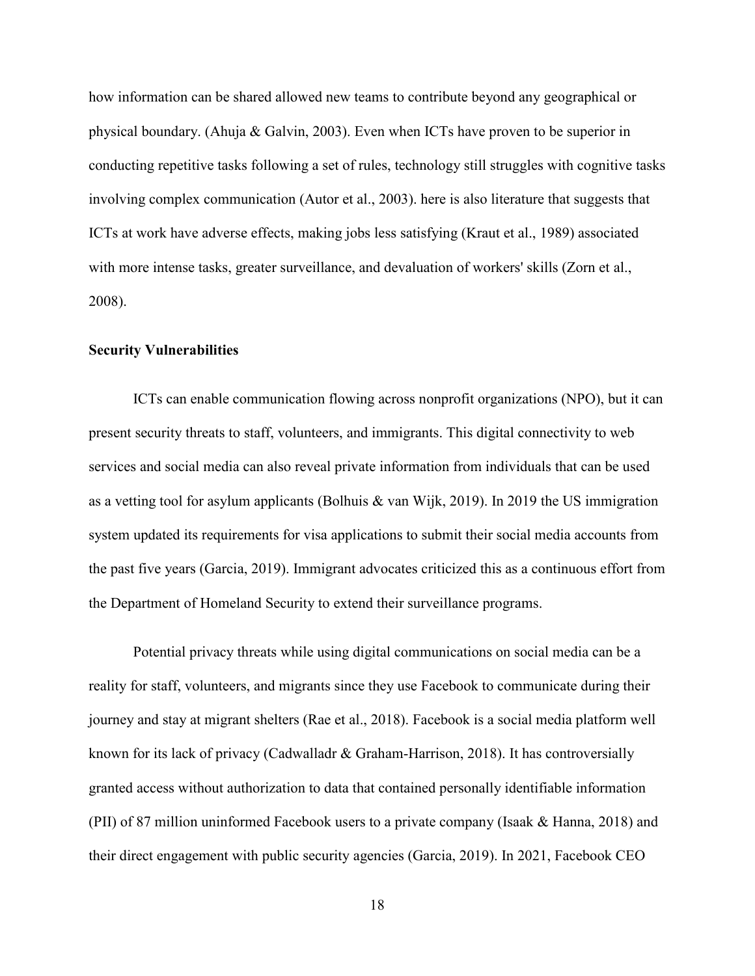how information can be shared allowed new teams to contribute beyond any geographical or physical boundary. (Ahuja & Galvin, 2003). Even when ICTs have proven to be superior in conducting repetitive tasks following a set of rules, technology still struggles with cognitive tasks involving complex communication (Autor et al., 2003). here is also literature that suggests that ICTs at work have adverse effects, making jobs less satisfying (Kraut et al., 1989) associated with more intense tasks, greater surveillance, and devaluation of workers' skills (Zorn et al., 2008).

#### **Security Vulnerabilities**

ICTs can enable communication flowing across nonprofit organizations (NPO), but it can present security threats to staff, volunteers, and immigrants. This digital connectivity to web services and social media can also reveal private information from individuals that can be used as a vetting tool for asylum applicants (Bolhuis & van Wijk, 2019). In 2019 the US immigration system updated its requirements for visa applications to submit their social media accounts from the past five years (Garcia, 2019). Immigrant advocates criticized this as a continuous effort from the Department of Homeland Security to extend their surveillance programs.

Potential privacy threats while using digital communications on social media can be a reality for staff, volunteers, and migrants since they use Facebook to communicate during their journey and stay at migrant shelters (Rae et al., 2018). Facebook is a social media platform well known for its lack of privacy (Cadwalladr & Graham-Harrison, 2018). It has controversially granted access without authorization to data that contained personally identifiable information (PII) of 87 million uninformed Facebook users to a private company (Isaak & Hanna, 2018) and their direct engagement with public security agencies (Garcia, 2019). In 2021, Facebook CEO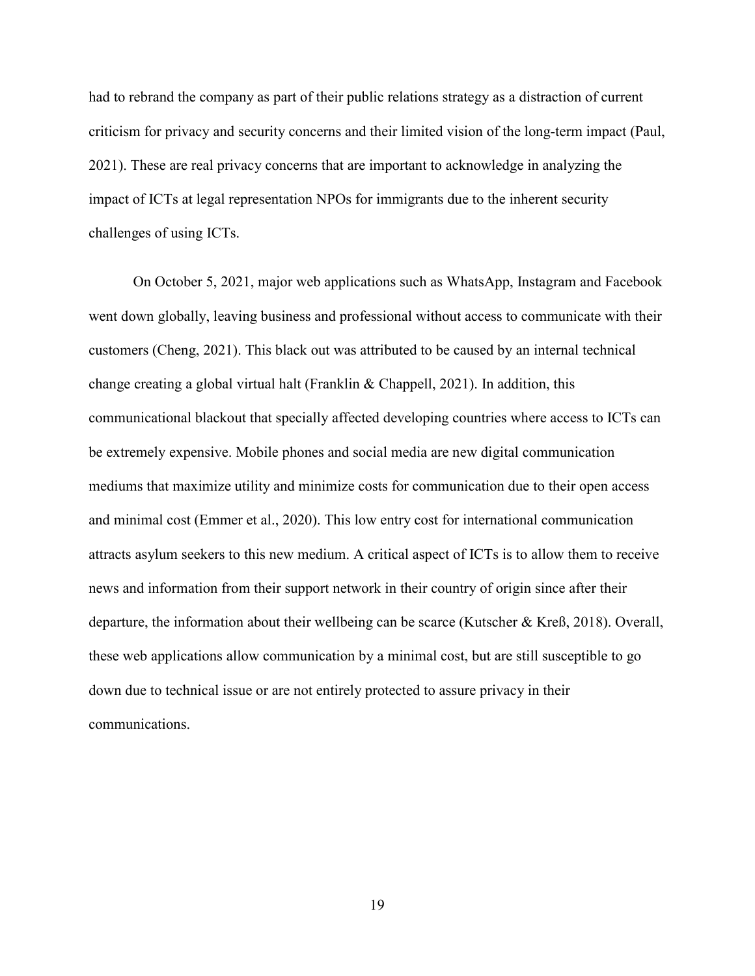had to rebrand the company as part of their public relations strategy as a distraction of current criticism for privacy and security concerns and their limited vision of the long-term impact (Paul, 2021). These are real privacy concerns that are important to acknowledge in analyzing the impact of ICTs at legal representation NPOs for immigrants due to the inherent security challenges of using ICTs.

On October 5, 2021, major web applications such as WhatsApp, Instagram and Facebook went down globally, leaving business and professional without access to communicate with their customers (Cheng, 2021). This black out was attributed to be caused by an internal technical change creating a global virtual halt (Franklin & Chappell, 2021). In addition, this communicational blackout that specially affected developing countries where access to ICTs can be extremely expensive. Mobile phones and social media are new digital communication mediums that maximize utility and minimize costs for communication due to their open access and minimal cost (Emmer et al., 2020). This low entry cost for international communication attracts asylum seekers to this new medium. A critical aspect of ICTs is to allow them to receive news and information from their support network in their country of origin since after their departure, the information about their wellbeing can be scarce (Kutscher & Kreß, 2018). Overall, these web applications allow communication by a minimal cost, but are still susceptible to go down due to technical issue or are not entirely protected to assure privacy in their communications.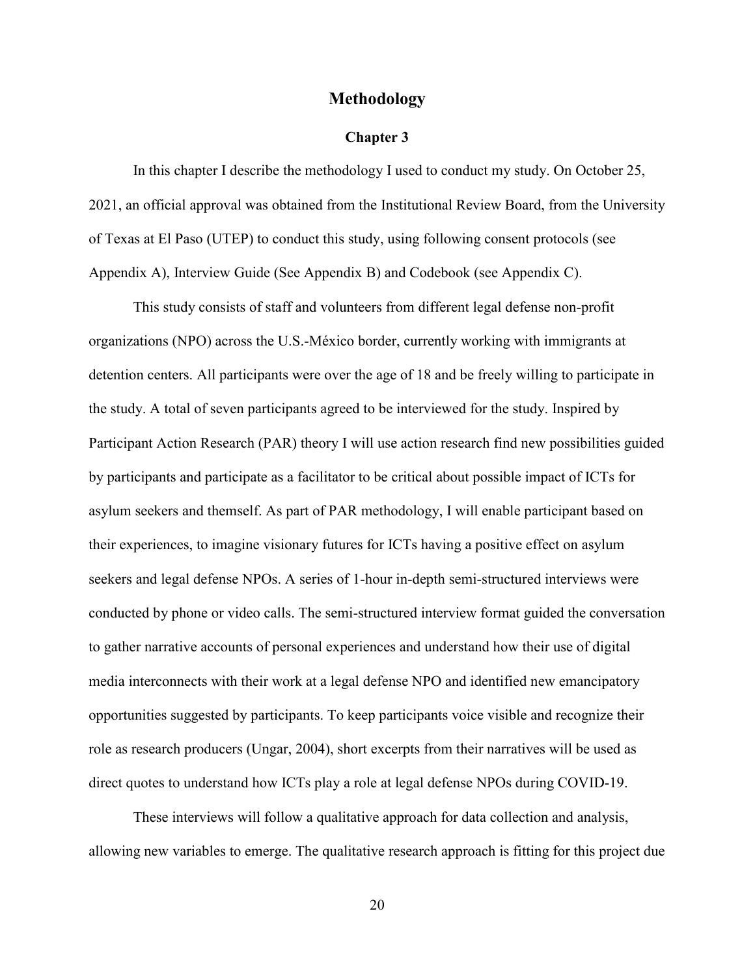#### **Methodology**

#### **Chapter 3**

 In this chapter I describe the methodology I used to conduct my study. On October 25, 2021, an official approval was obtained from the Institutional Review Board, from the University of Texas at El Paso (UTEP) to conduct this study, using following consent protocols (see Appendix A), Interview Guide (See Appendix B) and Codebook (see Appendix C).

This study consists of staff and volunteers from different legal defense non-profit organizations (NPO) across the U.S.-México border, currently working with immigrants at detention centers. All participants were over the age of 18 and be freely willing to participate in the study. A total of seven participants agreed to be interviewed for the study. Inspired by Participant Action Research (PAR) theory I will use action research find new possibilities guided by participants and participate as a facilitator to be critical about possible impact of ICTs for asylum seekers and themself. As part of PAR methodology, I will enable participant based on their experiences, to imagine visionary futures for ICTs having a positive effect on asylum seekers and legal defense NPOs. A series of 1-hour in-depth semi-structured interviews were conducted by phone or video calls. The semi-structured interview format guided the conversation to gather narrative accounts of personal experiences and understand how their use of digital media interconnects with their work at a legal defense NPO and identified new emancipatory opportunities suggested by participants. To keep participants voice visible and recognize their role as research producers (Ungar, 2004), short excerpts from their narratives will be used as direct quotes to understand how ICTs play a role at legal defense NPOs during COVID-19.

These interviews will follow a qualitative approach for data collection and analysis, allowing new variables to emerge. The qualitative research approach is fitting for this project due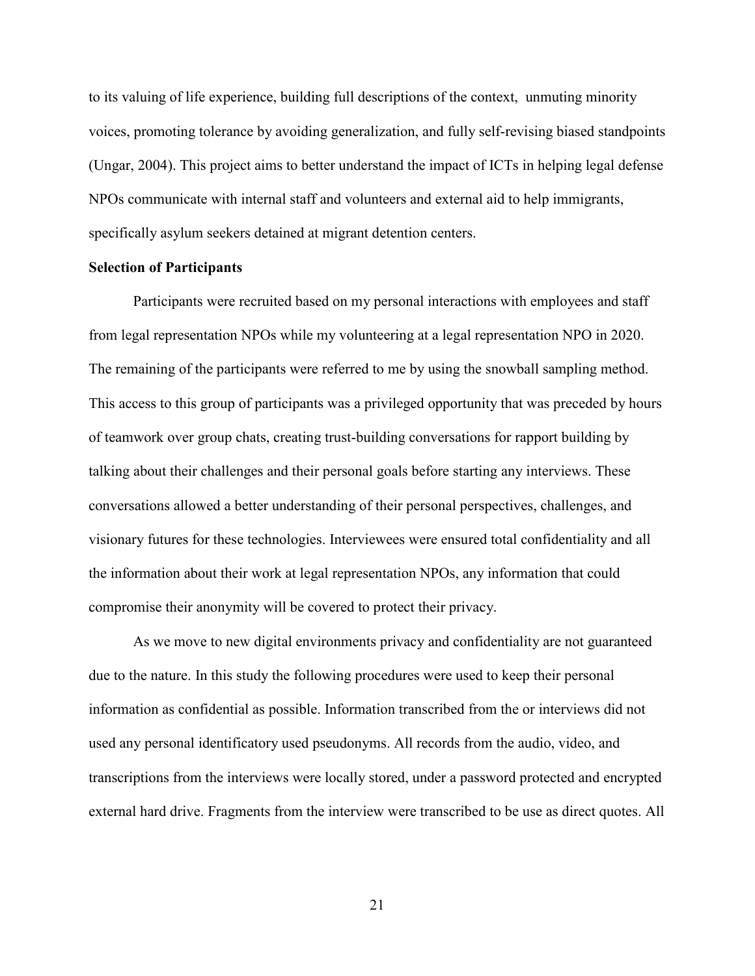to its valuing of life experience, building full descriptions of the context, unmuting minority voices, promoting tolerance by avoiding generalization, and fully self-revising biased standpoints (Ungar, 2004). This project aims to better understand the impact of ICTs in helping legal defense NPOs communicate with internal staff and volunteers and external aid to help immigrants, specifically asylum seekers detained at migrant detention centers.

#### **Selection of Participants**

Participants were recruited based on my personal interactions with employees and staff from legal representation NPOs while my volunteering at a legal representation NPO in 2020. The remaining of the participants were referred to me by using the snowball sampling method. This access to this group of participants was a privileged opportunity that was preceded by hours of teamwork over group chats, creating trust-building conversations for rapport building by talking about their challenges and their personal goals before starting any interviews. These conversations allowed a better understanding of their personal perspectives, challenges, and visionary futures for these technologies. Interviewees were ensured total confidentiality and all the information about their work at legal representation NPOs, any information that could compromise their anonymity will be covered to protect their privacy.

As we move to new digital environments privacy and confidentiality are not guaranteed due to the nature. In this study the following procedures were used to keep their personal information as confidential as possible. Information transcribed from the or interviews did not used any personal identificatory used pseudonyms. All records from the audio, video, and transcriptions from the interviews were locally stored, under a password protected and encrypted external hard drive. Fragments from the interview were transcribed to be use as direct quotes. All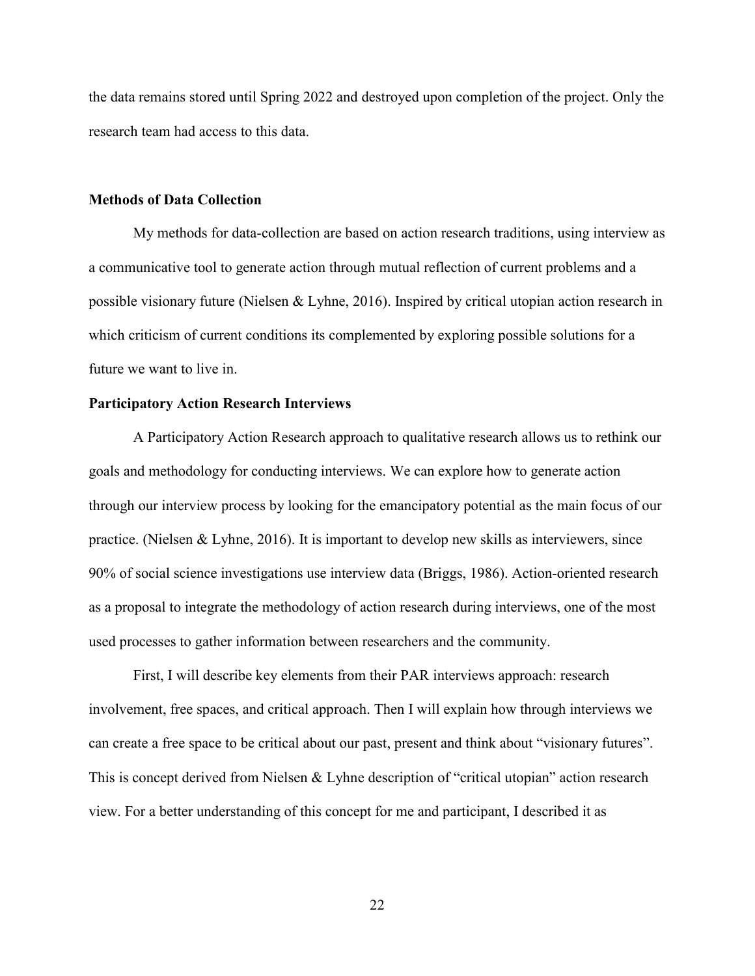the data remains stored until Spring 2022 and destroyed upon completion of the project. Only the research team had access to this data.

#### **Methods of Data Collection**

 My methods for data-collection are based on action research traditions, using interview as a communicative tool to generate action through mutual reflection of current problems and a possible visionary future (Nielsen & Lyhne, 2016). Inspired by critical utopian action research in which criticism of current conditions its complemented by exploring possible solutions for a future we want to live in.

#### **Participatory Action Research Interviews**

A Participatory Action Research approach to qualitative research allows us to rethink our goals and methodology for conducting interviews. We can explore how to generate action through our interview process by looking for the emancipatory potential as the main focus of our practice. (Nielsen & Lyhne, 2016). It is important to develop new skills as interviewers, since 90% of social science investigations use interview data (Briggs, 1986). Action-oriented research as a proposal to integrate the methodology of action research during interviews, one of the most used processes to gather information between researchers and the community.

First, I will describe key elements from their PAR interviews approach: research involvement, free spaces, and critical approach. Then I will explain how through interviews we can create a free space to be critical about our past, present and think about "visionary futures". This is concept derived from Nielsen & Lyhne description of "critical utopian" action research view. For a better understanding of this concept for me and participant, I described it as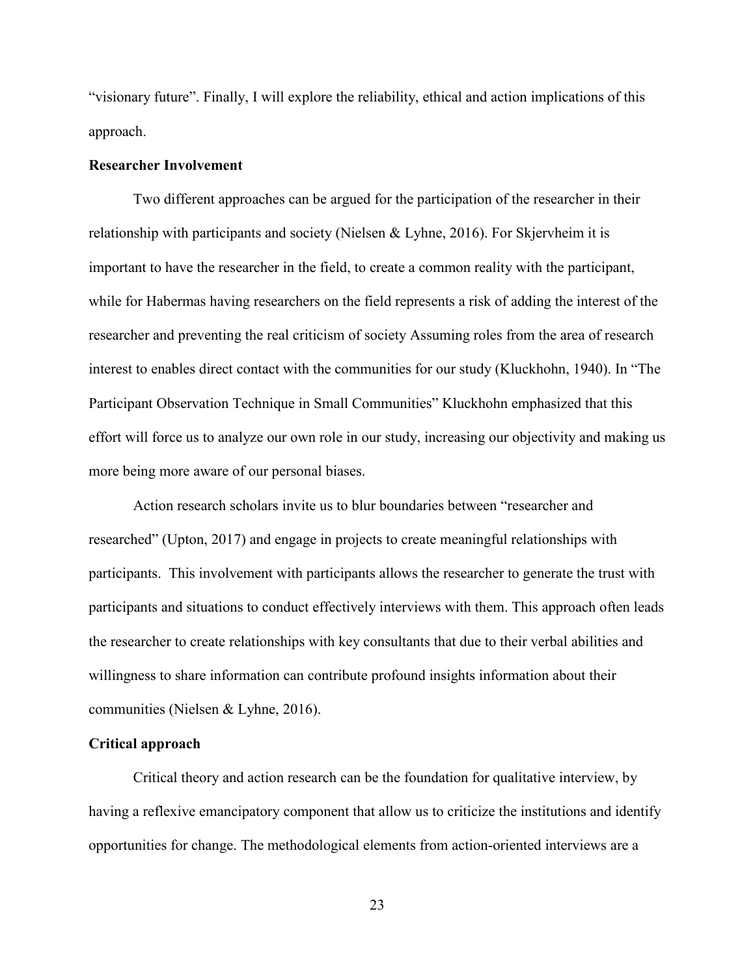"visionary future". Finally, I will explore the reliability, ethical and action implications of this approach.

#### **Researcher Involvement**

Two different approaches can be argued for the participation of the researcher in their relationship with participants and society (Nielsen & Lyhne, 2016). For Skjervheim it is important to have the researcher in the field, to create a common reality with the participant, while for Habermas having researchers on the field represents a risk of adding the interest of the researcher and preventing the real criticism of society Assuming roles from the area of research interest to enables direct contact with the communities for our study (Kluckhohn, 1940). In "The Participant Observation Technique in Small Communities" Kluckhohn emphasized that this effort will force us to analyze our own role in our study, increasing our objectivity and making us more being more aware of our personal biases.

Action research scholars invite us to blur boundaries between "researcher and researched" (Upton, 2017) and engage in projects to create meaningful relationships with participants. This involvement with participants allows the researcher to generate the trust with participants and situations to conduct effectively interviews with them. This approach often leads the researcher to create relationships with key consultants that due to their verbal abilities and willingness to share information can contribute profound insights information about their communities (Nielsen & Lyhne, 2016).

#### **Critical approach**

Critical theory and action research can be the foundation for qualitative interview, by having a reflexive emancipatory component that allow us to criticize the institutions and identify opportunities for change. The methodological elements from action-oriented interviews are a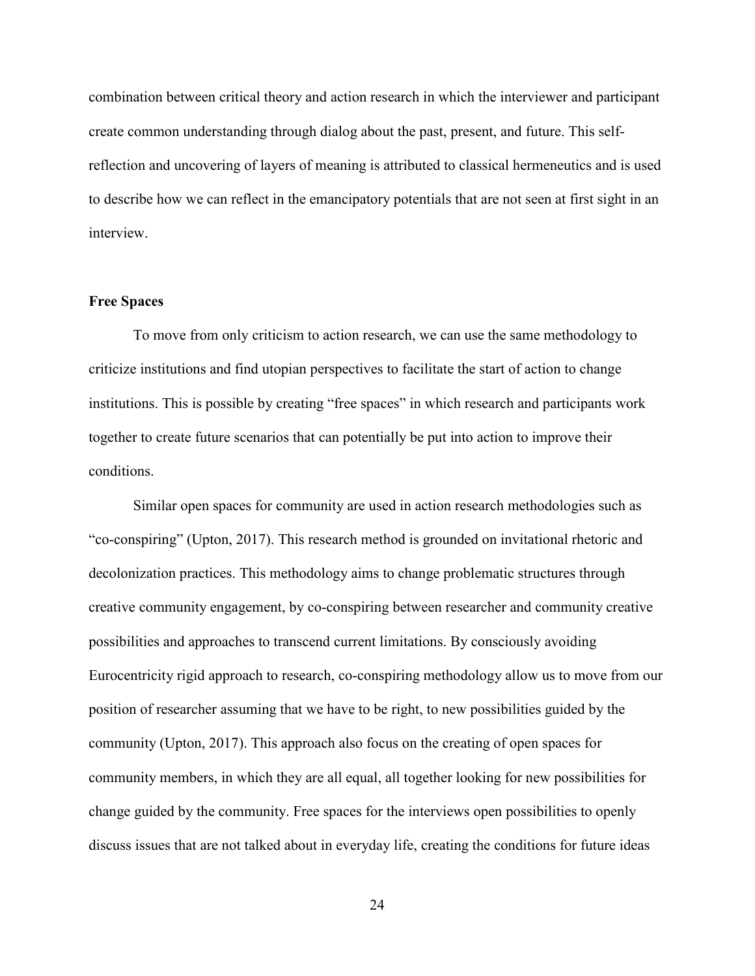combination between critical theory and action research in which the interviewer and participant create common understanding through dialog about the past, present, and future. This selfreflection and uncovering of layers of meaning is attributed to classical hermeneutics and is used to describe how we can reflect in the emancipatory potentials that are not seen at first sight in an interview.

#### **Free Spaces**

To move from only criticism to action research, we can use the same methodology to criticize institutions and find utopian perspectives to facilitate the start of action to change institutions. This is possible by creating "free spaces" in which research and participants work together to create future scenarios that can potentially be put into action to improve their conditions.

Similar open spaces for community are used in action research methodologies such as "co-conspiring" (Upton, 2017). This research method is grounded on invitational rhetoric and decolonization practices. This methodology aims to change problematic structures through creative community engagement, by co-conspiring between researcher and community creative possibilities and approaches to transcend current limitations. By consciously avoiding Eurocentricity rigid approach to research, co-conspiring methodology allow us to move from our position of researcher assuming that we have to be right, to new possibilities guided by the community (Upton, 2017). This approach also focus on the creating of open spaces for community members, in which they are all equal, all together looking for new possibilities for change guided by the community. Free spaces for the interviews open possibilities to openly discuss issues that are not talked about in everyday life, creating the conditions for future ideas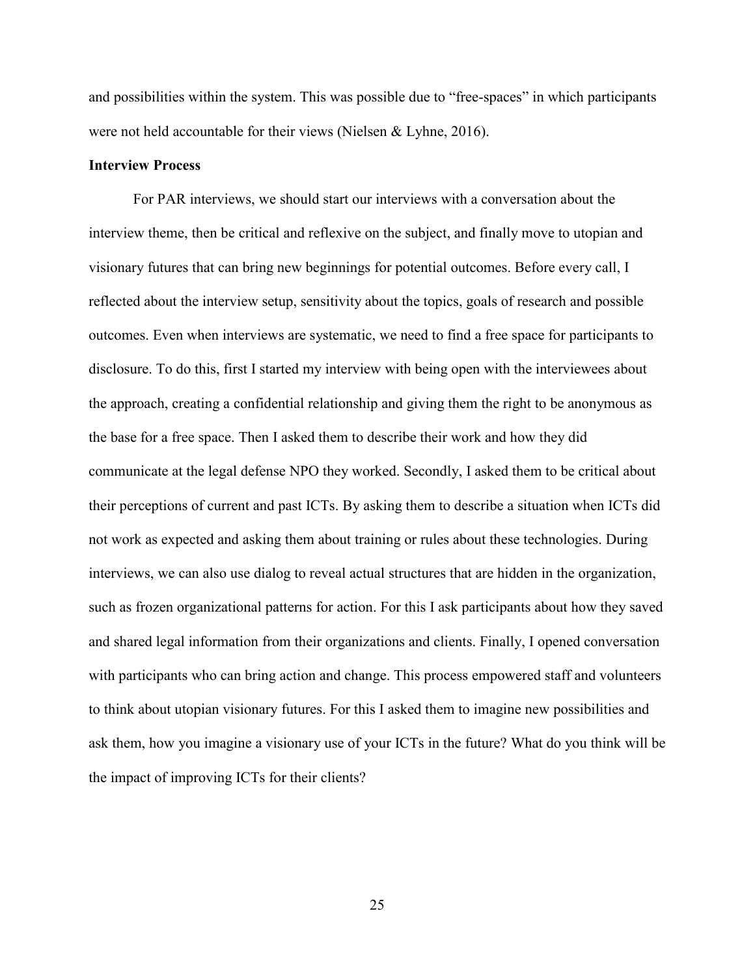and possibilities within the system. This was possible due to "free-spaces" in which participants were not held accountable for their views (Nielsen & Lyhne, 2016).

#### **Interview Process**

For PAR interviews, we should start our interviews with a conversation about the interview theme, then be critical and reflexive on the subject, and finally move to utopian and visionary futures that can bring new beginnings for potential outcomes. Before every call, I reflected about the interview setup, sensitivity about the topics, goals of research and possible outcomes. Even when interviews are systematic, we need to find a free space for participants to disclosure. To do this, first I started my interview with being open with the interviewees about the approach, creating a confidential relationship and giving them the right to be anonymous as the base for a free space. Then I asked them to describe their work and how they did communicate at the legal defense NPO they worked. Secondly, I asked them to be critical about their perceptions of current and past ICTs. By asking them to describe a situation when ICTs did not work as expected and asking them about training or rules about these technologies. During interviews, we can also use dialog to reveal actual structures that are hidden in the organization, such as frozen organizational patterns for action. For this I ask participants about how they saved and shared legal information from their organizations and clients. Finally, I opened conversation with participants who can bring action and change. This process empowered staff and volunteers to think about utopian visionary futures. For this I asked them to imagine new possibilities and ask them, how you imagine a visionary use of your ICTs in the future? What do you think will be the impact of improving ICTs for their clients?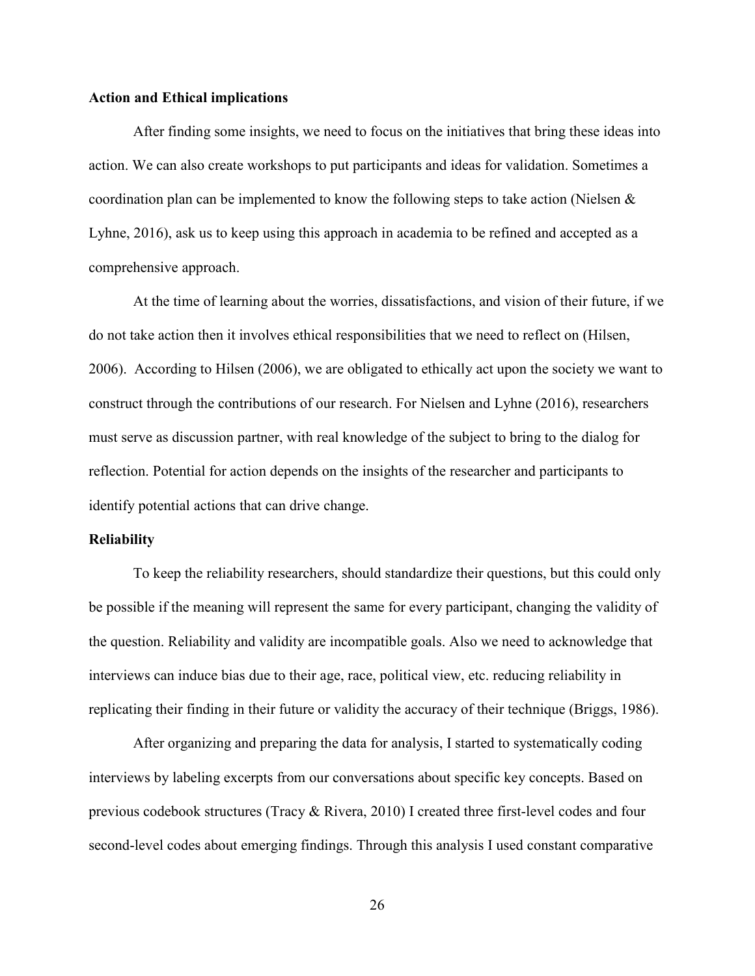#### **Action and Ethical implications**

After finding some insights, we need to focus on the initiatives that bring these ideas into action. We can also create workshops to put participants and ideas for validation. Sometimes a coordination plan can be implemented to know the following steps to take action (Nielsen  $\&$ Lyhne, 2016), ask us to keep using this approach in academia to be refined and accepted as a comprehensive approach.

At the time of learning about the worries, dissatisfactions, and vision of their future, if we do not take action then it involves ethical responsibilities that we need to reflect on (Hilsen, 2006). According to Hilsen (2006), we are obligated to ethically act upon the society we want to construct through the contributions of our research. For Nielsen and Lyhne (2016), researchers must serve as discussion partner, with real knowledge of the subject to bring to the dialog for reflection. Potential for action depends on the insights of the researcher and participants to identify potential actions that can drive change.

#### **Reliability**

To keep the reliability researchers, should standardize their questions, but this could only be possible if the meaning will represent the same for every participant, changing the validity of the question. Reliability and validity are incompatible goals. Also we need to acknowledge that interviews can induce bias due to their age, race, political view, etc. reducing reliability in replicating their finding in their future or validity the accuracy of their technique (Briggs, 1986).

After organizing and preparing the data for analysis, I started to systematically coding interviews by labeling excerpts from our conversations about specific key concepts. Based on previous codebook structures (Tracy & Rivera, 2010) I created three first-level codes and four second-level codes about emerging findings. Through this analysis I used constant comparative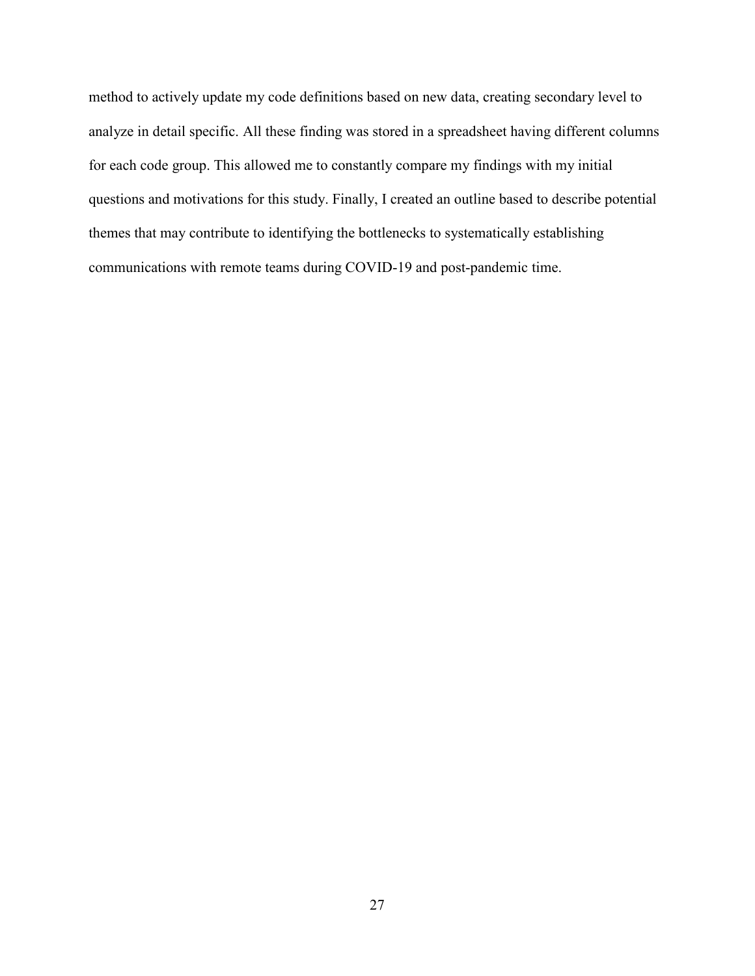method to actively update my code definitions based on new data, creating secondary level to analyze in detail specific. All these finding was stored in a spreadsheet having different columns for each code group. This allowed me to constantly compare my findings with my initial questions and motivations for this study. Finally, I created an outline based to describe potential themes that may contribute to identifying the bottlenecks to systematically establishing communications with remote teams during COVID-19 and post-pandemic time.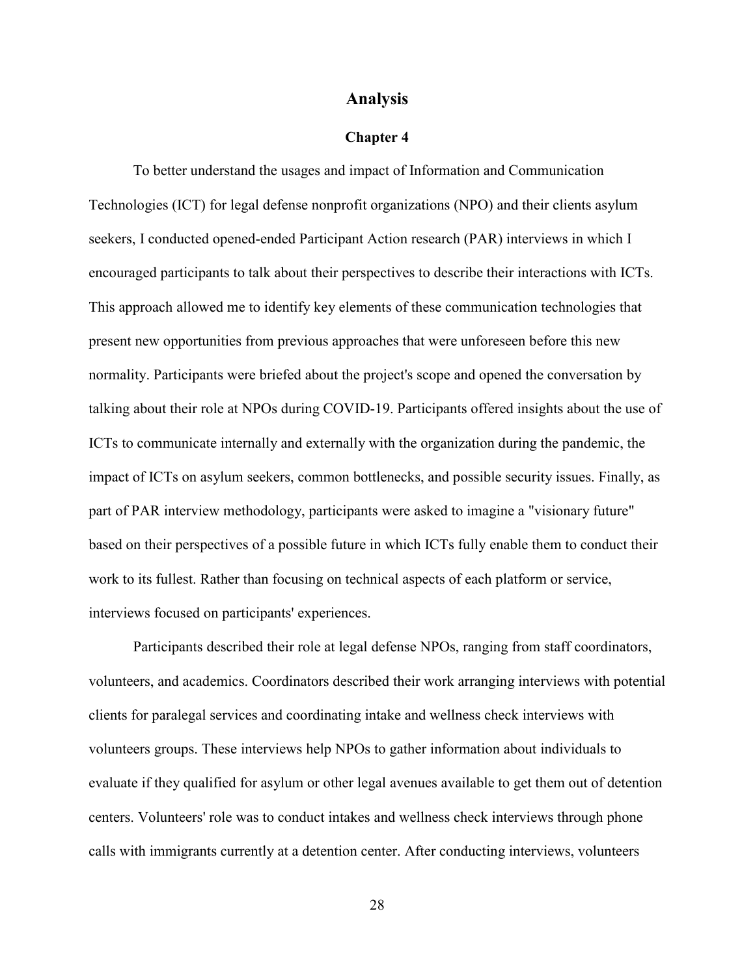#### **Analysis**

#### **Chapter 4**

To better understand the usages and impact of Information and Communication Technologies (ICT) for legal defense nonprofit organizations (NPO) and their clients asylum seekers, I conducted opened-ended Participant Action research (PAR) interviews in which I encouraged participants to talk about their perspectives to describe their interactions with ICTs. This approach allowed me to identify key elements of these communication technologies that present new opportunities from previous approaches that were unforeseen before this new normality. Participants were briefed about the project's scope and opened the conversation by talking about their role at NPOs during COVID-19. Participants offered insights about the use of ICTs to communicate internally and externally with the organization during the pandemic, the impact of ICTs on asylum seekers, common bottlenecks, and possible security issues. Finally, as part of PAR interview methodology, participants were asked to imagine a "visionary future" based on their perspectives of a possible future in which ICTs fully enable them to conduct their work to its fullest. Rather than focusing on technical aspects of each platform or service, interviews focused on participants' experiences.

Participants described their role at legal defense NPOs, ranging from staff coordinators, volunteers, and academics. Coordinators described their work arranging interviews with potential clients for paralegal services and coordinating intake and wellness check interviews with volunteers groups. These interviews help NPOs to gather information about individuals to evaluate if they qualified for asylum or other legal avenues available to get them out of detention centers. Volunteers' role was to conduct intakes and wellness check interviews through phone calls with immigrants currently at a detention center. After conducting interviews, volunteers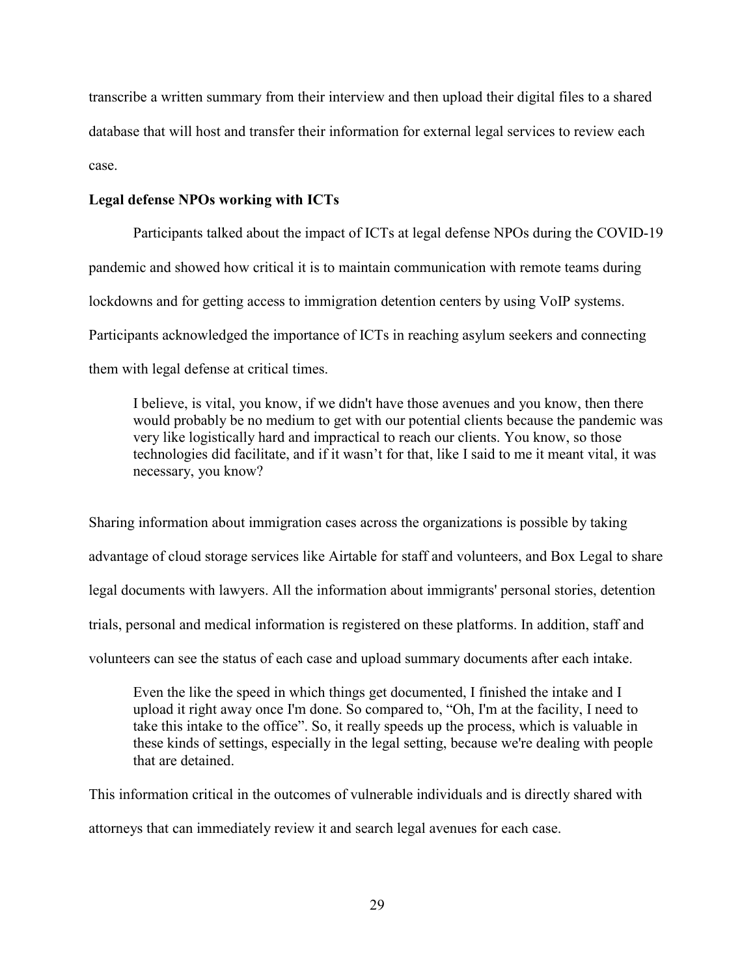transcribe a written summary from their interview and then upload their digital files to a shared database that will host and transfer their information for external legal services to review each case.

#### **Legal defense NPOs working with ICTs**

Participants talked about the impact of ICTs at legal defense NPOs during the COVID-19 pandemic and showed how critical it is to maintain communication with remote teams during lockdowns and for getting access to immigration detention centers by using VoIP systems. Participants acknowledged the importance of ICTs in reaching asylum seekers and connecting them with legal defense at critical times.

I believe, is vital, you know, if we didn't have those avenues and you know, then there would probably be no medium to get with our potential clients because the pandemic was very like logistically hard and impractical to reach our clients. You know, so those technologies did facilitate, and if it wasn't for that, like I said to me it meant vital, it was necessary, you know?

Sharing information about immigration cases across the organizations is possible by taking advantage of cloud storage services like Airtable for staff and volunteers, and Box Legal to share legal documents with lawyers. All the information about immigrants' personal stories, detention trials, personal and medical information is registered on these platforms. In addition, staff and volunteers can see the status of each case and upload summary documents after each intake.

Even the like the speed in which things get documented, I finished the intake and I upload it right away once I'm done. So compared to, "Oh, I'm at the facility, I need to take this intake to the office". So, it really speeds up the process, which is valuable in these kinds of settings, especially in the legal setting, because we're dealing with people that are detained.

This information critical in the outcomes of vulnerable individuals and is directly shared with attorneys that can immediately review it and search legal avenues for each case.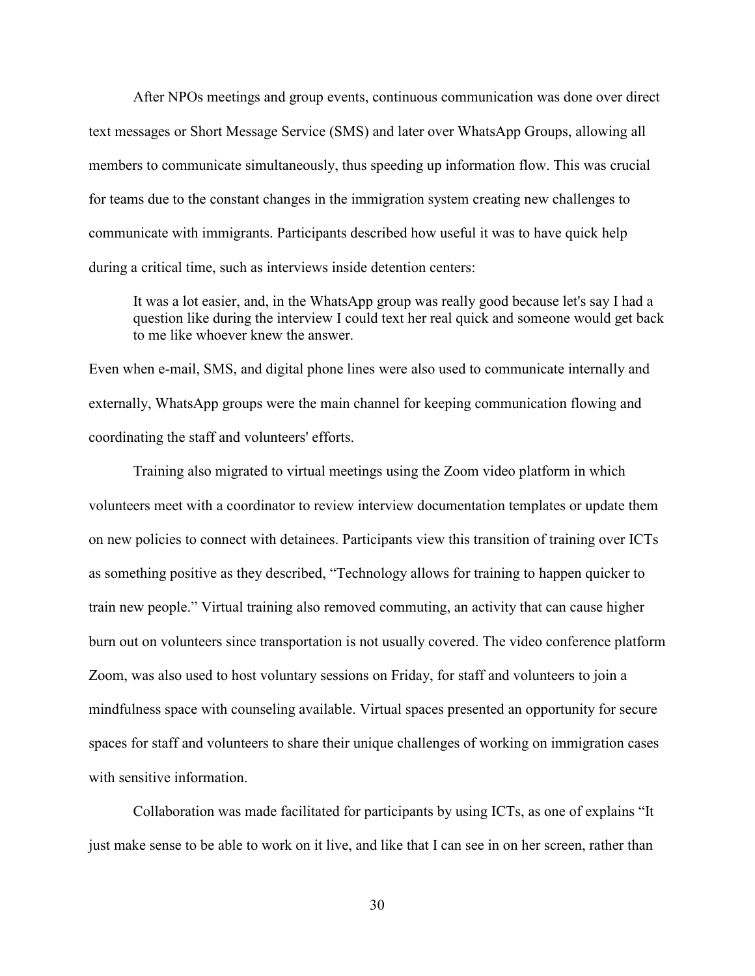After NPOs meetings and group events, continuous communication was done over direct text messages or Short Message Service (SMS) and later over WhatsApp Groups, allowing all members to communicate simultaneously, thus speeding up information flow. This was crucial for teams due to the constant changes in the immigration system creating new challenges to communicate with immigrants. Participants described how useful it was to have quick help during a critical time, such as interviews inside detention centers:

It was a lot easier, and, in the WhatsApp group was really good because let's say I had a question like during the interview I could text her real quick and someone would get back to me like whoever knew the answer.

Even when e-mail, SMS, and digital phone lines were also used to communicate internally and externally, WhatsApp groups were the main channel for keeping communication flowing and coordinating the staff and volunteers' efforts.

Training also migrated to virtual meetings using the Zoom video platform in which volunteers meet with a coordinator to review interview documentation templates or update them on new policies to connect with detainees. Participants view this transition of training over ICTs as something positive as they described, "Technology allows for training to happen quicker to train new people." Virtual training also removed commuting, an activity that can cause higher burn out on volunteers since transportation is not usually covered. The video conference platform Zoom, was also used to host voluntary sessions on Friday, for staff and volunteers to join a mindfulness space with counseling available. Virtual spaces presented an opportunity for secure spaces for staff and volunteers to share their unique challenges of working on immigration cases with sensitive information.

Collaboration was made facilitated for participants by using ICTs, as one of explains "It just make sense to be able to work on it live, and like that I can see in on her screen, rather than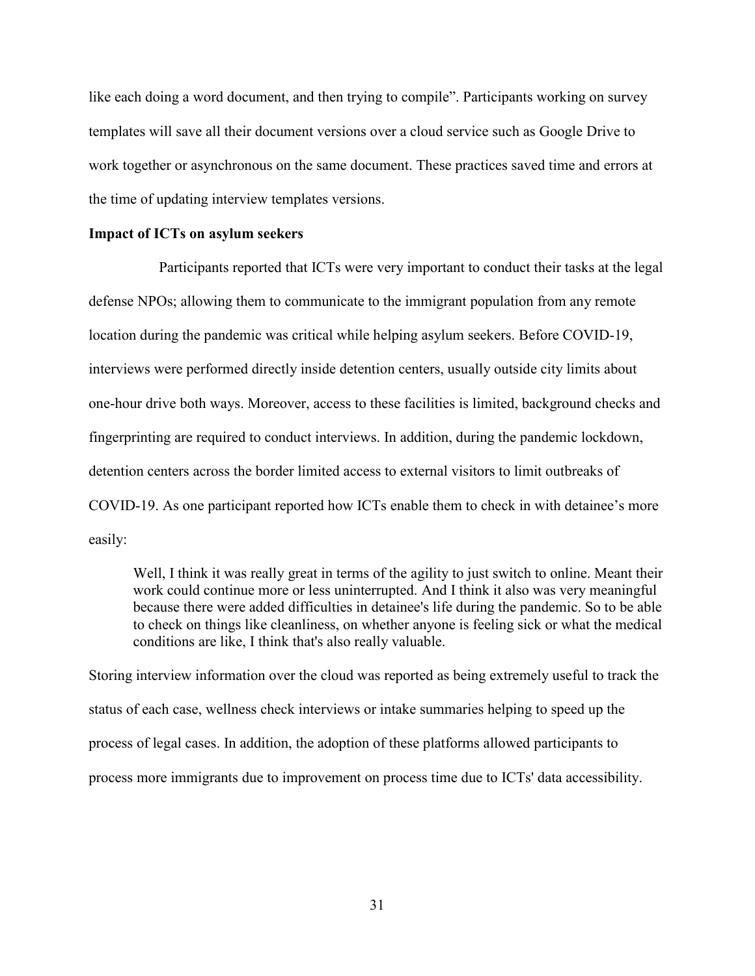like each doing a word document, and then trying to compile". Participants working on survey templates will save all their document versions over a cloud service such as Google Drive to work together or asynchronous on the same document. These practices saved time and errors at the time of updating interview templates versions.

#### **Impact of ICTs on asylum seekers**

Participants reported that ICTs were very important to conduct their tasks at the legal defense NPOs; allowing them to communicate to the immigrant population from any remote location during the pandemic was critical while helping asylum seekers. Before COVID-19, interviews were performed directly inside detention centers, usually outside city limits about one-hour drive both ways. Moreover, access to these facilities is limited, background checks and fingerprinting are required to conduct interviews. In addition, during the pandemic lockdown, detention centers across the border limited access to external visitors to limit outbreaks of COVID-19. As one participant reported how ICTs enable them to check in with detainee's more easily:

Well, I think it was really great in terms of the agility to just switch to online. Meant their work could continue more or less uninterrupted. And I think it also was very meaningful because there were added difficulties in detainee's life during the pandemic. So to be able to check on things like cleanliness, on whether anyone is feeling sick or what the medical conditions are like, I think that's also really valuable.

Storing interview information over the cloud was reported as being extremely useful to track the status of each case, wellness check interviews or intake summaries helping to speed up the process of legal cases. In addition, the adoption of these platforms allowed participants to process more immigrants due to improvement on process time due to ICTs' data accessibility.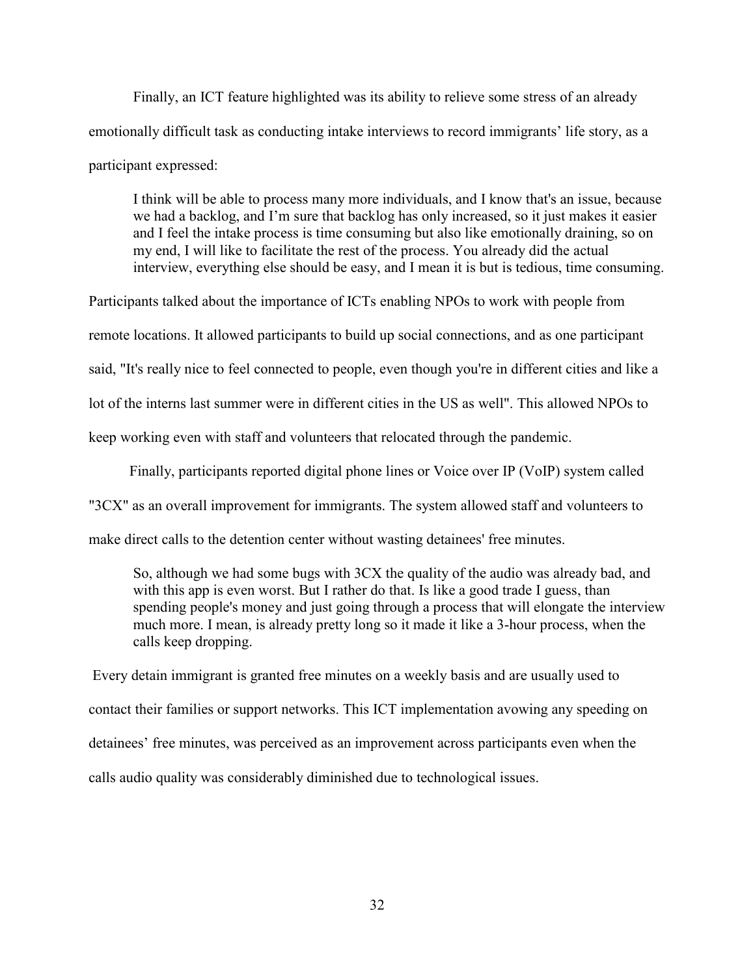Finally, an ICT feature highlighted was its ability to relieve some stress of an already emotionally difficult task as conducting intake interviews to record immigrants' life story, as a participant expressed:

I think will be able to process many more individuals, and I know that's an issue, because we had a backlog, and I'm sure that backlog has only increased, so it just makes it easier and I feel the intake process is time consuming but also like emotionally draining, so on my end, I will like to facilitate the rest of the process. You already did the actual interview, everything else should be easy, and I mean it is but is tedious, time consuming.

Participants talked about the importance of ICTs enabling NPOs to work with people from remote locations. It allowed participants to build up social connections, and as one participant said, "It's really nice to feel connected to people, even though you're in different cities and like a lot of the interns last summer were in different cities in the US as well". This allowed NPOs to keep working even with staff and volunteers that relocated through the pandemic.

Finally, participants reported digital phone lines or Voice over IP (VoIP) system called

"3CX" as an overall improvement for immigrants. The system allowed staff and volunteers to

make direct calls to the detention center without wasting detainees' free minutes.

So, although we had some bugs with 3CX the quality of the audio was already bad, and with this app is even worst. But I rather do that. Is like a good trade I guess, than spending people's money and just going through a process that will elongate the interview much more. I mean, is already pretty long so it made it like a 3-hour process, when the calls keep dropping.

 Every detain immigrant is granted free minutes on a weekly basis and are usually used to contact their families or support networks. This ICT implementation avowing any speeding on detainees' free minutes, was perceived as an improvement across participants even when the calls audio quality was considerably diminished due to technological issues.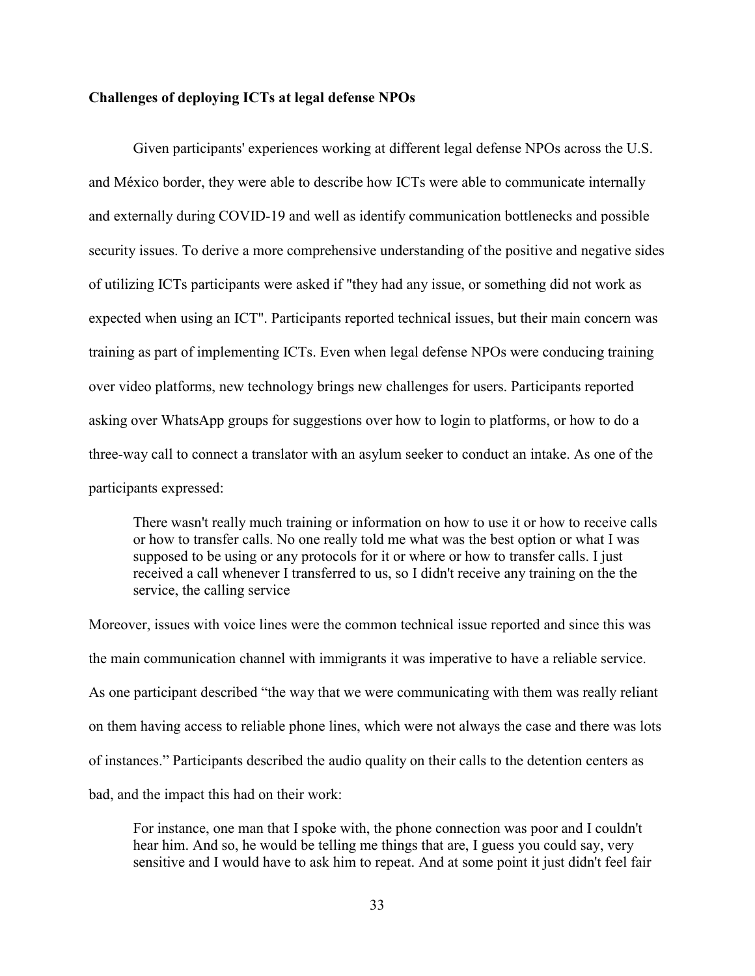#### **Challenges of deploying ICTs at legal defense NPOs**

Given participants' experiences working at different legal defense NPOs across the U.S. and México border, they were able to describe how ICTs were able to communicate internally and externally during COVID-19 and well as identify communication bottlenecks and possible security issues. To derive a more comprehensive understanding of the positive and negative sides of utilizing ICTs participants were asked if "they had any issue, or something did not work as expected when using an ICT". Participants reported technical issues, but their main concern was training as part of implementing ICTs. Even when legal defense NPOs were conducing training over video platforms, new technology brings new challenges for users. Participants reported asking over WhatsApp groups for suggestions over how to login to platforms, or how to do a three-way call to connect a translator with an asylum seeker to conduct an intake. As one of the participants expressed:

There wasn't really much training or information on how to use it or how to receive calls or how to transfer calls. No one really told me what was the best option or what I was supposed to be using or any protocols for it or where or how to transfer calls. I just received a call whenever I transferred to us, so I didn't receive any training on the the service, the calling service

Moreover, issues with voice lines were the common technical issue reported and since this was the main communication channel with immigrants it was imperative to have a reliable service. As one participant described "the way that we were communicating with them was really reliant on them having access to reliable phone lines, which were not always the case and there was lots of instances." Participants described the audio quality on their calls to the detention centers as bad, and the impact this had on their work:

For instance, one man that I spoke with, the phone connection was poor and I couldn't hear him. And so, he would be telling me things that are, I guess you could say, very sensitive and I would have to ask him to repeat. And at some point it just didn't feel fair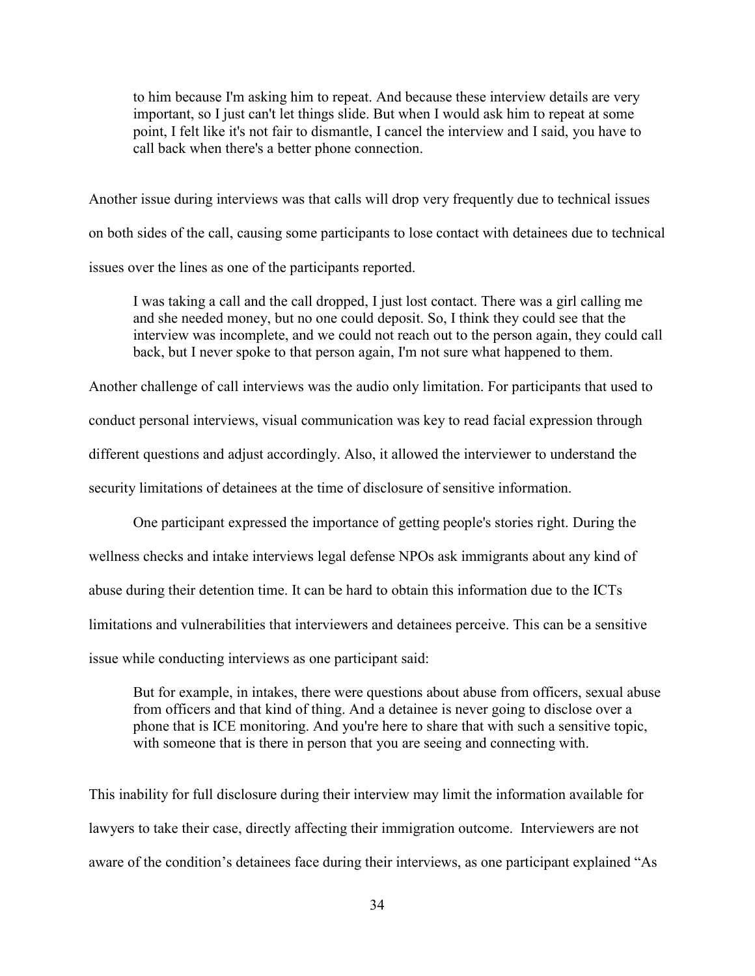to him because I'm asking him to repeat. And because these interview details are very important, so I just can't let things slide. But when I would ask him to repeat at some point, I felt like it's not fair to dismantle, I cancel the interview and I said, you have to call back when there's a better phone connection.

Another issue during interviews was that calls will drop very frequently due to technical issues on both sides of the call, causing some participants to lose contact with detainees due to technical issues over the lines as one of the participants reported.

I was taking a call and the call dropped, I just lost contact. There was a girl calling me and she needed money, but no one could deposit. So, I think they could see that the interview was incomplete, and we could not reach out to the person again, they could call back, but I never spoke to that person again, I'm not sure what happened to them.

Another challenge of call interviews was the audio only limitation. For participants that used to conduct personal interviews, visual communication was key to read facial expression through different questions and adjust accordingly. Also, it allowed the interviewer to understand the security limitations of detainees at the time of disclosure of sensitive information.

One participant expressed the importance of getting people's stories right. During the wellness checks and intake interviews legal defense NPOs ask immigrants about any kind of abuse during their detention time. It can be hard to obtain this information due to the ICTs limitations and vulnerabilities that interviewers and detainees perceive. This can be a sensitive issue while conducting interviews as one participant said:

But for example, in intakes, there were questions about abuse from officers, sexual abuse from officers and that kind of thing. And a detainee is never going to disclose over a phone that is ICE monitoring. And you're here to share that with such a sensitive topic, with someone that is there in person that you are seeing and connecting with.

This inability for full disclosure during their interview may limit the information available for lawyers to take their case, directly affecting their immigration outcome. Interviewers are not aware of the condition's detainees face during their interviews, as one participant explained "As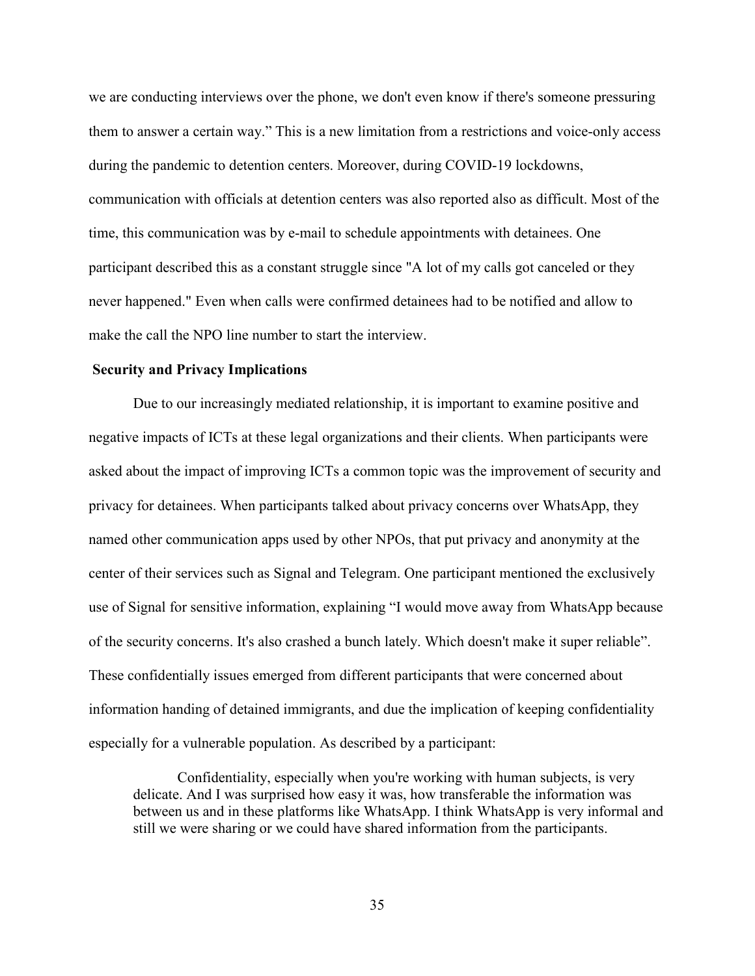we are conducting interviews over the phone, we don't even know if there's someone pressuring them to answer a certain way." This is a new limitation from a restrictions and voice-only access during the pandemic to detention centers. Moreover, during COVID-19 lockdowns, communication with officials at detention centers was also reported also as difficult. Most of the time, this communication was by e-mail to schedule appointments with detainees. One participant described this as a constant struggle since "A lot of my calls got canceled or they never happened." Even when calls were confirmed detainees had to be notified and allow to make the call the NPO line number to start the interview.

#### **Security and Privacy Implications**

Due to our increasingly mediated relationship, it is important to examine positive and negative impacts of ICTs at these legal organizations and their clients. When participants were asked about the impact of improving ICTs a common topic was the improvement of security and privacy for detainees. When participants talked about privacy concerns over WhatsApp, they named other communication apps used by other NPOs, that put privacy and anonymity at the center of their services such as Signal and Telegram. One participant mentioned the exclusively use of Signal for sensitive information, explaining "I would move away from WhatsApp because of the security concerns. It's also crashed a bunch lately. Which doesn't make it super reliable". These confidentially issues emerged from different participants that were concerned about information handing of detained immigrants, and due the implication of keeping confidentiality especially for a vulnerable population. As described by a participant:

Confidentiality, especially when you're working with human subjects, is very delicate. And I was surprised how easy it was, how transferable the information was between us and in these platforms like WhatsApp. I think WhatsApp is very informal and still we were sharing or we could have shared information from the participants.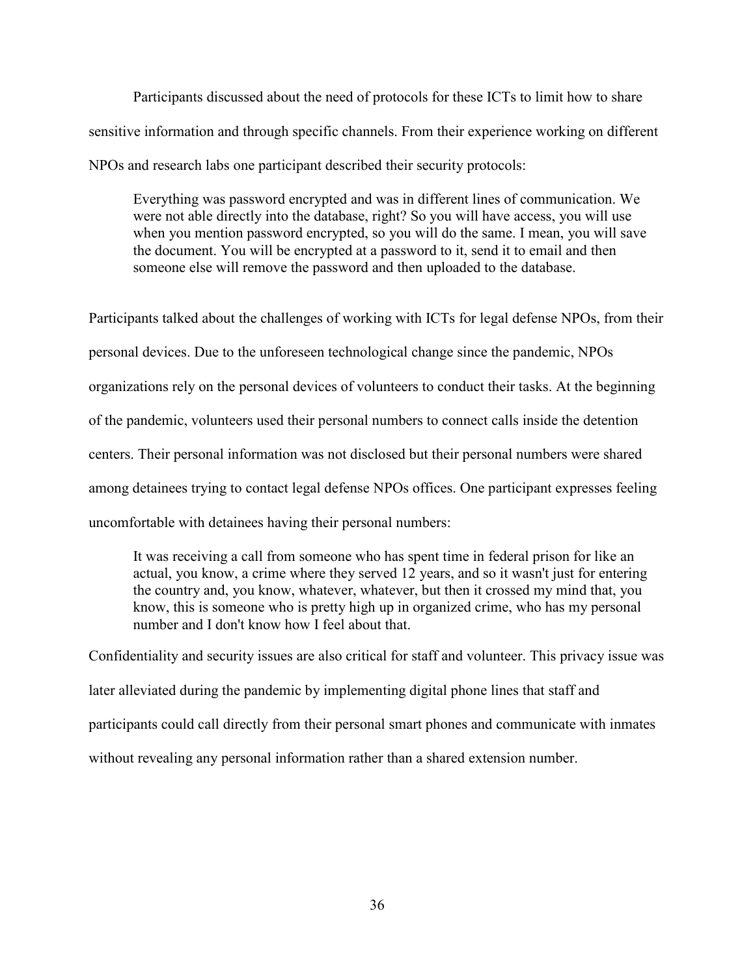Participants discussed about the need of protocols for these ICTs to limit how to share sensitive information and through specific channels. From their experience working on different NPOs and research labs one participant described their security protocols:

Everything was password encrypted and was in different lines of communication. We were not able directly into the database, right? So you will have access, you will use when you mention password encrypted, so you will do the same. I mean, you will save the document. You will be encrypted at a password to it, send it to email and then someone else will remove the password and then uploaded to the database.

Participants talked about the challenges of working with ICTs for legal defense NPOs, from their personal devices. Due to the unforeseen technological change since the pandemic, NPOs organizations rely on the personal devices of volunteers to conduct their tasks. At the beginning of the pandemic, volunteers used their personal numbers to connect calls inside the detention centers. Their personal information was not disclosed but their personal numbers were shared among detainees trying to contact legal defense NPOs offices. One participant expresses feeling uncomfortable with detainees having their personal numbers:

It was receiving a call from someone who has spent time in federal prison for like an actual, you know, a crime where they served 12 years, and so it wasn't just for entering the country and, you know, whatever, whatever, but then it crossed my mind that, you know, this is someone who is pretty high up in organized crime, who has my personal number and I don't know how I feel about that.

Confidentiality and security issues are also critical for staff and volunteer. This privacy issue was later alleviated during the pandemic by implementing digital phone lines that staff and participants could call directly from their personal smart phones and communicate with inmates without revealing any personal information rather than a shared extension number.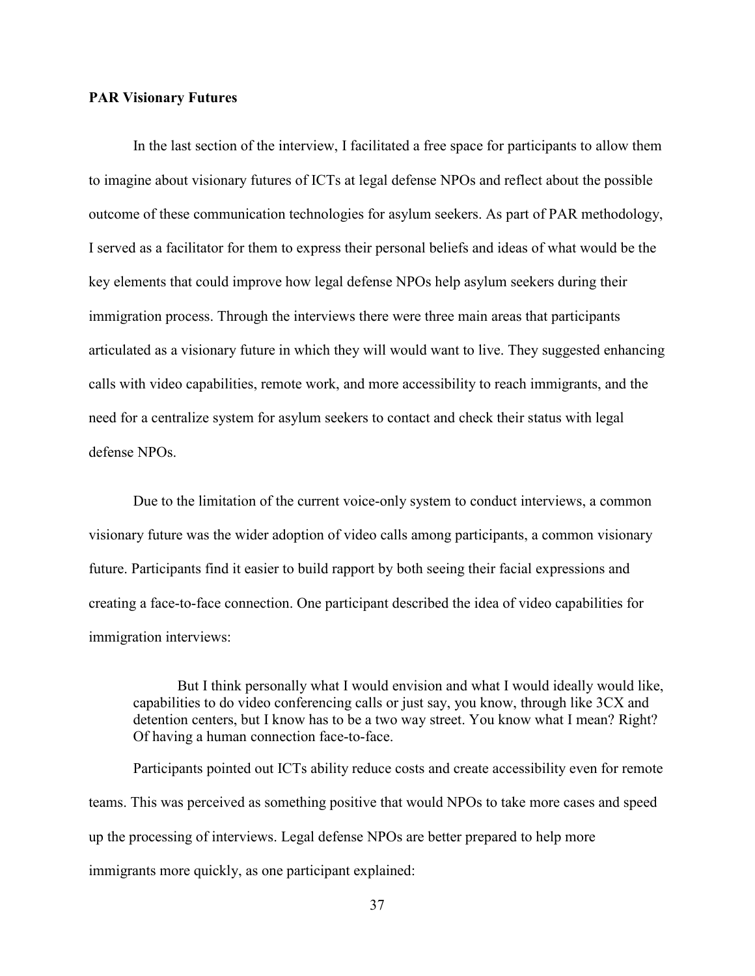#### **PAR Visionary Futures**

In the last section of the interview, I facilitated a free space for participants to allow them to imagine about visionary futures of ICTs at legal defense NPOs and reflect about the possible outcome of these communication technologies for asylum seekers. As part of PAR methodology, I served as a facilitator for them to express their personal beliefs and ideas of what would be the key elements that could improve how legal defense NPOs help asylum seekers during their immigration process. Through the interviews there were three main areas that participants articulated as a visionary future in which they will would want to live. They suggested enhancing calls with video capabilities, remote work, and more accessibility to reach immigrants, and the need for a centralize system for asylum seekers to contact and check their status with legal defense NPOs.

Due to the limitation of the current voice-only system to conduct interviews, a common visionary future was the wider adoption of video calls among participants, a common visionary future. Participants find it easier to build rapport by both seeing their facial expressions and creating a face-to-face connection. One participant described the idea of video capabilities for immigration interviews:

But I think personally what I would envision and what I would ideally would like, capabilities to do video conferencing calls or just say, you know, through like 3CX and detention centers, but I know has to be a two way street. You know what I mean? Right? Of having a human connection face-to-face.

Participants pointed out ICTs ability reduce costs and create accessibility even for remote teams. This was perceived as something positive that would NPOs to take more cases and speed up the processing of interviews. Legal defense NPOs are better prepared to help more immigrants more quickly, as one participant explained: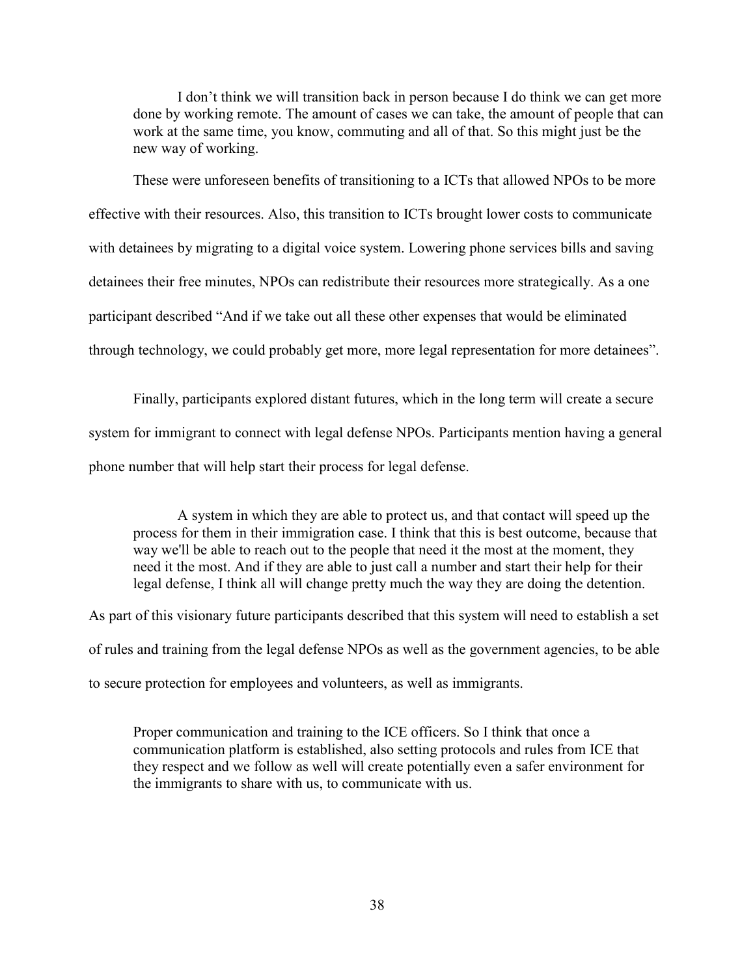I don't think we will transition back in person because I do think we can get more done by working remote. The amount of cases we can take, the amount of people that can work at the same time, you know, commuting and all of that. So this might just be the new way of working.

 These were unforeseen benefits of transitioning to a ICTs that allowed NPOs to be more effective with their resources. Also, this transition to ICTs brought lower costs to communicate with detainees by migrating to a digital voice system. Lowering phone services bills and saving detainees their free minutes, NPOs can redistribute their resources more strategically. As a one participant described "And if we take out all these other expenses that would be eliminated through technology, we could probably get more, more legal representation for more detainees".

Finally, participants explored distant futures, which in the long term will create a secure system for immigrant to connect with legal defense NPOs. Participants mention having a general phone number that will help start their process for legal defense.

A system in which they are able to protect us, and that contact will speed up the process for them in their immigration case. I think that this is best outcome, because that way we'll be able to reach out to the people that need it the most at the moment, they need it the most. And if they are able to just call a number and start their help for their legal defense, I think all will change pretty much the way they are doing the detention.

As part of this visionary future participants described that this system will need to establish a set of rules and training from the legal defense NPOs as well as the government agencies, to be able to secure protection for employees and volunteers, as well as immigrants.

Proper communication and training to the ICE officers. So I think that once a communication platform is established, also setting protocols and rules from ICE that they respect and we follow as well will create potentially even a safer environment for the immigrants to share with us, to communicate with us.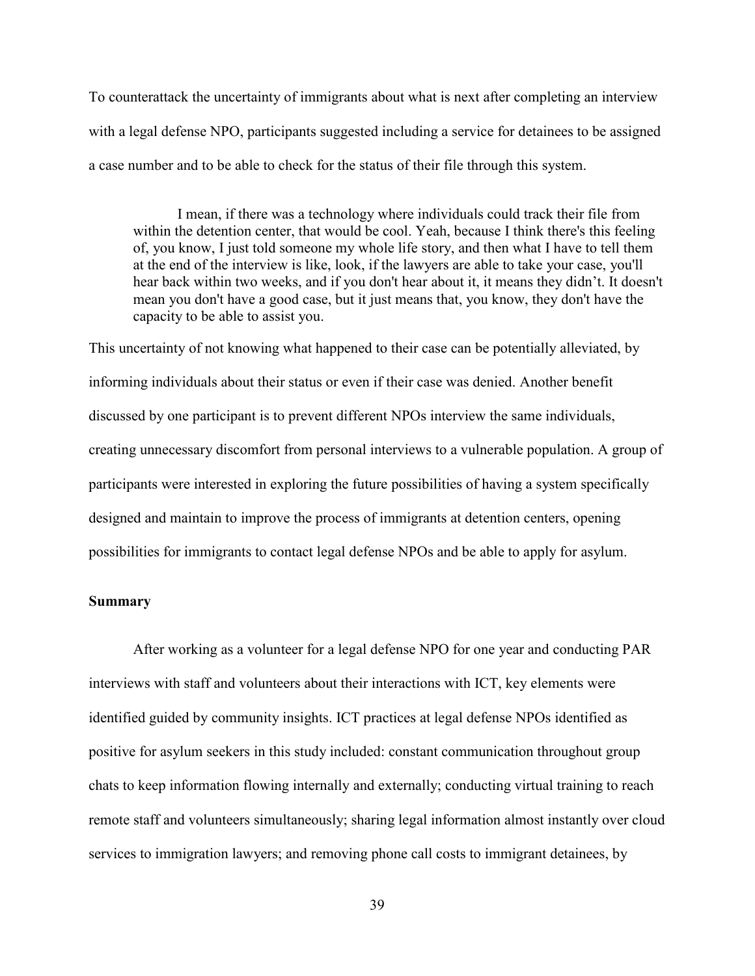To counterattack the uncertainty of immigrants about what is next after completing an interview with a legal defense NPO, participants suggested including a service for detainees to be assigned a case number and to be able to check for the status of their file through this system.

 I mean, if there was a technology where individuals could track their file from within the detention center, that would be cool. Yeah, because I think there's this feeling of, you know, I just told someone my whole life story, and then what I have to tell them at the end of the interview is like, look, if the lawyers are able to take your case, you'll hear back within two weeks, and if you don't hear about it, it means they didn't. It doesn't mean you don't have a good case, but it just means that, you know, they don't have the capacity to be able to assist you.

This uncertainty of not knowing what happened to their case can be potentially alleviated, by informing individuals about their status or even if their case was denied. Another benefit discussed by one participant is to prevent different NPOs interview the same individuals, creating unnecessary discomfort from personal interviews to a vulnerable population. A group of participants were interested in exploring the future possibilities of having a system specifically designed and maintain to improve the process of immigrants at detention centers, opening possibilities for immigrants to contact legal defense NPOs and be able to apply for asylum.

#### **Summary**

After working as a volunteer for a legal defense NPO for one year and conducting PAR interviews with staff and volunteers about their interactions with ICT, key elements were identified guided by community insights. ICT practices at legal defense NPOs identified as positive for asylum seekers in this study included: constant communication throughout group chats to keep information flowing internally and externally; conducting virtual training to reach remote staff and volunteers simultaneously; sharing legal information almost instantly over cloud services to immigration lawyers; and removing phone call costs to immigrant detainees, by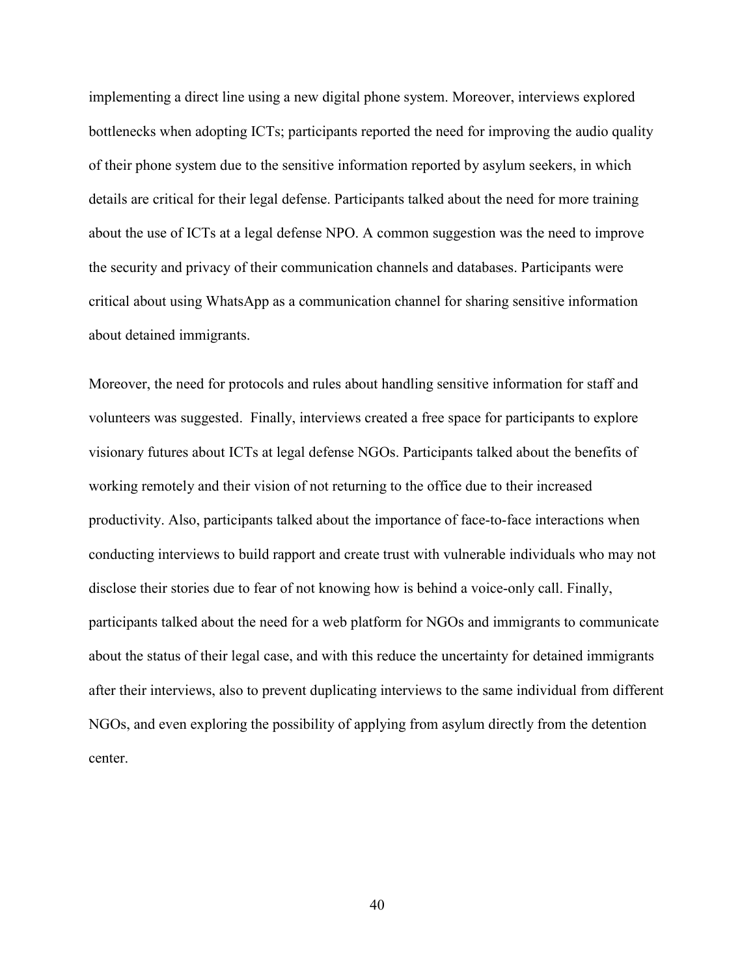implementing a direct line using a new digital phone system. Moreover, interviews explored bottlenecks when adopting ICTs; participants reported the need for improving the audio quality of their phone system due to the sensitive information reported by asylum seekers, in which details are critical for their legal defense. Participants talked about the need for more training about the use of ICTs at a legal defense NPO. A common suggestion was the need to improve the security and privacy of their communication channels and databases. Participants were critical about using WhatsApp as a communication channel for sharing sensitive information about detained immigrants.

Moreover, the need for protocols and rules about handling sensitive information for staff and volunteers was suggested. Finally, interviews created a free space for participants to explore visionary futures about ICTs at legal defense NGOs. Participants talked about the benefits of working remotely and their vision of not returning to the office due to their increased productivity. Also, participants talked about the importance of face-to-face interactions when conducting interviews to build rapport and create trust with vulnerable individuals who may not disclose their stories due to fear of not knowing how is behind a voice-only call. Finally, participants talked about the need for a web platform for NGOs and immigrants to communicate about the status of their legal case, and with this reduce the uncertainty for detained immigrants after their interviews, also to prevent duplicating interviews to the same individual from different NGOs, and even exploring the possibility of applying from asylum directly from the detention center.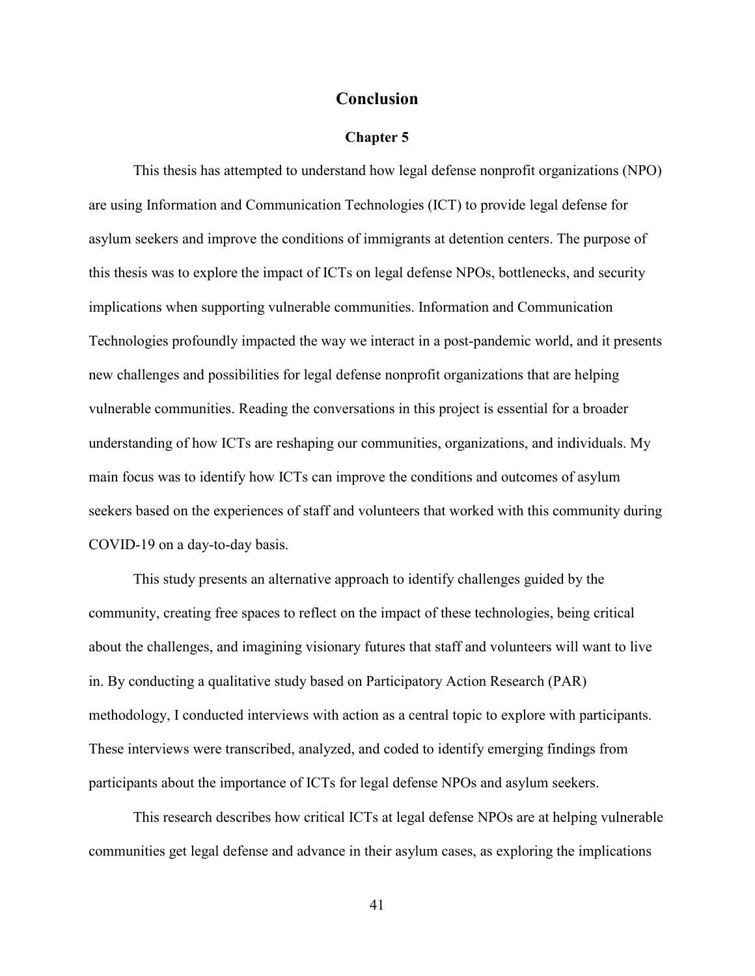#### **Conclusion**

#### **Chapter 5**

This thesis has attempted to understand how legal defense nonprofit organizations (NPO) are using Information and Communication Technologies (ICT) to provide legal defense for asylum seekers and improve the conditions of immigrants at detention centers. The purpose of this thesis was to explore the impact of ICTs on legal defense NPOs, bottlenecks, and security implications when supporting vulnerable communities. Information and Communication Technologies profoundly impacted the way we interact in a post-pandemic world, and it presents new challenges and possibilities for legal defense nonprofit organizations that are helping vulnerable communities. Reading the conversations in this project is essential for a broader understanding of how ICTs are reshaping our communities, organizations, and individuals. My main focus was to identify how ICTs can improve the conditions and outcomes of asylum seekers based on the experiences of staff and volunteers that worked with this community during COVID-19 on a day-to-day basis.

This study presents an alternative approach to identify challenges guided by the community, creating free spaces to reflect on the impact of these technologies, being critical about the challenges, and imagining visionary futures that staff and volunteers will want to live in. By conducting a qualitative study based on Participatory Action Research (PAR) methodology, I conducted interviews with action as a central topic to explore with participants. These interviews were transcribed, analyzed, and coded to identify emerging findings from participants about the importance of ICTs for legal defense NPOs and asylum seekers.

This research describes how critical ICTs at legal defense NPOs are at helping vulnerable communities get legal defense and advance in their asylum cases, as exploring the implications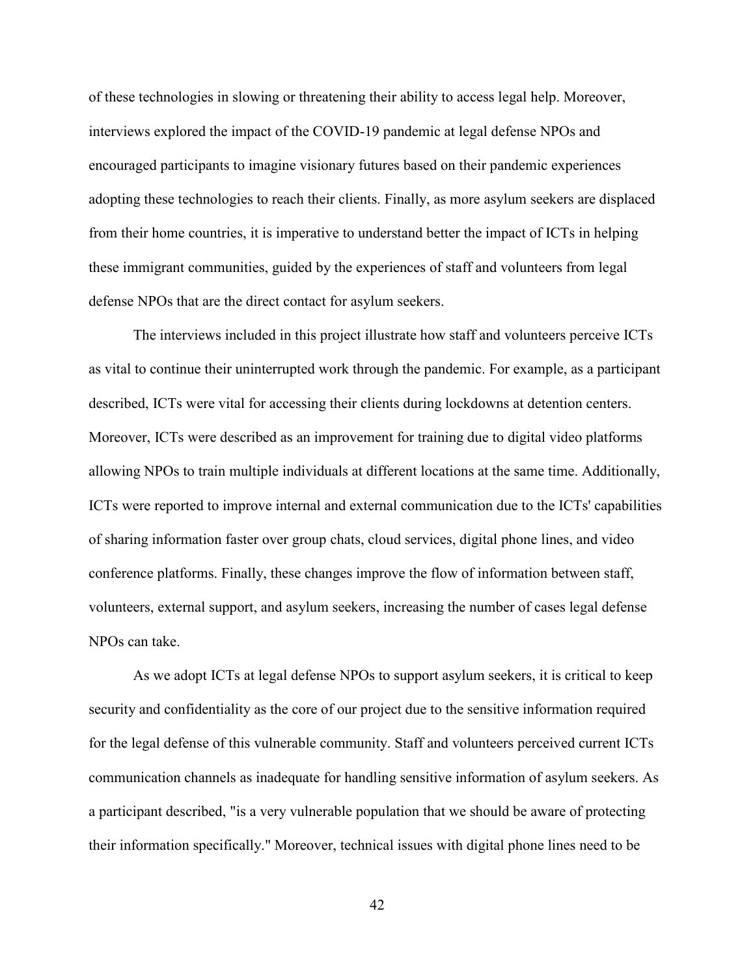of these technologies in slowing or threatening their ability to access legal help. Moreover, interviews explored the impact of the COVID-19 pandemic at legal defense NPOs and encouraged participants to imagine visionary futures based on their pandemic experiences adopting these technologies to reach their clients. Finally, as more asylum seekers are displaced from their home countries, it is imperative to understand better the impact of ICTs in helping these immigrant communities, guided by the experiences of staff and volunteers from legal defense NPOs that are the direct contact for asylum seekers.

The interviews included in this project illustrate how staff and volunteers perceive ICTs as vital to continue their uninterrupted work through the pandemic. For example, as a participant described, ICTs were vital for accessing their clients during lockdowns at detention centers. Moreover, ICTs were described as an improvement for training due to digital video platforms allowing NPOs to train multiple individuals at different locations at the same time. Additionally, ICTs were reported to improve internal and external communication due to the ICTs' capabilities of sharing information faster over group chats, cloud services, digital phone lines, and video conference platforms. Finally, these changes improve the flow of information between staff, volunteers, external support, and asylum seekers, increasing the number of cases legal defense NPOs can take.

As we adopt ICTs at legal defense NPOs to support asylum seekers, it is critical to keep security and confidentiality as the core of our project due to the sensitive information required for the legal defense of this vulnerable community. Staff and volunteers perceived current ICTs communication channels as inadequate for handling sensitive information of asylum seekers. As a participant described, "is a very vulnerable population that we should be aware of protecting their information specifically." Moreover, technical issues with digital phone lines need to be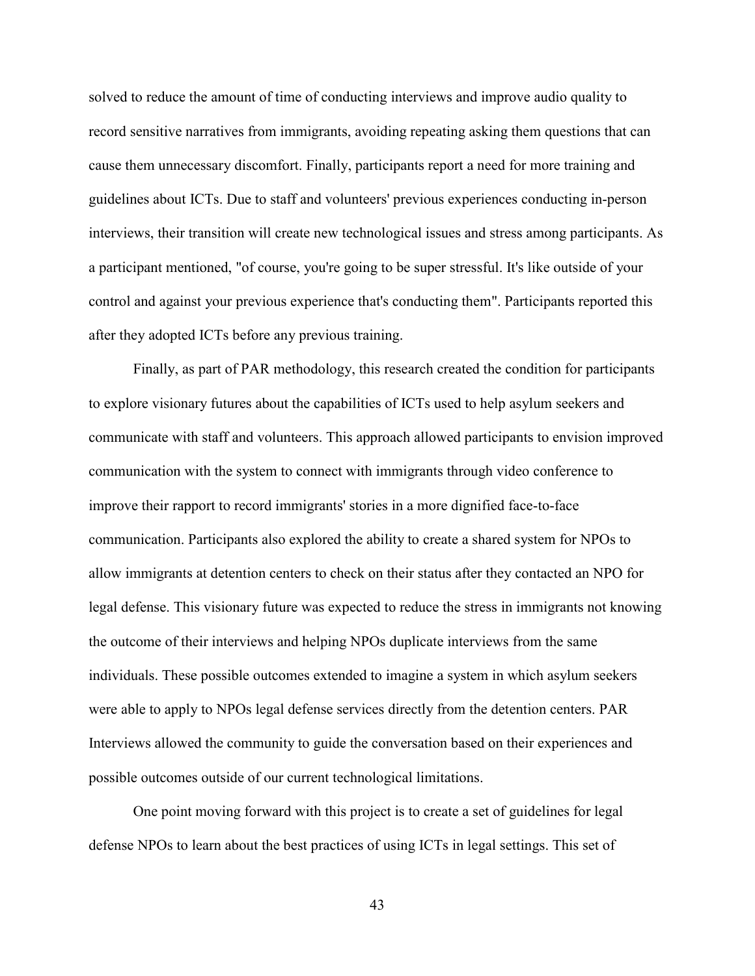solved to reduce the amount of time of conducting interviews and improve audio quality to record sensitive narratives from immigrants, avoiding repeating asking them questions that can cause them unnecessary discomfort. Finally, participants report a need for more training and guidelines about ICTs. Due to staff and volunteers' previous experiences conducting in-person interviews, their transition will create new technological issues and stress among participants. As a participant mentioned, "of course, you're going to be super stressful. It's like outside of your control and against your previous experience that's conducting them". Participants reported this after they adopted ICTs before any previous training.

Finally, as part of PAR methodology, this research created the condition for participants to explore visionary futures about the capabilities of ICTs used to help asylum seekers and communicate with staff and volunteers. This approach allowed participants to envision improved communication with the system to connect with immigrants through video conference to improve their rapport to record immigrants' stories in a more dignified face-to-face communication. Participants also explored the ability to create a shared system for NPOs to allow immigrants at detention centers to check on their status after they contacted an NPO for legal defense. This visionary future was expected to reduce the stress in immigrants not knowing the outcome of their interviews and helping NPOs duplicate interviews from the same individuals. These possible outcomes extended to imagine a system in which asylum seekers were able to apply to NPOs legal defense services directly from the detention centers. PAR Interviews allowed the community to guide the conversation based on their experiences and possible outcomes outside of our current technological limitations.

One point moving forward with this project is to create a set of guidelines for legal defense NPOs to learn about the best practices of using ICTs in legal settings. This set of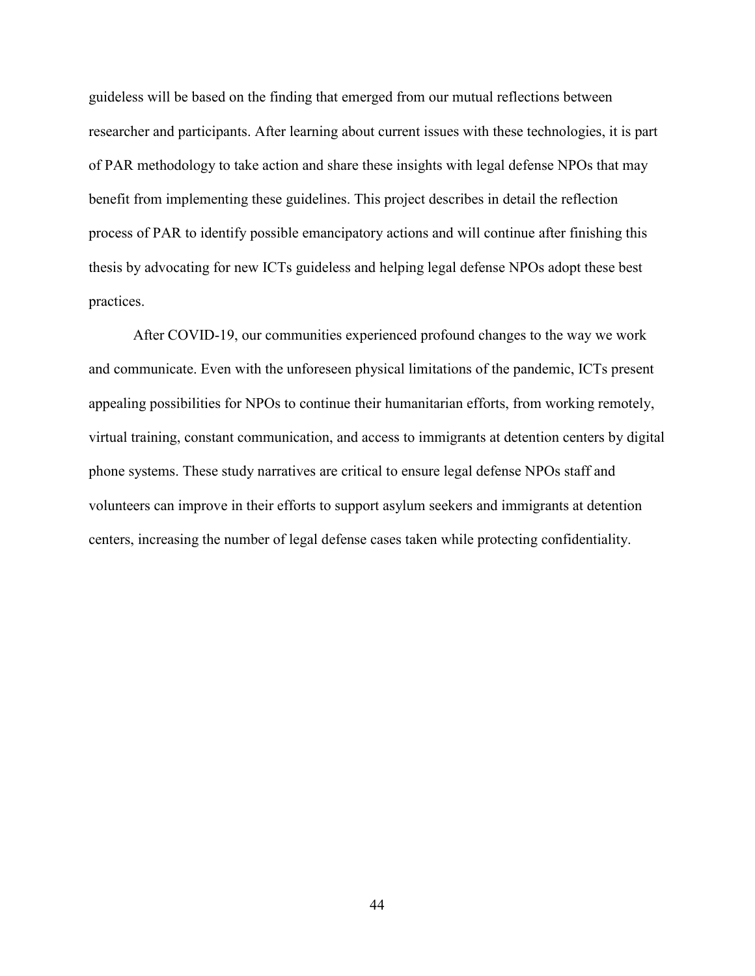guideless will be based on the finding that emerged from our mutual reflections between researcher and participants. After learning about current issues with these technologies, it is part of PAR methodology to take action and share these insights with legal defense NPOs that may benefit from implementing these guidelines. This project describes in detail the reflection process of PAR to identify possible emancipatory actions and will continue after finishing this thesis by advocating for new ICTs guideless and helping legal defense NPOs adopt these best practices.

After COVID-19, our communities experienced profound changes to the way we work and communicate. Even with the unforeseen physical limitations of the pandemic, ICTs present appealing possibilities for NPOs to continue their humanitarian efforts, from working remotely, virtual training, constant communication, and access to immigrants at detention centers by digital phone systems. These study narratives are critical to ensure legal defense NPOs staff and volunteers can improve in their efforts to support asylum seekers and immigrants at detention centers, increasing the number of legal defense cases taken while protecting confidentiality.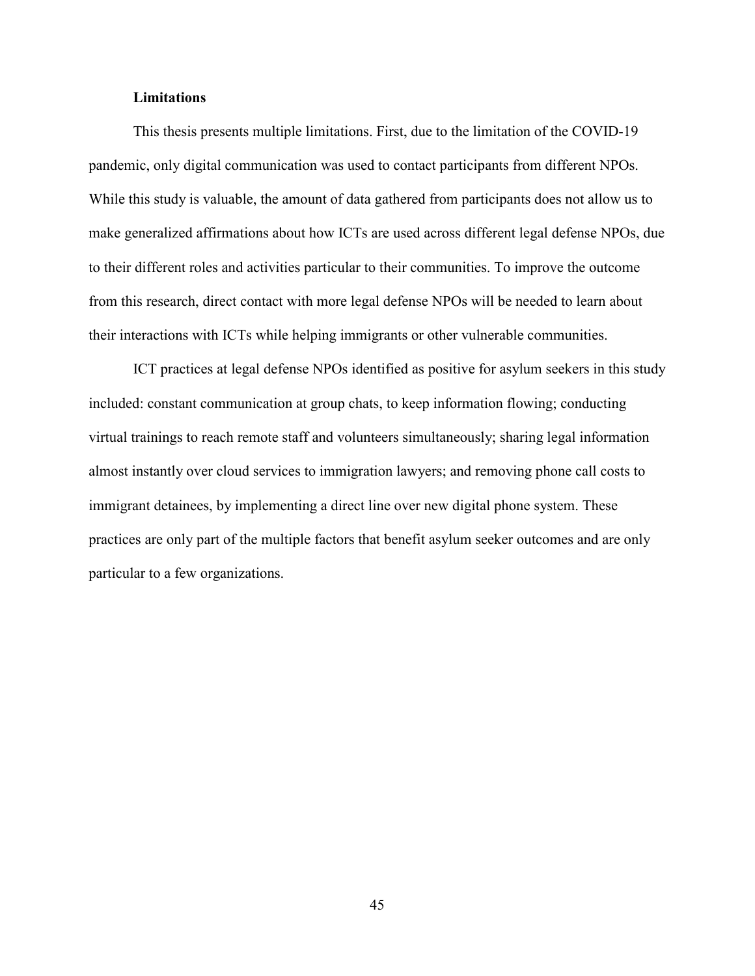#### **Limitations**

This thesis presents multiple limitations. First, due to the limitation of the COVID-19 pandemic, only digital communication was used to contact participants from different NPOs. While this study is valuable, the amount of data gathered from participants does not allow us to make generalized affirmations about how ICTs are used across different legal defense NPOs, due to their different roles and activities particular to their communities. To improve the outcome from this research, direct contact with more legal defense NPOs will be needed to learn about their interactions with ICTs while helping immigrants or other vulnerable communities.

ICT practices at legal defense NPOs identified as positive for asylum seekers in this study included: constant communication at group chats, to keep information flowing; conducting virtual trainings to reach remote staff and volunteers simultaneously; sharing legal information almost instantly over cloud services to immigration lawyers; and removing phone call costs to immigrant detainees, by implementing a direct line over new digital phone system. These practices are only part of the multiple factors that benefit asylum seeker outcomes and are only particular to a few organizations.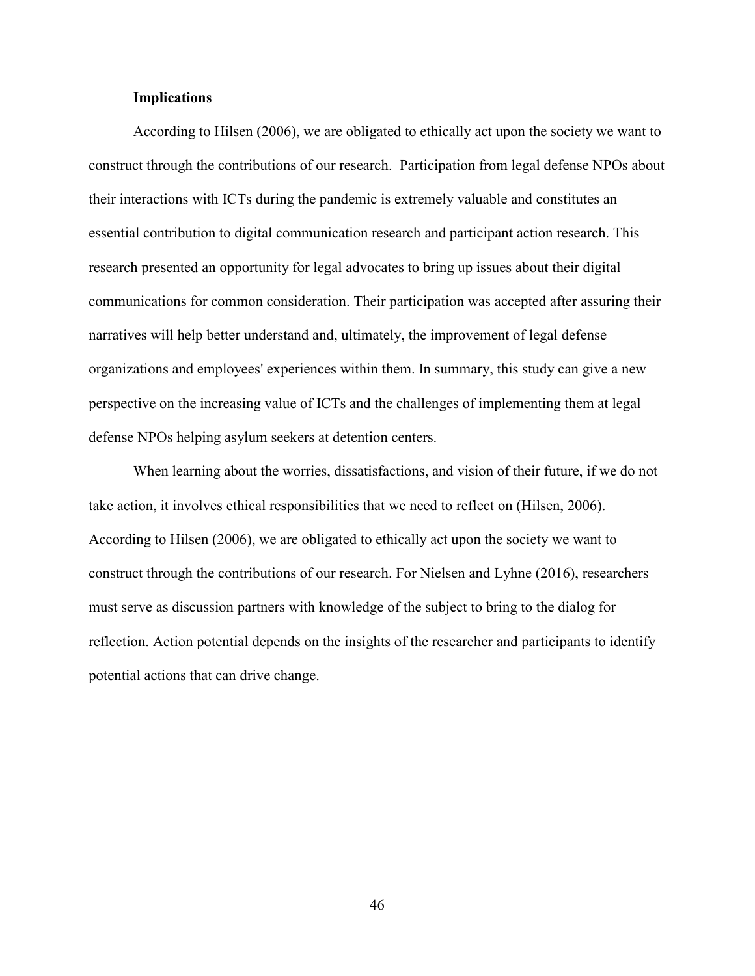#### **Implications**

According to Hilsen (2006), we are obligated to ethically act upon the society we want to construct through the contributions of our research. Participation from legal defense NPOs about their interactions with ICTs during the pandemic is extremely valuable and constitutes an essential contribution to digital communication research and participant action research. This research presented an opportunity for legal advocates to bring up issues about their digital communications for common consideration. Their participation was accepted after assuring their narratives will help better understand and, ultimately, the improvement of legal defense organizations and employees' experiences within them. In summary, this study can give a new perspective on the increasing value of ICTs and the challenges of implementing them at legal defense NPOs helping asylum seekers at detention centers.

When learning about the worries, dissatisfactions, and vision of their future, if we do not take action, it involves ethical responsibilities that we need to reflect on (Hilsen, 2006). According to Hilsen (2006), we are obligated to ethically act upon the society we want to construct through the contributions of our research. For Nielsen and Lyhne (2016), researchers must serve as discussion partners with knowledge of the subject to bring to the dialog for reflection. Action potential depends on the insights of the researcher and participants to identify potential actions that can drive change.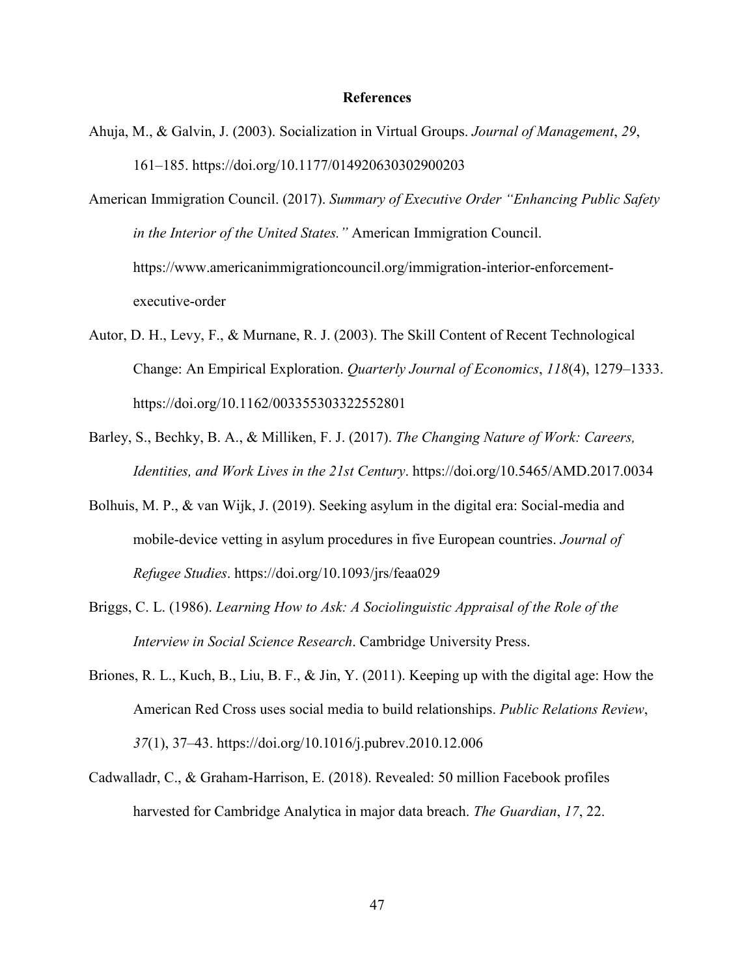#### **References**

Ahuja, M., & Galvin, J. (2003). Socialization in Virtual Groups. *Journal of Management*, *29*, 161–185. https://doi.org/10.1177/014920630302900203

American Immigration Council. (2017). *Summary of Executive Order "Enhancing Public Safety in the Interior of the United States."* American Immigration Council. https://www.americanimmigrationcouncil.org/immigration-interior-enforcementexecutive-order

- Autor, D. H., Levy, F., & Murnane, R. J. (2003). The Skill Content of Recent Technological Change: An Empirical Exploration. *Quarterly Journal of Economics*, *118*(4), 1279–1333. https://doi.org/10.1162/003355303322552801
- Barley, S., Bechky, B. A., & Milliken, F. J. (2017). *The Changing Nature of Work: Careers, Identities, and Work Lives in the 21st Century*. https://doi.org/10.5465/AMD.2017.0034
- Bolhuis, M. P., & van Wijk, J. (2019). Seeking asylum in the digital era: Social-media and mobile-device vetting in asylum procedures in five European countries. *Journal of Refugee Studies*. https://doi.org/10.1093/jrs/feaa029
- Briggs, C. L. (1986). *Learning How to Ask: A Sociolinguistic Appraisal of the Role of the Interview in Social Science Research*. Cambridge University Press.
- Briones, R. L., Kuch, B., Liu, B. F., & Jin, Y. (2011). Keeping up with the digital age: How the American Red Cross uses social media to build relationships. *Public Relations Review*, *37*(1), 37–43. https://doi.org/10.1016/j.pubrev.2010.12.006
- Cadwalladr, C., & Graham-Harrison, E. (2018). Revealed: 50 million Facebook profiles harvested for Cambridge Analytica in major data breach. *The Guardian*, *17*, 22.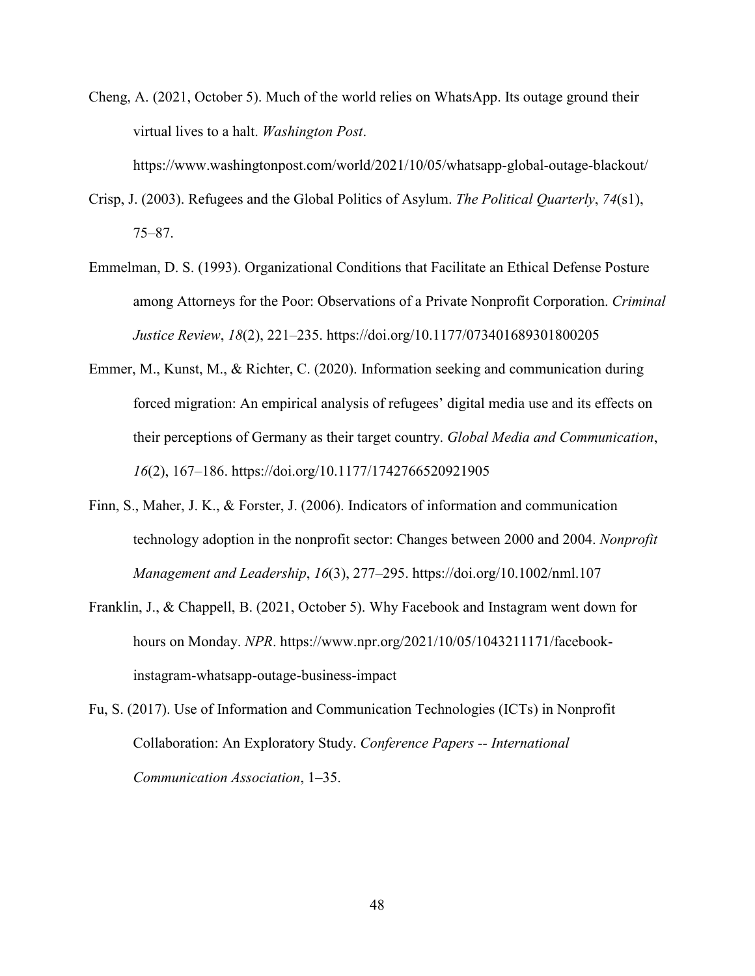Cheng, A. (2021, October 5). Much of the world relies on WhatsApp. Its outage ground their virtual lives to a halt. *Washington Post*.

https://www.washingtonpost.com/world/2021/10/05/whatsapp-global-outage-blackout/

- Crisp, J. (2003). Refugees and the Global Politics of Asylum. *The Political Quarterly*, *74*(s1), 75–87.
- Emmelman, D. S. (1993). Organizational Conditions that Facilitate an Ethical Defense Posture among Attorneys for the Poor: Observations of a Private Nonprofit Corporation. *Criminal Justice Review*, *18*(2), 221–235. https://doi.org/10.1177/073401689301800205
- Emmer, M., Kunst, M., & Richter, C. (2020). Information seeking and communication during forced migration: An empirical analysis of refugees' digital media use and its effects on their perceptions of Germany as their target country. *Global Media and Communication*, *16*(2), 167–186. https://doi.org/10.1177/1742766520921905
- Finn, S., Maher, J. K., & Forster, J. (2006). Indicators of information and communication technology adoption in the nonprofit sector: Changes between 2000 and 2004. *Nonprofit Management and Leadership*, *16*(3), 277–295. https://doi.org/10.1002/nml.107
- Franklin, J., & Chappell, B. (2021, October 5). Why Facebook and Instagram went down for hours on Monday. *NPR*. https://www.npr.org/2021/10/05/1043211171/facebookinstagram-whatsapp-outage-business-impact
- Fu, S. (2017). Use of Information and Communication Technologies (ICTs) in Nonprofit Collaboration: An Exploratory Study. *Conference Papers -- International Communication Association*, 1–35.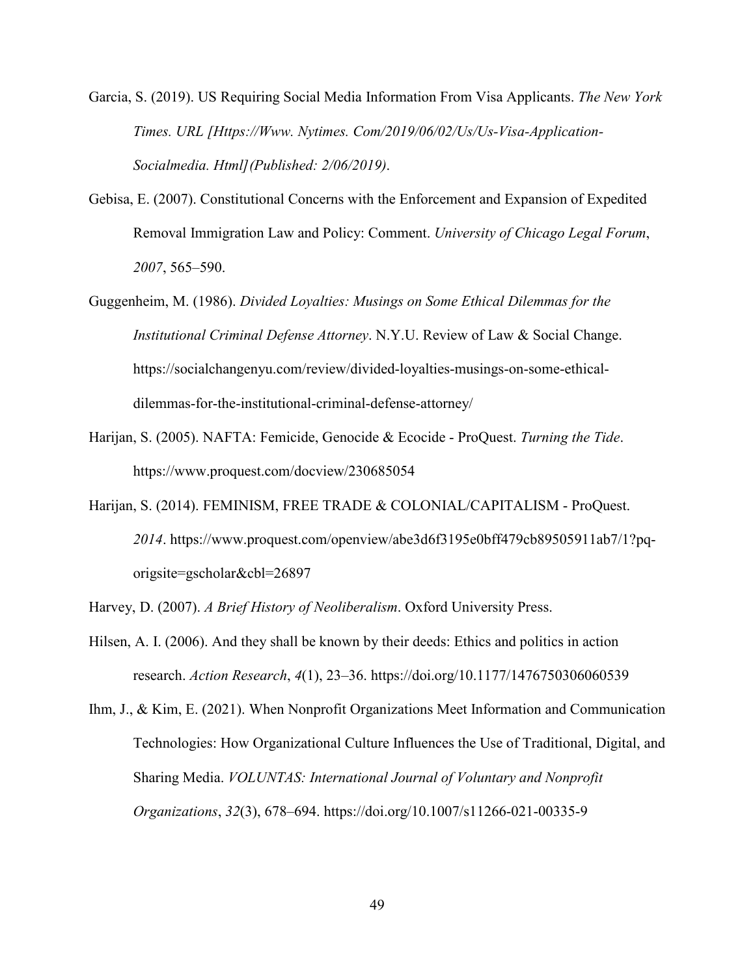Garcia, S. (2019). US Requiring Social Media Information From Visa Applicants. *The New York Times. URL [Https://Www. Nytimes. Com/2019/06/02/Us/Us-Visa-Application-Socialmedia. Html](Published: 2/06/2019)*.

- Gebisa, E. (2007). Constitutional Concerns with the Enforcement and Expansion of Expedited Removal Immigration Law and Policy: Comment. *University of Chicago Legal Forum*, *2007*, 565–590.
- Guggenheim, M. (1986). *Divided Loyalties: Musings on Some Ethical Dilemmas for the Institutional Criminal Defense Attorney*. N.Y.U. Review of Law & Social Change. https://socialchangenyu.com/review/divided-loyalties-musings-on-some-ethicaldilemmas-for-the-institutional-criminal-defense-attorney/
- Harijan, S. (2005). NAFTA: Femicide, Genocide & Ecocide ProQuest. *Turning the Tide*. https://www.proquest.com/docview/230685054
- Harijan, S. (2014). FEMINISM, FREE TRADE & COLONIAL/CAPITALISM ProQuest. *2014*. https://www.proquest.com/openview/abe3d6f3195e0bff479cb89505911ab7/1?pqorigsite=gscholar&cbl=26897

Harvey, D. (2007). *A Brief History of Neoliberalism*. Oxford University Press.

Hilsen, A. I. (2006). And they shall be known by their deeds: Ethics and politics in action research. *Action Research*, *4*(1), 23–36. https://doi.org/10.1177/1476750306060539

Ihm, J., & Kim, E. (2021). When Nonprofit Organizations Meet Information and Communication Technologies: How Organizational Culture Influences the Use of Traditional, Digital, and Sharing Media. *VOLUNTAS: International Journal of Voluntary and Nonprofit Organizations*, *32*(3), 678–694. https://doi.org/10.1007/s11266-021-00335-9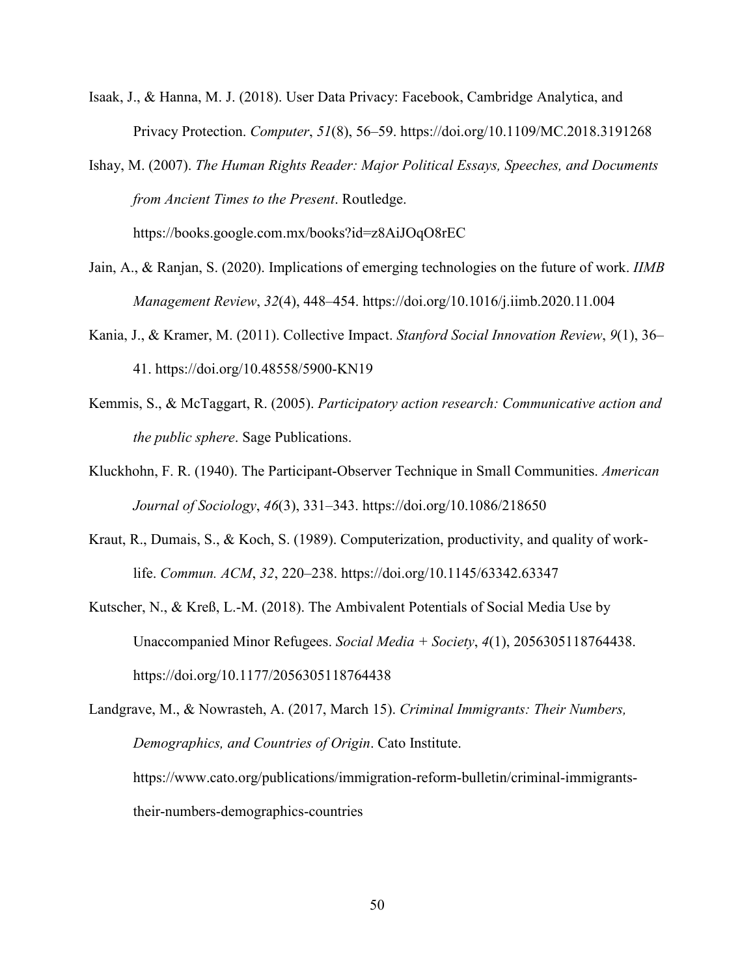- Isaak, J., & Hanna, M. J. (2018). User Data Privacy: Facebook, Cambridge Analytica, and Privacy Protection. *Computer*, *51*(8), 56–59. https://doi.org/10.1109/MC.2018.3191268
- Ishay, M. (2007). *The Human Rights Reader: Major Political Essays, Speeches, and Documents from Ancient Times to the Present*. Routledge.

https://books.google.com.mx/books?id=z8AiJOqO8rEC

- Jain, A., & Ranjan, S. (2020). Implications of emerging technologies on the future of work. *IIMB Management Review*, *32*(4), 448–454. https://doi.org/10.1016/j.iimb.2020.11.004
- Kania, J., & Kramer, M. (2011). Collective Impact. *Stanford Social Innovation Review*, *9*(1), 36– 41. https://doi.org/10.48558/5900-KN19
- Kemmis, S., & McTaggart, R. (2005). *Participatory action research: Communicative action and the public sphere*. Sage Publications.
- Kluckhohn, F. R. (1940). The Participant-Observer Technique in Small Communities. *American Journal of Sociology*, *46*(3), 331–343. https://doi.org/10.1086/218650
- Kraut, R., Dumais, S., & Koch, S. (1989). Computerization, productivity, and quality of worklife. *Commun. ACM*, *32*, 220–238. https://doi.org/10.1145/63342.63347
- Kutscher, N., & Kreß, L.-M. (2018). The Ambivalent Potentials of Social Media Use by Unaccompanied Minor Refugees. *Social Media + Society*, *4*(1), 2056305118764438. https://doi.org/10.1177/2056305118764438

Landgrave, M., & Nowrasteh, A. (2017, March 15). *Criminal Immigrants: Their Numbers, Demographics, and Countries of Origin*. Cato Institute. https://www.cato.org/publications/immigration-reform-bulletin/criminal-immigrantstheir-numbers-demographics-countries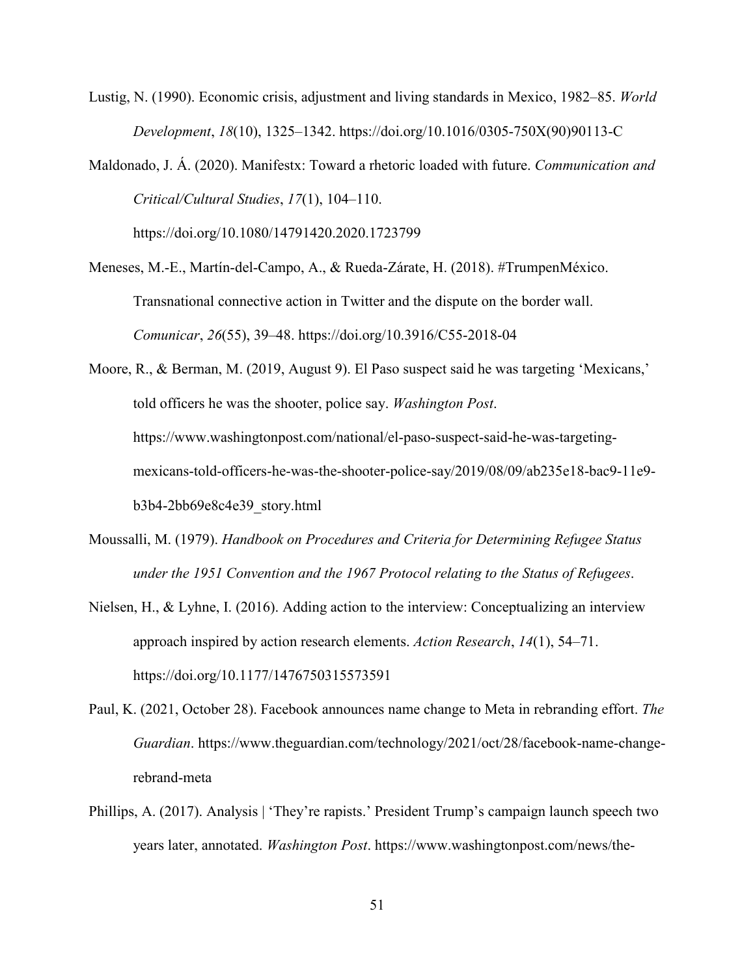- Lustig, N. (1990). Economic crisis, adjustment and living standards in Mexico, 1982–85. *World Development*, *18*(10), 1325–1342. https://doi.org/10.1016/0305-750X(90)90113-C
- Maldonado, J. Á. (2020). Manifestx: Toward a rhetoric loaded with future. *Communication and Critical/Cultural Studies*, *17*(1), 104–110.

https://doi.org/10.1080/14791420.2020.1723799

Meneses, M.-E., Martín-del-Campo, A., & Rueda-Zárate, H. (2018). #TrumpenMéxico. Transnational connective action in Twitter and the dispute on the border wall. *Comunicar*, *26*(55), 39–48. https://doi.org/10.3916/C55-2018-04

Moore, R., & Berman, M. (2019, August 9). El Paso suspect said he was targeting 'Mexicans,' told officers he was the shooter, police say. *Washington Post*. https://www.washingtonpost.com/national/el-paso-suspect-said-he-was-targetingmexicans-told-officers-he-was-the-shooter-police-say/2019/08/09/ab235e18-bac9-11e9 b3b4-2bb69e8c4e39\_story.html

- Moussalli, M. (1979). *Handbook on Procedures and Criteria for Determining Refugee Status under the 1951 Convention and the 1967 Protocol relating to the Status of Refugees*.
- Nielsen, H., & Lyhne, I. (2016). Adding action to the interview: Conceptualizing an interview approach inspired by action research elements. *Action Research*, *14*(1), 54–71. https://doi.org/10.1177/1476750315573591
- Paul, K. (2021, October 28). Facebook announces name change to Meta in rebranding effort. *The Guardian*. https://www.theguardian.com/technology/2021/oct/28/facebook-name-changerebrand-meta
- Phillips, A. (2017). Analysis | 'They're rapists.' President Trump's campaign launch speech two years later, annotated. *Washington Post*. https://www.washingtonpost.com/news/the-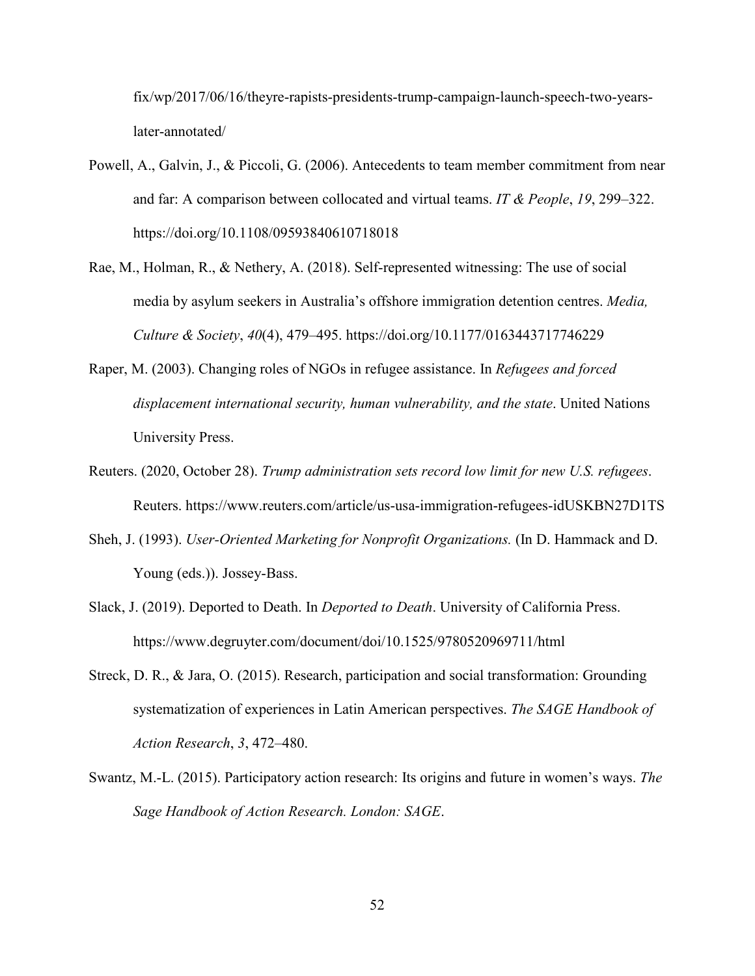fix/wp/2017/06/16/theyre-rapists-presidents-trump-campaign-launch-speech-two-yearslater-annotated/

- Powell, A., Galvin, J., & Piccoli, G. (2006). Antecedents to team member commitment from near and far: A comparison between collocated and virtual teams. *IT & People*, *19*, 299–322. https://doi.org/10.1108/09593840610718018
- Rae, M., Holman, R., & Nethery, A. (2018). Self-represented witnessing: The use of social media by asylum seekers in Australia's offshore immigration detention centres. *Media, Culture & Society*, *40*(4), 479–495. https://doi.org/10.1177/0163443717746229
- Raper, M. (2003). Changing roles of NGOs in refugee assistance. In *Refugees and forced displacement international security, human vulnerability, and the state*. United Nations University Press.
- Reuters. (2020, October 28). *Trump administration sets record low limit for new U.S. refugees*. Reuters. https://www.reuters.com/article/us-usa-immigration-refugees-idUSKBN27D1TS
- Sheh, J. (1993). *User-Oriented Marketing for Nonprofit Organizations.* (In D. Hammack and D. Young (eds.)). Jossey-Bass.
- Slack, J. (2019). Deported to Death. In *Deported to Death*. University of California Press. https://www.degruyter.com/document/doi/10.1525/9780520969711/html
- Streck, D. R., & Jara, O. (2015). Research, participation and social transformation: Grounding systematization of experiences in Latin American perspectives. *The SAGE Handbook of Action Research*, *3*, 472–480.
- Swantz, M.-L. (2015). Participatory action research: Its origins and future in women's ways. *The Sage Handbook of Action Research. London: SAGE*.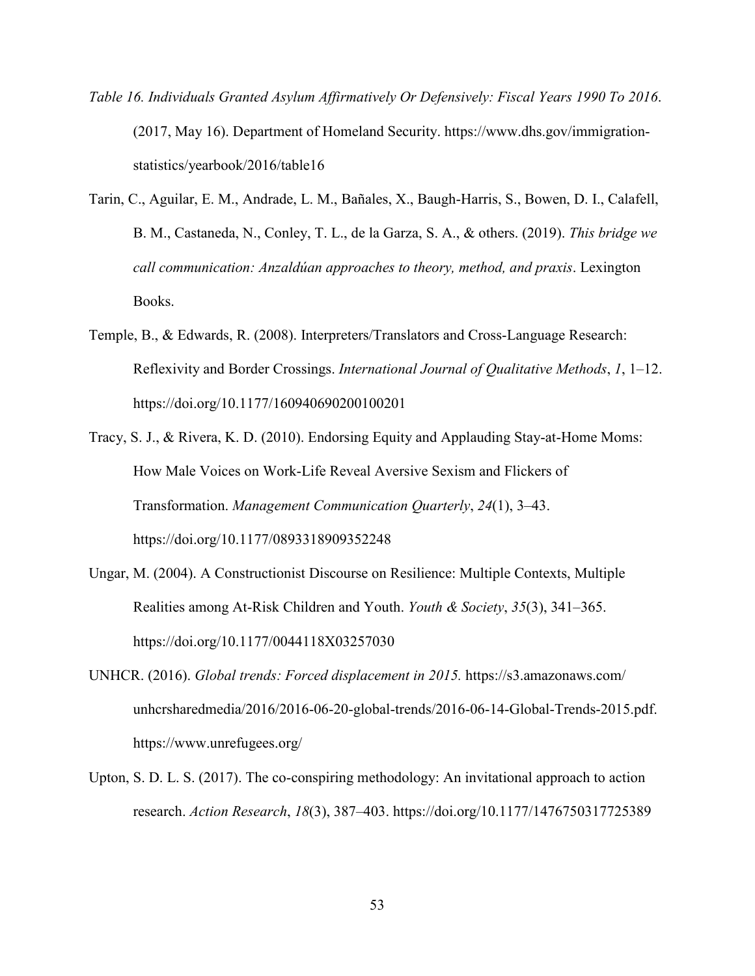- *Table 16. Individuals Granted Asylum Affirmatively Or Defensively: Fiscal Years 1990 To 2016*. (2017, May 16). Department of Homeland Security. https://www.dhs.gov/immigrationstatistics/yearbook/2016/table16
- Tarin, C., Aguilar, E. M., Andrade, L. M., Bañales, X., Baugh-Harris, S., Bowen, D. I., Calafell, B. M., Castaneda, N., Conley, T. L., de la Garza, S. A., & others. (2019). *This bridge we call communication: Anzaldúan approaches to theory, method, and praxis*. Lexington Books.
- Temple, B., & Edwards, R. (2008). Interpreters/Translators and Cross-Language Research: Reflexivity and Border Crossings. *International Journal of Qualitative Methods*, *1*, 1–12. https://doi.org/10.1177/160940690200100201
- Tracy, S. J., & Rivera, K. D. (2010). Endorsing Equity and Applauding Stay-at-Home Moms: How Male Voices on Work-Life Reveal Aversive Sexism and Flickers of Transformation. *Management Communication Quarterly*, *24*(1), 3–43. https://doi.org/10.1177/0893318909352248
- Ungar, M. (2004). A Constructionist Discourse on Resilience: Multiple Contexts, Multiple Realities among At-Risk Children and Youth. *Youth & Society*, *35*(3), 341–365. https://doi.org/10.1177/0044118X03257030
- UNHCR. (2016). *Global trends: Forced displacement in 2015.* https://s3.amazonaws.com/ unhcrsharedmedia/2016/2016-06-20-global-trends/2016-06-14-Global-Trends-2015.pdf. https://www.unrefugees.org/
- Upton, S. D. L. S. (2017). The co-conspiring methodology: An invitational approach to action research. *Action Research*, *18*(3), 387–403. https://doi.org/10.1177/1476750317725389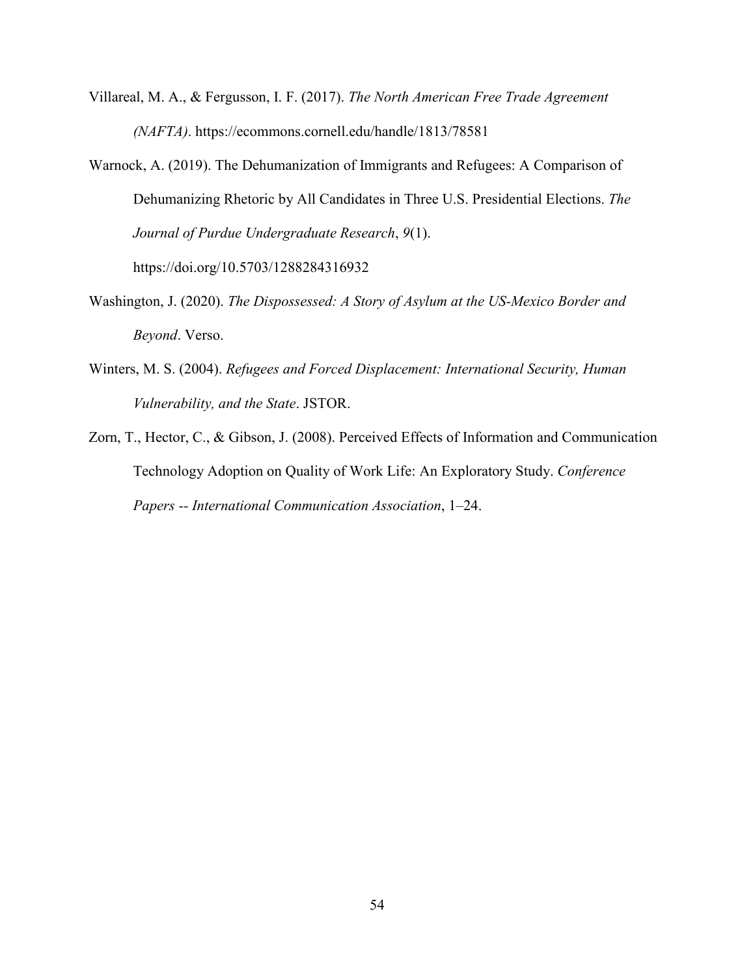- Villareal, M. A., & Fergusson, I. F. (2017). *The North American Free Trade Agreement (NAFTA)*. https://ecommons.cornell.edu/handle/1813/78581
- Warnock, A. (2019). The Dehumanization of Immigrants and Refugees: A Comparison of Dehumanizing Rhetoric by All Candidates in Three U.S. Presidential Elections. *The Journal of Purdue Undergraduate Research*, *9*(1). https://doi.org/10.5703/1288284316932
- Washington, J. (2020). *The Dispossessed: A Story of Asylum at the US-Mexico Border and Beyond*. Verso.
- Winters, M. S. (2004). *Refugees and Forced Displacement: International Security, Human Vulnerability, and the State*. JSTOR.
- Zorn, T., Hector, C., & Gibson, J. (2008). Perceived Effects of Information and Communication Technology Adoption on Quality of Work Life: An Exploratory Study. *Conference Papers -- International Communication Association*, 1–24.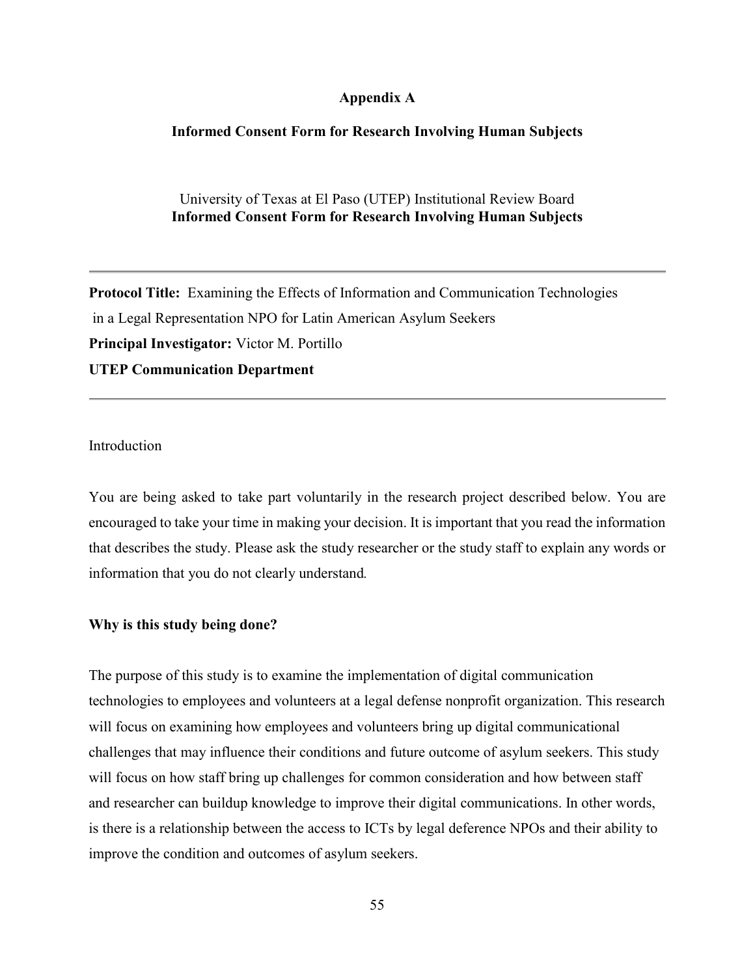#### **Appendix A**

#### **Informed Consent Form for Research Involving Human Subjects**

#### University of Texas at El Paso (UTEP) Institutional Review Board **Informed Consent Form for Research Involving Human Subjects**

**Protocol Title:** Examining the Effects of Information and Communication Technologies in a Legal Representation NPO for Latin American Asylum Seekers **Principal Investigator:** Victor M. Portillo **UTEP Communication Department** 

Introduction

You are being asked to take part voluntarily in the research project described below. You are encouraged to take your time in making your decision. It is important that you read the information that describes the study. Please ask the study researcher or the study staff to explain any words or information that you do not clearly understand*.* 

#### **Why is this study being done?**

The purpose of this study is to examine the implementation of digital communication technologies to employees and volunteers at a legal defense nonprofit organization. This research will focus on examining how employees and volunteers bring up digital communicational challenges that may influence their conditions and future outcome of asylum seekers. This study will focus on how staff bring up challenges for common consideration and how between staff and researcher can buildup knowledge to improve their digital communications. In other words, is there is a relationship between the access to ICTs by legal deference NPOs and their ability to improve the condition and outcomes of asylum seekers.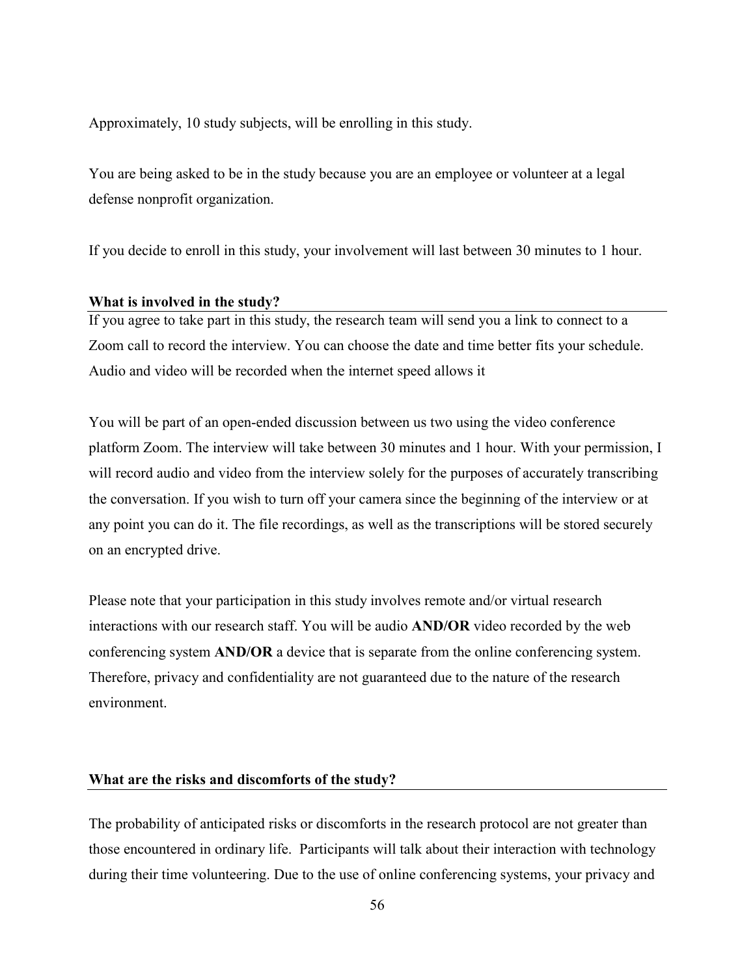Approximately, 10 study subjects, will be enrolling in this study.

You are being asked to be in the study because you are an employee or volunteer at a legal defense nonprofit organization.

If you decide to enroll in this study, your involvement will last between 30 minutes to 1 hour.

#### **What is involved in the study?**

If you agree to take part in this study, the research team will send you a link to connect to a Zoom call to record the interview. You can choose the date and time better fits your schedule. Audio and video will be recorded when the internet speed allows it

You will be part of an open-ended discussion between us two using the video conference platform Zoom. The interview will take between 30 minutes and 1 hour. With your permission, I will record audio and video from the interview solely for the purposes of accurately transcribing the conversation. If you wish to turn off your camera since the beginning of the interview or at any point you can do it. The file recordings, as well as the transcriptions will be stored securely on an encrypted drive.

Please note that your participation in this study involves remote and/or virtual research interactions with our research staff. You will be audio **AND/OR** video recorded by the web conferencing system **AND/OR** a device that is separate from the online conferencing system. Therefore, privacy and confidentiality are not guaranteed due to the nature of the research environment.

#### **What are the risks and discomforts of the study?**

The probability of anticipated risks or discomforts in the research protocol are not greater than those encountered in ordinary life. Participants will talk about their interaction with technology during their time volunteering. Due to the use of online conferencing systems, your privacy and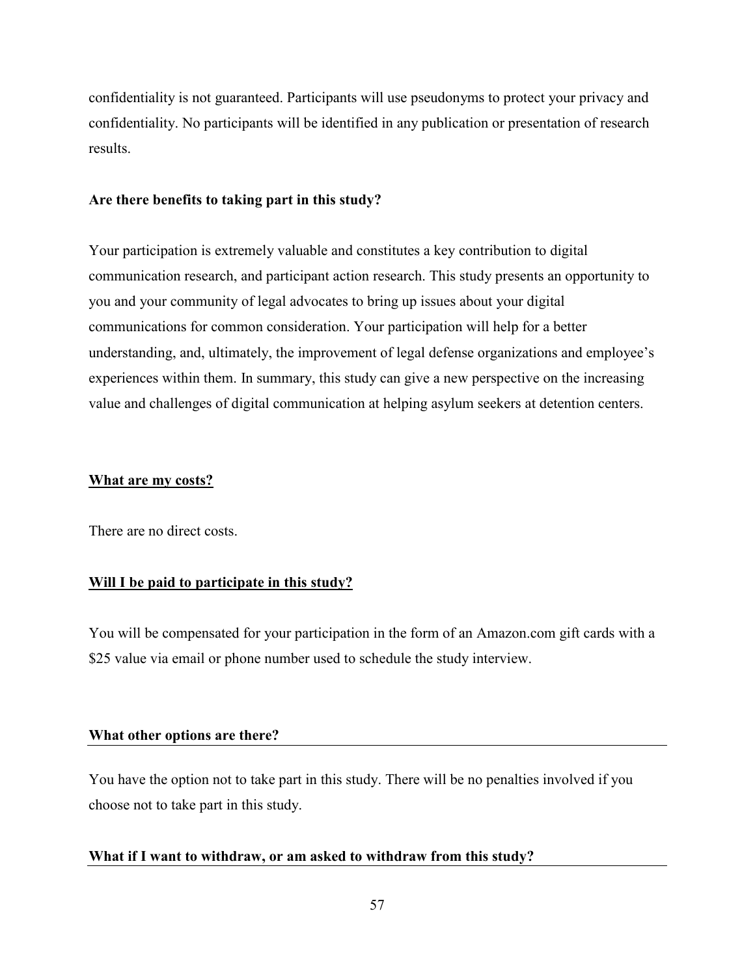confidentiality is not guaranteed. Participants will use pseudonyms to protect your privacy and confidentiality. No participants will be identified in any publication or presentation of research results.

#### **Are there benefits to taking part in this study?**

Your participation is extremely valuable and constitutes a key contribution to digital communication research, and participant action research. This study presents an opportunity to you and your community of legal advocates to bring up issues about your digital communications for common consideration. Your participation will help for a better understanding, and, ultimately, the improvement of legal defense organizations and employee's experiences within them. In summary, this study can give a new perspective on the increasing value and challenges of digital communication at helping asylum seekers at detention centers.

#### **What are my costs?**

There are no direct costs.

#### **Will I be paid to participate in this study?**

You will be compensated for your participation in the form of an Amazon.com gift cards with a \$25 value via email or phone number used to schedule the study interview.

#### **What other options are there?**

You have the option not to take part in this study. There will be no penalties involved if you choose not to take part in this study.

#### **What if I want to withdraw, or am asked to withdraw from this study?**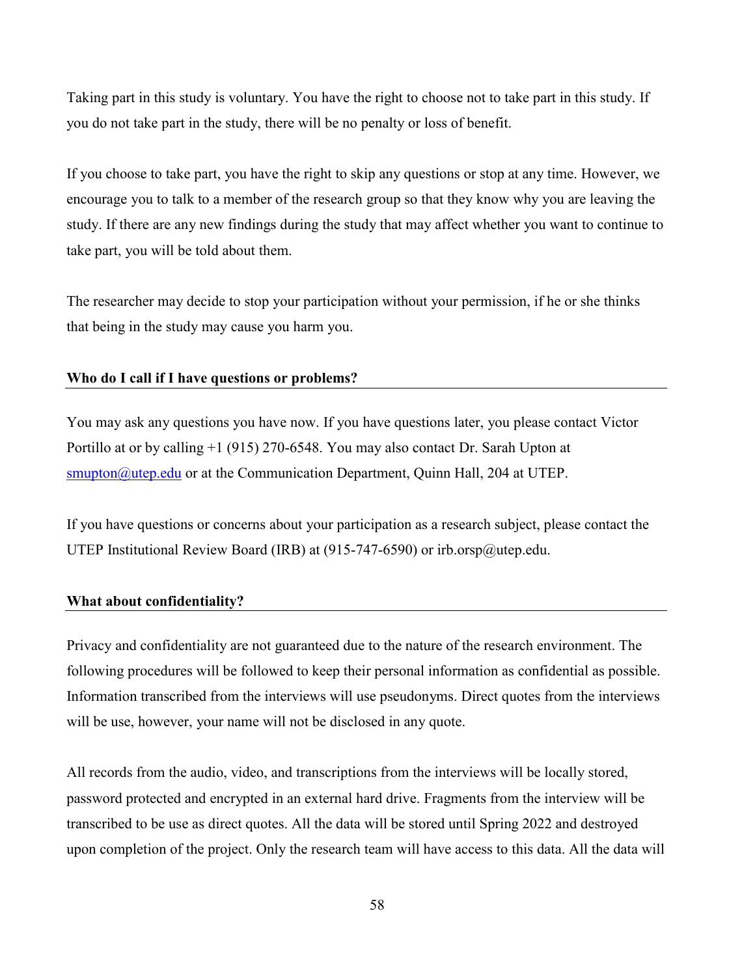Taking part in this study is voluntary. You have the right to choose not to take part in this study. If you do not take part in the study, there will be no penalty or loss of benefit.

If you choose to take part, you have the right to skip any questions or stop at any time. However, we encourage you to talk to a member of the research group so that they know why you are leaving the study. If there are any new findings during the study that may affect whether you want to continue to take part, you will be told about them.

The researcher may decide to stop your participation without your permission, if he or she thinks that being in the study may cause you harm you.

#### **Who do I call if I have questions or problems?**

You may ask any questions you have now. If you have questions later, you please contact Victor Portillo at or by calling +1 (915) 270-6548. You may also contact Dr. Sarah Upton at smupton@utep.edu or at the Communication Department, Quinn Hall, 204 at UTEP.

If you have questions or concerns about your participation as a research subject, please contact the UTEP Institutional Review Board (IRB) at (915-747-6590) or irb.orsp@utep.edu.

#### **What about confidentiality?**

Privacy and confidentiality are not guaranteed due to the nature of the research environment. The following procedures will be followed to keep their personal information as confidential as possible. Information transcribed from the interviews will use pseudonyms. Direct quotes from the interviews will be use, however, your name will not be disclosed in any quote.

All records from the audio, video, and transcriptions from the interviews will be locally stored, password protected and encrypted in an external hard drive. Fragments from the interview will be transcribed to be use as direct quotes. All the data will be stored until Spring 2022 and destroyed upon completion of the project. Only the research team will have access to this data. All the data will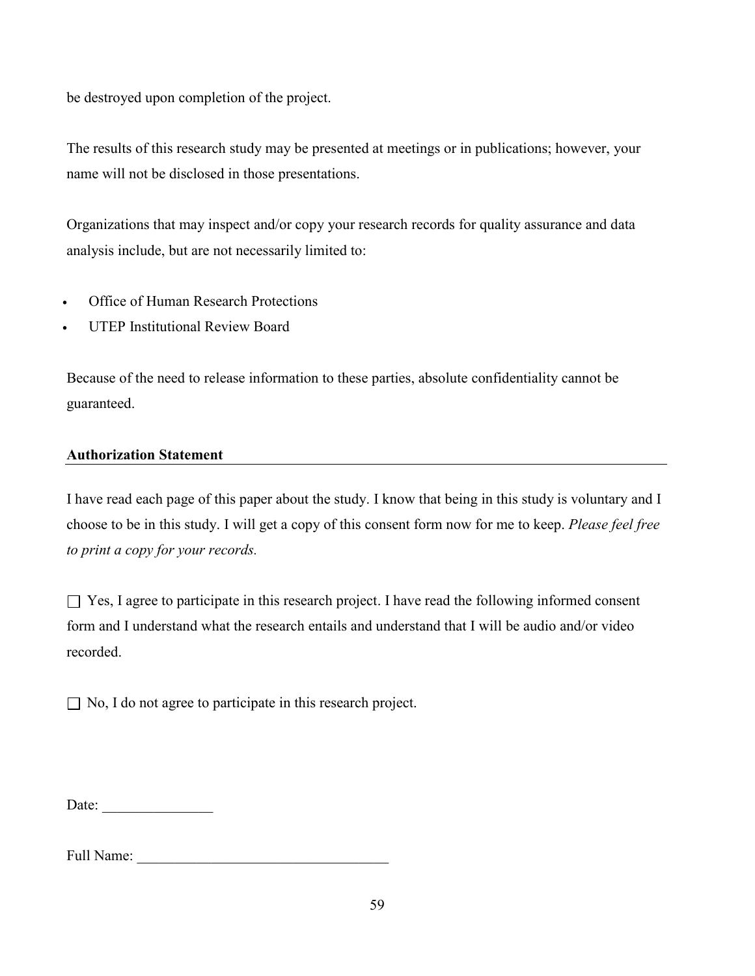be destroyed upon completion of the project.

The results of this research study may be presented at meetings or in publications; however, your name will not be disclosed in those presentations.

Organizations that may inspect and/or copy your research records for quality assurance and data analysis include, but are not necessarily limited to:

- Office of Human Research Protections
- UTEP Institutional Review Board

Because of the need to release information to these parties, absolute confidentiality cannot be guaranteed.

### **Authorization Statement**

I have read each page of this paper about the study. I know that being in this study is voluntary and I choose to be in this study. I will get a copy of this consent form now for me to keep. *Please feel free to print a copy for your records.*

 $\Box$  Yes, I agree to participate in this research project. I have read the following informed consent form and I understand what the research entails and understand that I will be audio and/or video recorded.

 $\Box$  No, I do not agree to participate in this research project.

Date: \_\_\_\_\_\_\_\_\_\_\_\_\_\_\_

Full Name: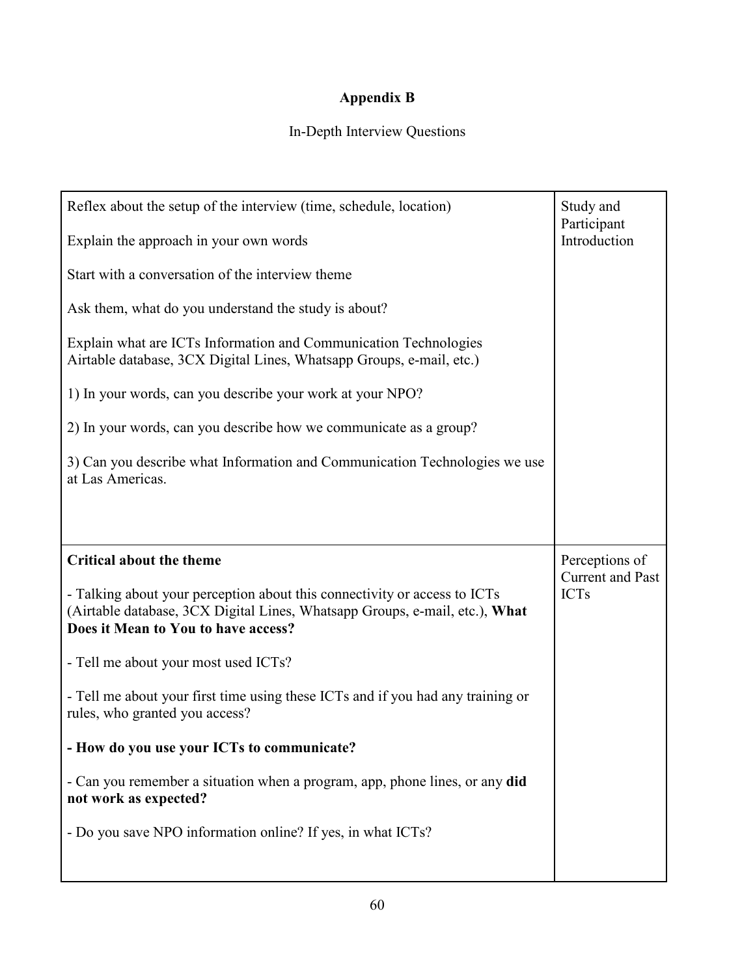# **Appendix B**

# In-Depth Interview Questions

| Reflex about the setup of the interview (time, schedule, location)                                                                                                                              | Study and<br>Participant               |
|-------------------------------------------------------------------------------------------------------------------------------------------------------------------------------------------------|----------------------------------------|
| Explain the approach in your own words                                                                                                                                                          | Introduction                           |
| Start with a conversation of the interview theme                                                                                                                                                |                                        |
| Ask them, what do you understand the study is about?                                                                                                                                            |                                        |
| Explain what are ICTs Information and Communication Technologies<br>Airtable database, 3CX Digital Lines, Whatsapp Groups, e-mail, etc.)                                                        |                                        |
| 1) In your words, can you describe your work at your NPO?                                                                                                                                       |                                        |
| 2) In your words, can you describe how we communicate as a group?                                                                                                                               |                                        |
| 3) Can you describe what Information and Communication Technologies we use<br>at Las Americas.                                                                                                  |                                        |
|                                                                                                                                                                                                 |                                        |
|                                                                                                                                                                                                 |                                        |
|                                                                                                                                                                                                 |                                        |
| <b>Critical about the theme</b>                                                                                                                                                                 | Perceptions of                         |
| - Talking about your perception about this connectivity or access to ICTs<br>(Airtable database, 3CX Digital Lines, Whatsapp Groups, e-mail, etc.), What<br>Does it Mean to You to have access? | <b>Current and Past</b><br><b>ICTs</b> |
| - Tell me about your most used ICTs?                                                                                                                                                            |                                        |
| - Tell me about your first time using these ICTs and if you had any training or<br>rules, who granted you access?                                                                               |                                        |
| - How do you use your ICTs to communicate?                                                                                                                                                      |                                        |
| - Can you remember a situation when a program, app, phone lines, or any did<br>not work as expected?                                                                                            |                                        |
| - Do you save NPO information online? If yes, in what ICTs?                                                                                                                                     |                                        |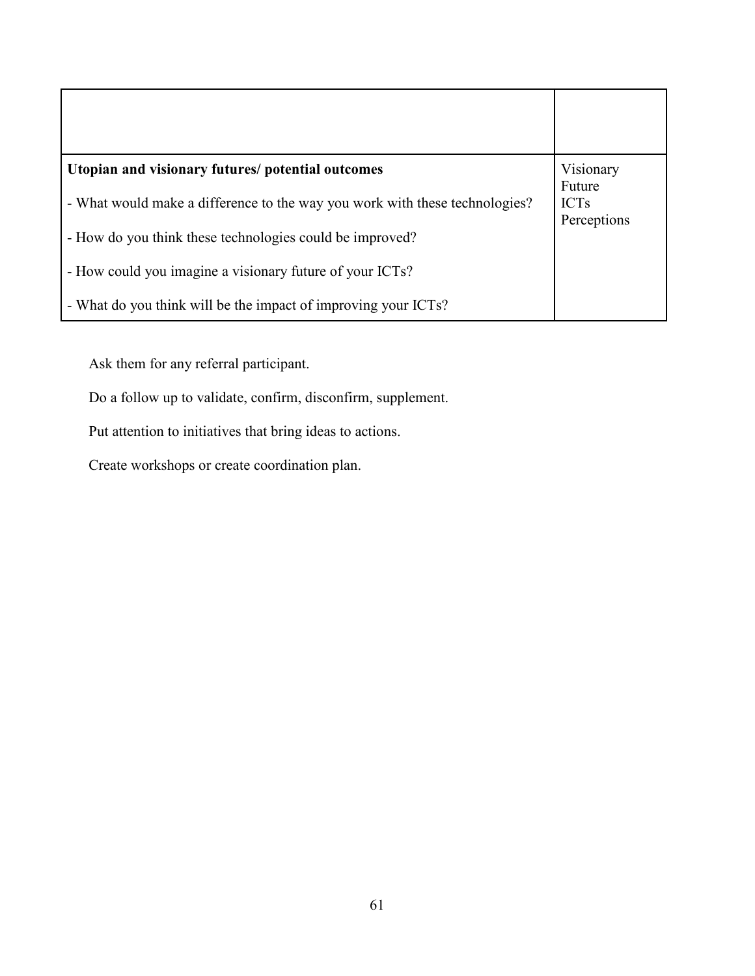| Utopian and visionary futures/ potential outcomes                           | Visionary<br>Future        |
|-----------------------------------------------------------------------------|----------------------------|
| - What would make a difference to the way you work with these technologies? | <b>ICTs</b><br>Perceptions |
| - How do you think these technologies could be improved?                    |                            |
| - How could you imagine a visionary future of your ICTs?                    |                            |
| - What do you think will be the impact of improving your ICTs?              |                            |

Ask them for any referral participant.

Do a follow up to validate, confirm, disconfirm, supplement.

Put attention to initiatives that bring ideas to actions.

Create workshops or create coordination plan.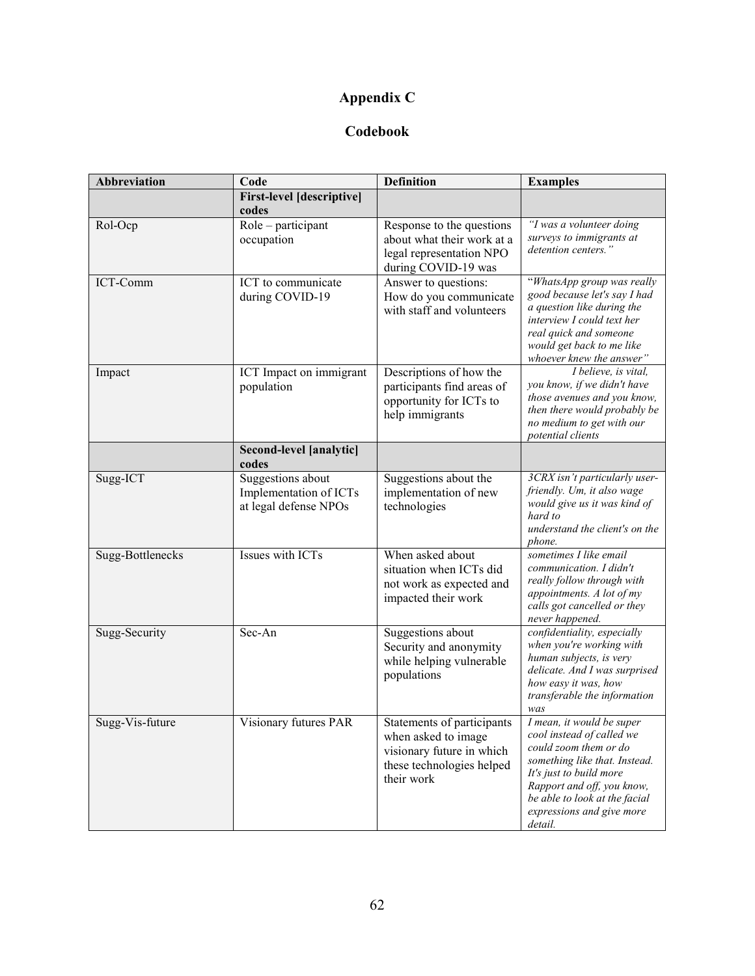# **Appendix C**

## **Codebook**

| Abbreviation     | Code                                                                 | <b>Definition</b>                                                                                                         | <b>Examples</b>                                                                                                                                                                                                                                    |
|------------------|----------------------------------------------------------------------|---------------------------------------------------------------------------------------------------------------------------|----------------------------------------------------------------------------------------------------------------------------------------------------------------------------------------------------------------------------------------------------|
|                  | <b>First-level</b> [descriptive]<br>codes                            |                                                                                                                           |                                                                                                                                                                                                                                                    |
| Rol-Ocp          | Role - participant<br>occupation                                     | Response to the questions<br>about what their work at a<br>legal representation NPO<br>during COVID-19 was                | "I was a volunteer doing<br>surveys to immigrants at<br>detention centers."                                                                                                                                                                        |
| ICT-Comm         | ICT to communicate<br>during COVID-19                                | Answer to questions:<br>How do you communicate<br>with staff and volunteers                                               | "WhatsApp group was really<br>good because let's say I had<br>a question like during the<br>interview I could text her<br>real quick and someone<br>would get back to me like<br>whoever knew the answer"                                          |
| Impact           | ICT Impact on immigrant<br>population                                | Descriptions of how the<br>participants find areas of<br>opportunity for ICTs to<br>help immigrants                       | I believe, is vital,<br>you know, if we didn't have<br>those avenues and you know,<br>then there would probably be<br>no medium to get with our<br>potential clients                                                                               |
|                  | Second-level [analytic]<br>codes                                     |                                                                                                                           |                                                                                                                                                                                                                                                    |
| Sugg-ICT         | Suggestions about<br>Implementation of ICTs<br>at legal defense NPOs | Suggestions about the<br>implementation of new<br>technologies                                                            | 3CRX isn't particularly user-<br>friendly. Um, it also wage<br>would give us it was kind of<br>hard to<br>understand the client's on the<br>phone.                                                                                                 |
| Sugg-Bottlenecks | Issues with ICTs                                                     | When asked about<br>situation when ICTs did<br>not work as expected and<br>impacted their work                            | sometimes I like email<br>communication. I didn't<br>really follow through with<br>appointments. A lot of my<br>calls got cancelled or they<br>never happened.                                                                                     |
| Sugg-Security    | Sec-An                                                               | Suggestions about<br>Security and anonymity<br>while helping vulnerable<br>populations                                    | confidentiality, especially<br>when you're working with<br>human subjects, is very<br>delicate. And I was surprised<br>how easy it was, how<br>transferable the information<br>was                                                                 |
| Sugg-Vis-future  | Visionary futures PAR                                                | Statements of participants<br>when asked to image<br>visionary future in which<br>these technologies helped<br>their work | I mean, it would be super<br>cool instead of called we<br>could zoom them or do<br>something like that. Instead.<br>It's just to build more<br>Rapport and off, you know,<br>be able to look at the facial<br>expressions and give more<br>detail. |